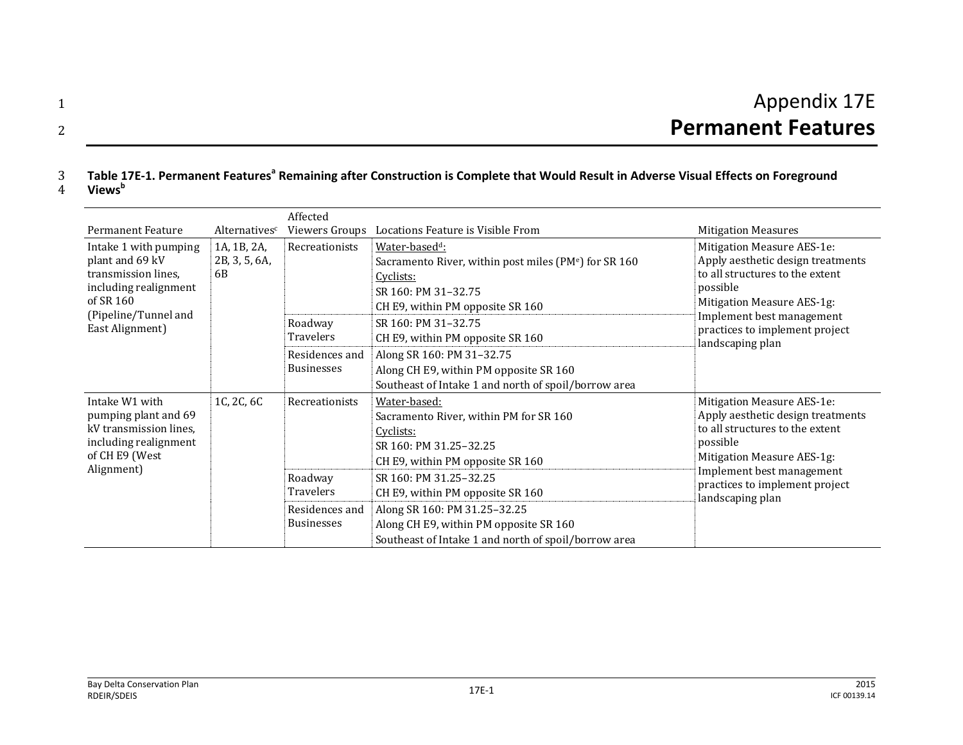#### 3 Table 17E-1. Permanent Features<sup>a</sup> Remaining after Construction is Complete that Would Result in Adverse Visual Effects on Foreground **Views<sup>b</sup>**

4

|                                                                                                                                                  |                                    | Affected                                                                             |                                                                                                                                                                                                                                                                                                                                                                                           |                                                                                                                                                                                                                                 |
|--------------------------------------------------------------------------------------------------------------------------------------------------|------------------------------------|--------------------------------------------------------------------------------------|-------------------------------------------------------------------------------------------------------------------------------------------------------------------------------------------------------------------------------------------------------------------------------------------------------------------------------------------------------------------------------------------|---------------------------------------------------------------------------------------------------------------------------------------------------------------------------------------------------------------------------------|
| <b>Permanent Feature</b>                                                                                                                         | Alternatives <sup>c</sup>          | Viewers Groups                                                                       | Locations Feature is Visible From                                                                                                                                                                                                                                                                                                                                                         | <b>Mitigation Measures</b>                                                                                                                                                                                                      |
| Intake 1 with pumping<br>plant and 69 kV<br>transmission lines,<br>including realignment<br>of SR 160<br>(Pipeline/Tunnel and<br>East Alignment) | 1A, 1B, 2A,<br>2B, 3, 5, 6A,<br>6B | Recreationists<br>Roadway<br>Travelers<br>Residences and<br><b>Businesses</b>        | Water-based <sup>d</sup> :<br>Sacramento River, within post miles (PM <sup>e</sup> ) for SR 160<br>Cyclists:<br>SR 160: PM 31-32.75<br>CH E9, within PM opposite SR 160<br>SR 160: PM 31-32.75<br>CH E9, within PM opposite SR 160<br>Along SR 160: PM 31-32.75<br>Along CH E9, within PM opposite SR 160                                                                                 | Mitigation Measure AES-1e:<br>Apply aesthetic design treatments<br>to all structures to the extent<br>possible<br>Mitigation Measure AES-1g:<br>Implement best management<br>practices to implement project<br>landscaping plan |
| Intake W1 with<br>pumping plant and 69<br>kV transmission lines,<br>including realignment<br>of CH E9 (West<br>Alignment)                        | 1C, 2C, 6C                         | Recreationists<br>Roadway<br><b>Travelers</b><br>Residences and<br><b>Businesses</b> | Southeast of Intake 1 and north of spoil/borrow area<br>Water-based:<br>Sacramento River, within PM for SR 160<br>Cyclists:<br>SR 160: PM 31.25-32.25<br>CH E9, within PM opposite SR 160<br>SR 160: PM 31.25-32.25<br>CH E9, within PM opposite SR 160<br>Along SR 160: PM 31.25-32.25<br>Along CH E9, within PM opposite SR 160<br>Southeast of Intake 1 and north of spoil/borrow area | Mitigation Measure AES-1e:<br>Apply aesthetic design treatments<br>to all structures to the extent<br>possible<br>Mitigation Measure AES-1g:<br>Implement best management<br>practices to implement project<br>landscaping plan |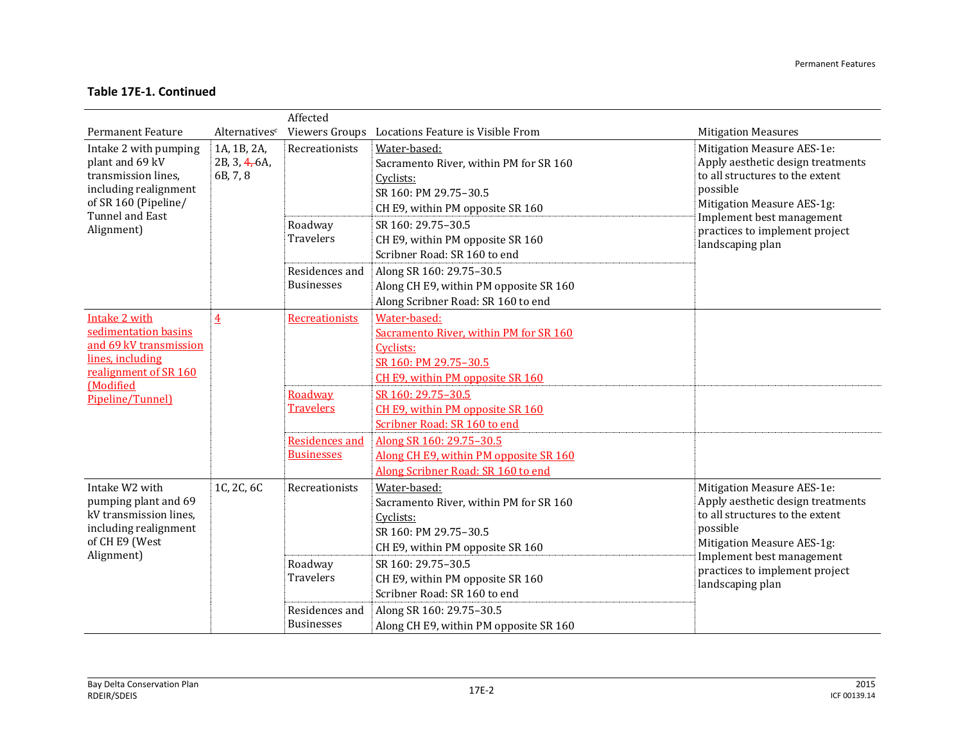|                                                                                                                                                   |                                          | Affected                                      |                                                                                                                                                                                            |                                                                                                                                                                                                                                 |
|---------------------------------------------------------------------------------------------------------------------------------------------------|------------------------------------------|-----------------------------------------------|--------------------------------------------------------------------------------------------------------------------------------------------------------------------------------------------|---------------------------------------------------------------------------------------------------------------------------------------------------------------------------------------------------------------------------------|
| <b>Permanent Feature</b>                                                                                                                          | Alternatives <sup>c</sup>                |                                               | Viewers Groups Locations Feature is Visible From                                                                                                                                           | <b>Mitigation Measures</b>                                                                                                                                                                                                      |
| Intake 2 with pumping<br>plant and 69 kV<br>transmission lines,<br>including realignment<br>of SR 160 (Pipeline/<br>Tunnel and East<br>Alignment) | 1A, 1B, 2A,<br>2B, 3, 4, 6A,<br>6B, 7, 8 | Recreationists<br>Roadway<br><b>Travelers</b> | Water-based:<br>Sacramento River, within PM for SR 160<br>Cyclists:<br>SR 160: PM 29.75-30.5<br>CH E9, within PM opposite SR 160<br>SR 160: 29.75-30.5<br>CH E9, within PM opposite SR 160 | Mitigation Measure AES-1e:<br>Apply aesthetic design treatments<br>to all structures to the extent<br>possible<br>Mitigation Measure AES-1g:<br>Implement best management<br>practices to implement project<br>landscaping plan |
|                                                                                                                                                   |                                          | Residences and<br><b>Businesses</b>           | Scribner Road: SR 160 to end<br>Along SR 160: 29.75-30.5<br>Along CH E9, within PM opposite SR 160<br>Along Scribner Road: SR 160 to end                                                   |                                                                                                                                                                                                                                 |
| Intake 2 with<br>sedimentation basins<br>and 69 kV transmission<br>lines, including<br>realignment of SR 160<br>(Modified<br>Pipeline/Tunnel)     | $\overline{4}$                           | Recreationists                                | Water-based:<br>Sacramento River, within PM for SR 160<br>Cyclists:<br>SR 160: PM 29.75-30.5<br>CH E9, within PM opposite SR 160                                                           |                                                                                                                                                                                                                                 |
|                                                                                                                                                   |                                          | Roadway<br><b>Travelers</b>                   | SR 160: 29.75-30.5<br>CH E9, within PM opposite SR 160<br>Scribner Road: SR 160 to end                                                                                                     |                                                                                                                                                                                                                                 |
|                                                                                                                                                   |                                          | <b>Residences</b> and<br><b>Businesses</b>    | Along SR 160: 29.75-30.5<br>Along CH E9, within PM opposite SR 160<br>Along Scribner Road: SR 160 to end                                                                                   |                                                                                                                                                                                                                                 |
| Intake W2 with<br>pumping plant and 69<br>kV transmission lines,<br>including realignment<br>of CH E9 (West<br>Alignment)                         | 1C, 2C, 6C                               | Recreationists                                | Water-based:<br>Sacramento River, within PM for SR 160<br>Cyclists:<br>SR 160: PM 29.75-30.5<br>CH E9, within PM opposite SR 160                                                           | Mitigation Measure AES-1e:<br>Apply aesthetic design treatments<br>to all structures to the extent<br>possible<br>Mitigation Measure AES-1g:                                                                                    |
|                                                                                                                                                   |                                          | Roadway<br><b>Travelers</b>                   | SR 160: 29.75-30.5<br>CH E9, within PM opposite SR 160<br>Scribner Road: SR 160 to end                                                                                                     | Implement best management<br>practices to implement project<br>landscaping plan                                                                                                                                                 |
|                                                                                                                                                   |                                          | Residences and<br><b>Businesses</b>           | Along SR 160: 29.75-30.5<br>Along CH E9, within PM opposite SR 160                                                                                                                         |                                                                                                                                                                                                                                 |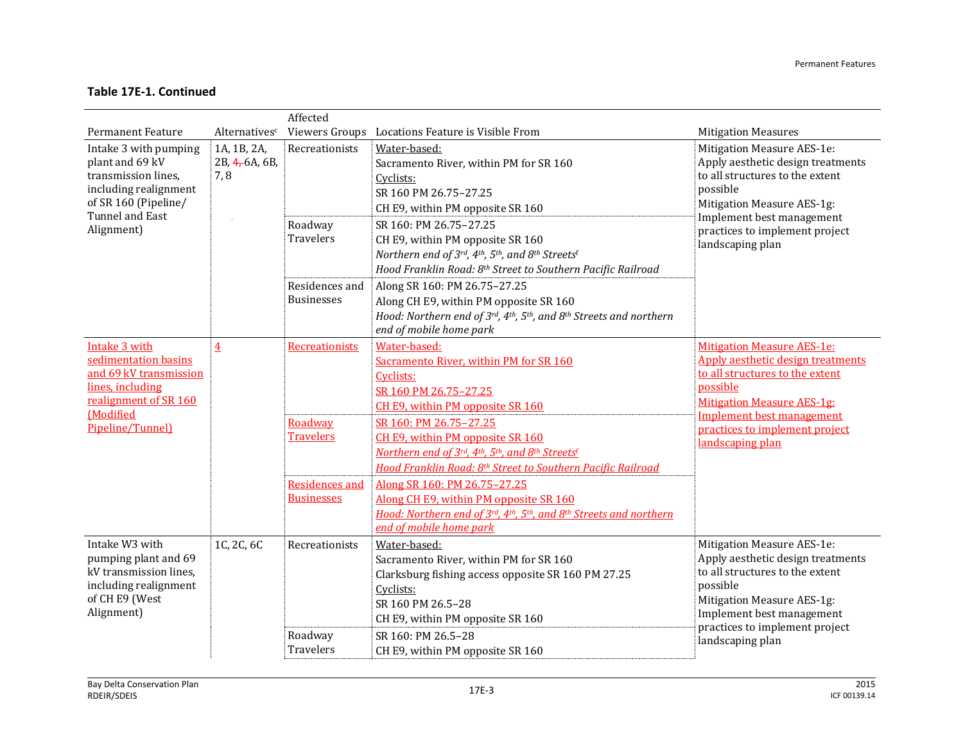|                                                                                                                                                            |                                      | Affected                                                                  |                                                                                                                                                                                                                                                        |                                                                                                                                                                                                                                                      |
|------------------------------------------------------------------------------------------------------------------------------------------------------------|--------------------------------------|---------------------------------------------------------------------------|--------------------------------------------------------------------------------------------------------------------------------------------------------------------------------------------------------------------------------------------------------|------------------------------------------------------------------------------------------------------------------------------------------------------------------------------------------------------------------------------------------------------|
| <b>Permanent Feature</b>                                                                                                                                   | Alternativesc                        |                                                                           | Viewers Groups Locations Feature is Visible From                                                                                                                                                                                                       | <b>Mitigation Measures</b>                                                                                                                                                                                                                           |
| Intake 3 with pumping<br>plant and 69 kV<br>transmission lines.<br>including realignment<br>of SR 160 (Pipeline/<br>Tunnel and East                        | 1A, 1B, 2A,<br>2B, 4, 6A, 6B,<br>7,8 | Recreationists                                                            | Water-based:<br>Sacramento River, within PM for SR 160<br>Cyclists:<br>SR 160 PM 26.75-27.25<br>CH E9, within PM opposite SR 160                                                                                                                       | Mitigation Measure AES-1e:<br>Apply aesthetic design treatments<br>to all structures to the extent<br>possible<br>Mitigation Measure AES-1g:<br>Implement best management                                                                            |
| Alignment)                                                                                                                                                 |                                      | Roadway<br>Travelers                                                      | SR 160: PM 26.75-27.25<br>CH E9, within PM opposite SR 160<br>Northern end of 3rd, 4th, 5th, and 8th Streetsf<br>Hood Franklin Road: 8th Street to Southern Pacific Railroad                                                                           | practices to implement project<br>landscaping plan                                                                                                                                                                                                   |
|                                                                                                                                                            |                                      | Residences and<br><b>Businesses</b>                                       | Along SR 160: PM 26.75-27.25<br>Along CH E9, within PM opposite SR 160<br>Hood: Northern end of $3^{rd}$ , $4^{th}$ , $5^{th}$ , and $8^{th}$ Streets and northern<br>end of mobile home park                                                          |                                                                                                                                                                                                                                                      |
| <b>Intake 3 with</b><br>sedimentation basins<br>and 69 kV transmission<br>lines, including<br>realignment of SR 160<br><b>Modified</b><br>Pipeline/Tunnel) | $\overline{4}$                       | Recreationists                                                            | Water-based:<br>Sacramento River, within PM for SR 160<br>Cyclists:<br>SR 160 PM 26.75-27.25<br>CH E9, within PM opposite SR 160                                                                                                                       | <b>Mitigation Measure AES-1e:</b><br>Apply aesthetic design treatments<br>to all structures to the extent<br>possible<br><b>Mitigation Measure AES-1g:</b><br><b>Implement best management</b><br>practices to implement project<br>landscaping plan |
|                                                                                                                                                            |                                      | Roadway<br><b>Travelers</b><br><b>Residences and</b><br><b>Businesses</b> | SR 160: PM 26.75-27.25<br>CH E9, within PM opposite SR 160<br>Northern end of 3rd, 4th, 5th, and 8th Streetsf<br>Hood Franklin Road: 8th Street to Southern Pacific Railroad<br>Along SR 160: PM 26.75-27.25<br>Along CH E9, within PM opposite SR 160 |                                                                                                                                                                                                                                                      |
|                                                                                                                                                            |                                      |                                                                           | Hood: Northern end of 3rd, 4th, 5th, and 8th Streets and northern<br>end of mobile home park                                                                                                                                                           |                                                                                                                                                                                                                                                      |
| Intake W3 with<br>pumping plant and 69<br>kV transmission lines,<br>including realignment<br>of CH E9 (West<br>Alignment)                                  | 1C, 2C, 6C                           | Recreationists<br>Roadway                                                 | Water-based:<br>Sacramento River, within PM for SR 160<br>Clarksburg fishing access opposite SR 160 PM 27.25<br>Cyclists:<br>SR 160 PM 26.5-28<br>CH E9, within PM opposite SR 160<br>SR 160: PM 26.5-28                                               | Mitigation Measure AES-1e:<br>Apply aesthetic design treatments<br>to all structures to the extent<br>possible<br>Mitigation Measure AES-1g:<br>Implement best management<br>practices to implement project                                          |
|                                                                                                                                                            |                                      | Travelers                                                                 | CH E9, within PM opposite SR 160                                                                                                                                                                                                                       | landscaping plan                                                                                                                                                                                                                                     |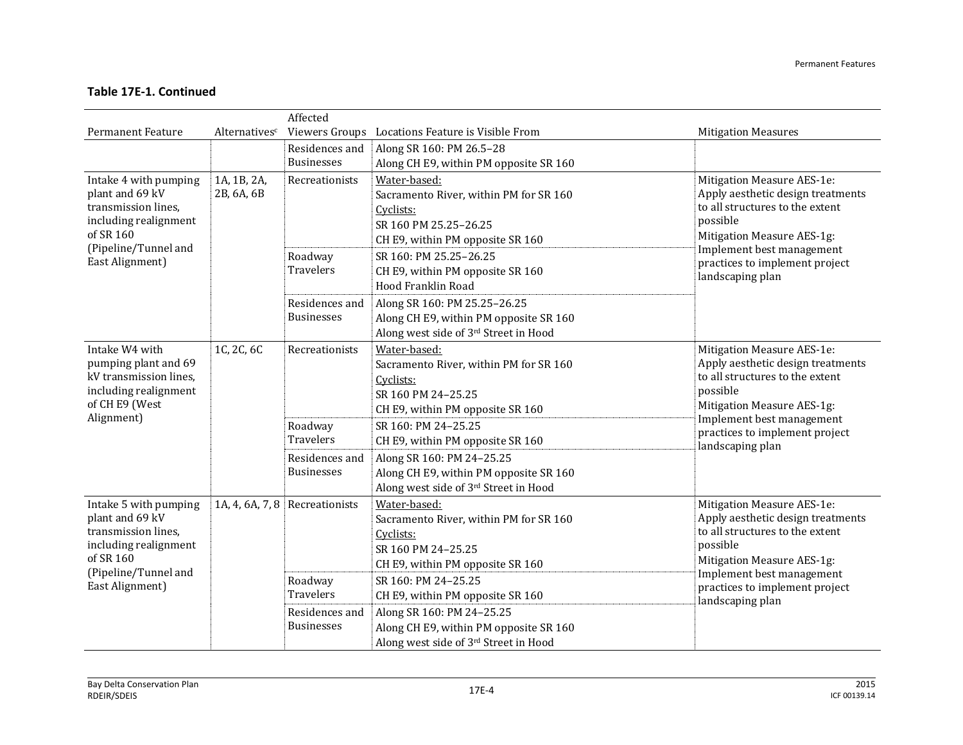|                                                                                                                                                  |                           | Affected                                                    |                                                                                                                                  |                                                                                                                                                                           |
|--------------------------------------------------------------------------------------------------------------------------------------------------|---------------------------|-------------------------------------------------------------|----------------------------------------------------------------------------------------------------------------------------------|---------------------------------------------------------------------------------------------------------------------------------------------------------------------------|
| <b>Permanent Feature</b>                                                                                                                         | Alternativesc             |                                                             | Viewers Groups Locations Feature is Visible From                                                                                 | <b>Mitigation Measures</b>                                                                                                                                                |
|                                                                                                                                                  |                           | Residences and<br><b>Businesses</b>                         | Along SR 160: PM 26.5-28<br>Along CH E9, within PM opposite SR 160                                                               |                                                                                                                                                                           |
| Intake 4 with pumping<br>plant and 69 kV<br>transmission lines,<br>including realignment<br>of SR 160                                            | 1A, 1B, 2A,<br>2B, 6A, 6B | Recreationists                                              | Water-based:<br>Sacramento River, within PM for SR 160<br>Cyclists:<br>SR 160 PM 25.25-26.25<br>CH E9, within PM opposite SR 160 | Mitigation Measure AES-1e:<br>Apply aesthetic design treatments<br>to all structures to the extent<br>possible<br>Mitigation Measure AES-1g:<br>Implement best management |
| (Pipeline/Tunnel and<br>East Alignment)                                                                                                          |                           | Roadway<br>Travelers                                        | SR 160: PM 25.25-26.25<br>CH E9, within PM opposite SR 160<br>Hood Franklin Road                                                 | practices to implement project<br>landscaping plan                                                                                                                        |
|                                                                                                                                                  |                           | Residences and<br><b>Businesses</b>                         | Along SR 160: PM 25.25-26.25<br>Along CH E9, within PM opposite SR 160<br>Along west side of 3rd Street in Hood                  |                                                                                                                                                                           |
| Intake W4 with<br>pumping plant and 69<br>kV transmission lines,<br>including realignment<br>of CH E9 (West                                      | 1C, 2C, 6C                | Recreationists                                              | Water-based:<br>Sacramento River, within PM for SR 160<br>Cyclists:<br>SR 160 PM 24-25.25<br>CH E9, within PM opposite SR 160    | Mitigation Measure AES-1e:<br>Apply aesthetic design treatments<br>to all structures to the extent<br>possible<br>Mitigation Measure AES-1g:<br>Implement best management |
| Alignment)                                                                                                                                       |                           | Roadway<br><b>Travelers</b>                                 | SR 160: PM 24-25.25<br>CH E9, within PM opposite SR 160                                                                          | practices to implement project<br>landscaping plan                                                                                                                        |
|                                                                                                                                                  |                           | Residences and<br><b>Businesses</b>                         | Along SR 160: PM 24-25.25<br>Along CH E9, within PM opposite SR 160<br>Along west side of 3rd Street in Hood                     |                                                                                                                                                                           |
| Intake 5 with pumping<br>plant and 69 kV<br>transmission lines,<br>including realignment<br>of SR 160<br>(Pipeline/Tunnel and<br>East Alignment) |                           | 1A, 4, 6A, 7, 8 Recreationists                              | Water-based:<br>Sacramento River, within PM for SR 160<br>Cyclists:<br>SR 160 PM 24-25.25<br>CH E9, within PM opposite SR 160    | Mitigation Measure AES-1e:<br>Apply aesthetic design treatments<br>to all structures to the extent<br>possible<br>Mitigation Measure AES-1g:                              |
|                                                                                                                                                  |                           | Roadway<br>Travelers<br>Residences and<br><b>Businesses</b> | SR 160: PM 24-25.25<br>CH E9, within PM opposite SR 160<br>Along SR 160: PM 24-25.25<br>Along CH E9, within PM opposite SR 160   | Implement best management<br>practices to implement project<br>landscaping plan                                                                                           |
|                                                                                                                                                  |                           |                                                             | Along west side of 3rd Street in Hood                                                                                            |                                                                                                                                                                           |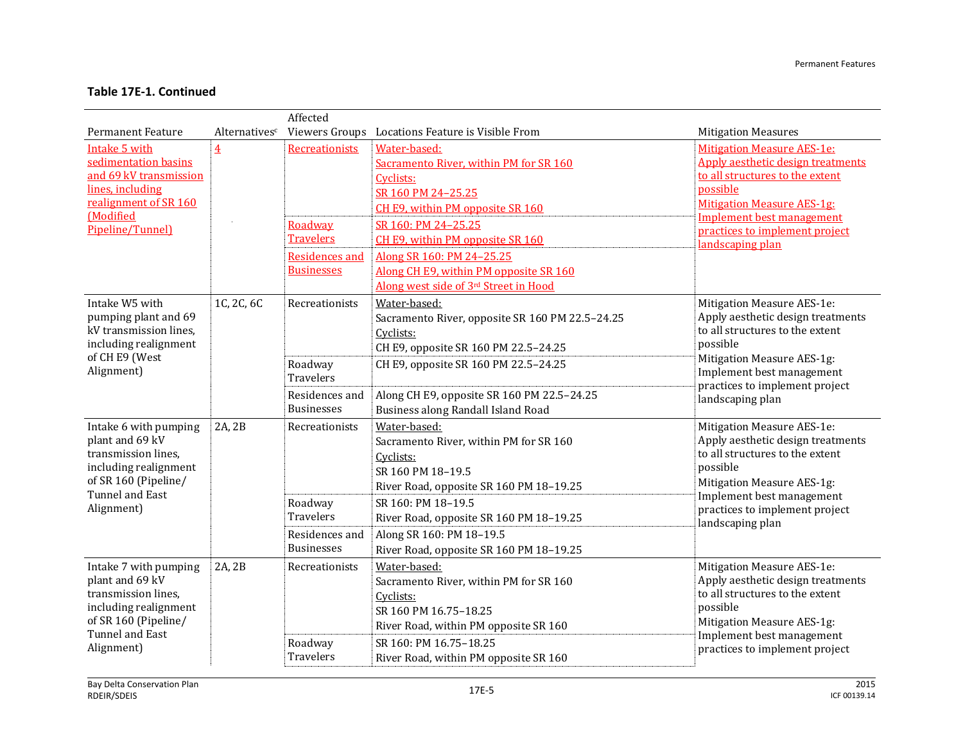|                                                                                                                                                     |                           | Affected                                                    |                                                                                                                                                                                                          |                                                                                                                                                                                                                                                             |
|-----------------------------------------------------------------------------------------------------------------------------------------------------|---------------------------|-------------------------------------------------------------|----------------------------------------------------------------------------------------------------------------------------------------------------------------------------------------------------------|-------------------------------------------------------------------------------------------------------------------------------------------------------------------------------------------------------------------------------------------------------------|
| <b>Permanent Feature</b>                                                                                                                            | Alternatives <sup>c</sup> |                                                             | Viewers Groups Locations Feature is Visible From                                                                                                                                                         | <b>Mitigation Measures</b>                                                                                                                                                                                                                                  |
| Intake 5 with<br>sedimentation basins<br>and 69 kV transmission<br>lines, including<br>realignment of SR 160<br><b>Modified</b><br>Pipeline/Tunnel) | $\overline{4}$            | Recreationists<br>Roadway<br><b>Travelers</b>               | Water-based:<br>Sacramento River, within PM for SR 160<br>Cyclists:<br>SR 160 PM 24-25.25<br>CH E9, within PM opposite SR 160<br>SR 160: PM 24-25.25<br>CH E9, within PM opposite SR 160                 | <b>Mitigation Measure AES-1e:</b><br><b>Apply aesthetic design treatments</b><br>to all structures to the extent<br>possible<br><b>Mitigation Measure AES-1g:</b><br><b>Implement best management</b><br>practices to implement project<br>landscaping plan |
|                                                                                                                                                     |                           | <b>Residences and</b><br><b>Businesses</b>                  | Along SR 160: PM 24-25.25<br>Along CH E9, within PM opposite SR 160                                                                                                                                      |                                                                                                                                                                                                                                                             |
| Intake W5 with<br>pumping plant and 69<br>kV transmission lines,<br>including realignment<br>of CH E9 (West                                         | 1C, 2C, 6C                | Recreationists<br>Roadway                                   | Along west side of 3rd Street in Hood<br>Water-based:<br>Sacramento River, opposite SR 160 PM 22.5-24.25<br>Cyclists:<br>CH E9, opposite SR 160 PM 22.5-24.25<br>CH E9, opposite SR 160 PM 22.5-24.25    | Mitigation Measure AES-1e:<br>Apply aesthetic design treatments<br>to all structures to the extent<br>possible<br>Mitigation Measure AES-1g:                                                                                                                |
| Alignment)                                                                                                                                          |                           | <b>Travelers</b><br>Residences and<br><b>Businesses</b>     | Along CH E9, opposite SR 160 PM 22.5-24.25<br>Business along Randall Island Road                                                                                                                         | Implement best management<br>practices to implement project<br>landscaping plan                                                                                                                                                                             |
| Intake 6 with pumping<br>plant and 69 kV<br>transmission lines,<br>including realignment<br>of SR 160 (Pipeline/<br>Tunnel and East                 | 2A, 2B                    | Recreationists                                              | Water-based:<br>Sacramento River, within PM for SR 160<br>Cyclists:<br>SR 160 PM 18-19.5<br>River Road, opposite SR 160 PM 18-19.25                                                                      | Mitigation Measure AES-1e:<br>Apply aesthetic design treatments<br>to all structures to the extent<br>possible<br>Mitigation Measure AES-1g:<br>Implement best management                                                                                   |
| Alignment)                                                                                                                                          |                           | Roadway<br>Travelers<br>Residences and<br><b>Businesses</b> | SR 160: PM 18-19.5<br>River Road, opposite SR 160 PM 18-19.25<br>Along SR 160: PM 18-19.5<br>River Road, opposite SR 160 PM 18-19.25                                                                     | practices to implement project<br>landscaping plan                                                                                                                                                                                                          |
| Intake 7 with pumping<br>plant and 69 kV<br>transmission lines,<br>including realignment<br>of SR 160 (Pipeline/<br>Tunnel and East<br>Alignment)   | 2A, 2B                    | Recreationists<br>Roadway<br><b>Travelers</b>               | Water-based:<br>Sacramento River, within PM for SR 160<br>Cyclists:<br>SR 160 PM 16.75-18.25<br>River Road, within PM opposite SR 160<br>SR 160: PM 16.75-18.25<br>River Road, within PM opposite SR 160 | Mitigation Measure AES-1e:<br>Apply aesthetic design treatments<br>to all structures to the extent<br>possible<br><b>Mitigation Measure AES-1g:</b><br>Implement best management<br>practices to implement project                                          |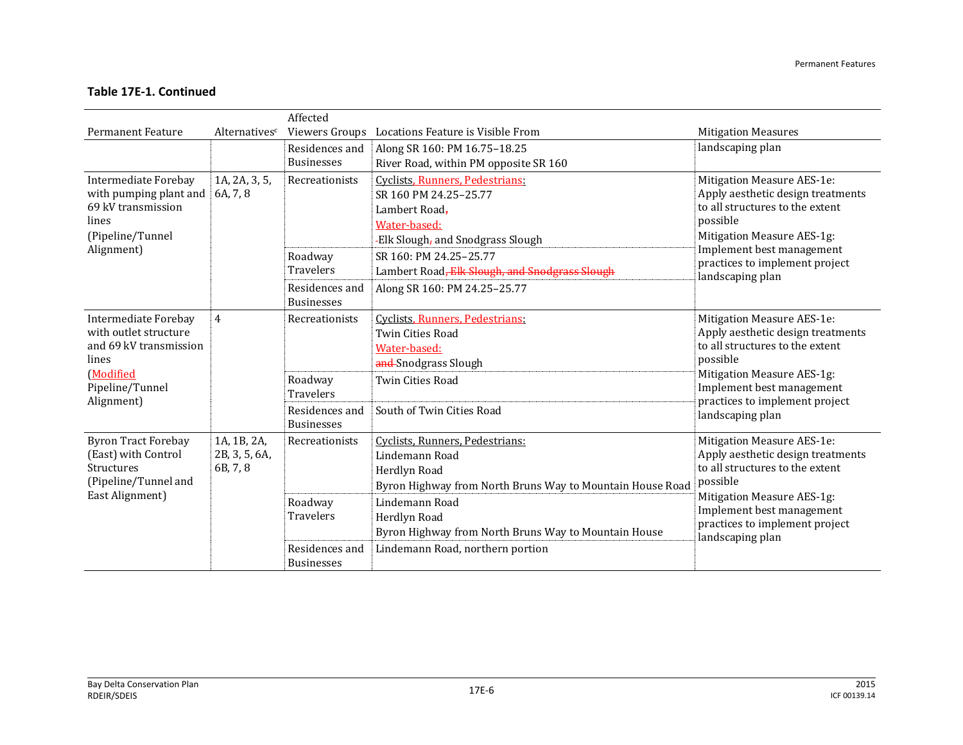|                                                                                     |                | Affected          |                                                           |                                                                                                                |
|-------------------------------------------------------------------------------------|----------------|-------------------|-----------------------------------------------------------|----------------------------------------------------------------------------------------------------------------|
| <b>Permanent Feature</b>                                                            | Alternativesc  |                   | Viewers Groups Locations Feature is Visible From          | <b>Mitigation Measures</b>                                                                                     |
|                                                                                     |                | Residences and    | Along SR 160: PM 16.75-18.25                              | landscaping plan                                                                                               |
|                                                                                     |                | <b>Businesses</b> | River Road, within PM opposite SR 160                     |                                                                                                                |
| <b>Intermediate Forebay</b>                                                         | 1A, 2A, 3, 5,  | Recreationists    | Cyclists, Runners, Pedestrians:                           | Mitigation Measure AES-1e:                                                                                     |
| with pumping plant and                                                              | 6A, 7, 8       |                   | SR 160 PM 24.25-25.77                                     | Apply aesthetic design treatments                                                                              |
| 69 kV transmission                                                                  |                |                   | Lambert Road-                                             | to all structures to the extent                                                                                |
| lines                                                                               |                |                   | Water-based:                                              | possible                                                                                                       |
| (Pipeline/Tunnel<br>Alignment)                                                      |                |                   | -Elk Slough, and Snodgrass Slough                         | Mitigation Measure AES-1g:<br>Implement best management                                                        |
|                                                                                     |                | Roadway           | SR 160: PM 24.25-25.77                                    | practices to implement project                                                                                 |
|                                                                                     |                | <b>Travelers</b>  | Lambert Road, Elk Slough, and Snodgrass Slough            | landscaping plan                                                                                               |
|                                                                                     |                | Residences and    | Along SR 160: PM 24.25-25.77                              |                                                                                                                |
|                                                                                     |                | <b>Businesses</b> |                                                           |                                                                                                                |
| <b>Intermediate Forebay</b>                                                         | $\overline{4}$ | Recreationists    | Cyclists, Runners, Pedestrians:                           | Mitigation Measure AES-1e:<br>Apply aesthetic design treatments<br>to all structures to the extent<br>possible |
| with outlet structure                                                               |                |                   | Twin Cities Road                                          |                                                                                                                |
| and 69 kV transmission<br>lines                                                     |                |                   | Water-based:                                              |                                                                                                                |
| (Modified                                                                           |                |                   | and-Snodgrass Slough                                      | Mitigation Measure AES-1g:                                                                                     |
| Pipeline/Tunnel                                                                     |                | Roadway           | <b>Twin Cities Road</b>                                   | Implement best management<br>practices to implement project<br>landscaping plan                                |
| Alignment)                                                                          |                | <b>Travelers</b>  |                                                           |                                                                                                                |
|                                                                                     |                | Residences and    | South of Twin Cities Road                                 |                                                                                                                |
|                                                                                     |                | <b>Businesses</b> |                                                           |                                                                                                                |
| <b>Byron Tract Forebay</b>                                                          | 1A, 1B, 2A,    | Recreationists    | Cyclists, Runners, Pedestrians:                           | Mitigation Measure AES-1e:                                                                                     |
| (East) with Control<br><b>Structures</b><br>(Pipeline/Tunnel and<br>East Alignment) | 2B, 3, 5, 6A,  |                   | Lindemann Road                                            | Apply aesthetic design treatments<br>to all structures to the extent                                           |
|                                                                                     | 6B, 7, 8       |                   | Herdlyn Road                                              | possible                                                                                                       |
|                                                                                     |                |                   | Byron Highway from North Bruns Way to Mountain House Road | Mitigation Measure AES-1g:                                                                                     |
|                                                                                     |                | Roadway           | Lindemann Road                                            | Implement best management                                                                                      |
|                                                                                     |                | <b>Travelers</b>  | Herdlyn Road                                              | practices to implement project                                                                                 |
|                                                                                     |                |                   | Byron Highway from North Bruns Way to Mountain House      | landscaping plan                                                                                               |
|                                                                                     |                | Residences and    | Lindemann Road, northern portion                          |                                                                                                                |
|                                                                                     |                | <b>Businesses</b> |                                                           |                                                                                                                |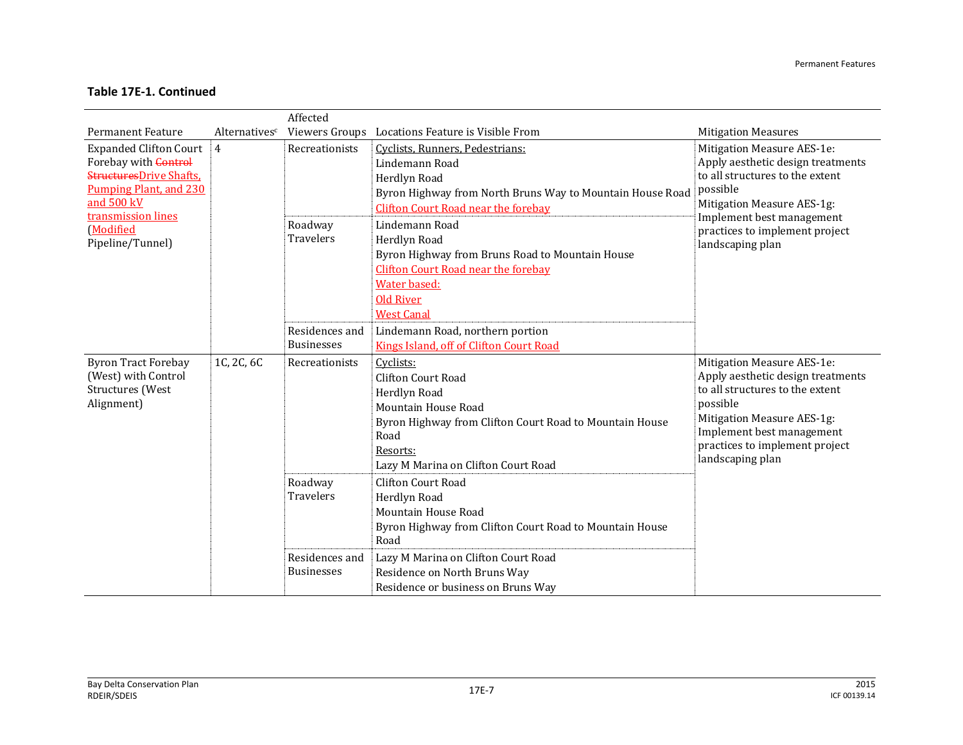|                                                                                                                                                                                                      |               | Affected                                                                                           |                                                                                                                                                                                                                                                                                                                                                                                                                                                                                      |                                                                                                                                                                                                                                 |
|------------------------------------------------------------------------------------------------------------------------------------------------------------------------------------------------------|---------------|----------------------------------------------------------------------------------------------------|--------------------------------------------------------------------------------------------------------------------------------------------------------------------------------------------------------------------------------------------------------------------------------------------------------------------------------------------------------------------------------------------------------------------------------------------------------------------------------------|---------------------------------------------------------------------------------------------------------------------------------------------------------------------------------------------------------------------------------|
| <b>Permanent Feature</b>                                                                                                                                                                             | Alternativesc |                                                                                                    | Viewers Groups Locations Feature is Visible From                                                                                                                                                                                                                                                                                                                                                                                                                                     | <b>Mitigation Measures</b>                                                                                                                                                                                                      |
| <b>Expanded Clifton Court</b><br>Forebay with <b>Control</b><br><b>StructuresDrive Shafts,</b><br><b>Pumping Plant, and 230</b><br>and 500 kV<br>transmission lines<br>(Modified<br>Pipeline/Tunnel) | 4             | Recreationists<br>Roadway<br>Travelers<br>Residences and                                           | Cyclists, Runners, Pedestrians:<br>Lindemann Road<br>Herdlyn Road<br>Byron Highway from North Bruns Way to Mountain House Road<br>Clifton Court Road near the forebay<br>Lindemann Road<br>Herdlyn Road<br>Byron Highway from Bruns Road to Mountain House<br><b>Clifton Court Road near the forebay</b><br>Water based:<br><b>Old River</b><br><b>West Canal</b><br>Lindemann Road, northern portion                                                                                | Mitigation Measure AES-1e:<br>Apply aesthetic design treatments<br>to all structures to the extent<br>possible<br>Mitigation Measure AES-1g:<br>Implement best management<br>practices to implement project<br>landscaping plan |
| <b>Byron Tract Forebay</b><br>(West) with Control<br>Structures (West<br>Alignment)                                                                                                                  | 1C, 2C, 6C    | <b>Businesses</b><br>Recreationists<br>Roadway<br>Travelers<br>Residences and<br><b>Businesses</b> | Kings Island, off of Clifton Court Road<br>Cyclists:<br>Clifton Court Road<br>Herdlyn Road<br>Mountain House Road<br>Byron Highway from Clifton Court Road to Mountain House<br>Road<br>Resorts:<br>Lazy M Marina on Clifton Court Road<br>Clifton Court Road<br>Herdlyn Road<br>Mountain House Road<br>Byron Highway from Clifton Court Road to Mountain House<br>Road<br>Lazy M Marina on Clifton Court Road<br>Residence on North Bruns Way<br>Residence or business on Bruns Way | Mitigation Measure AES-1e:<br>Apply aesthetic design treatments<br>to all structures to the extent<br>possible<br>Mitigation Measure AES-1g:<br>Implement best management<br>practices to implement project<br>landscaping plan |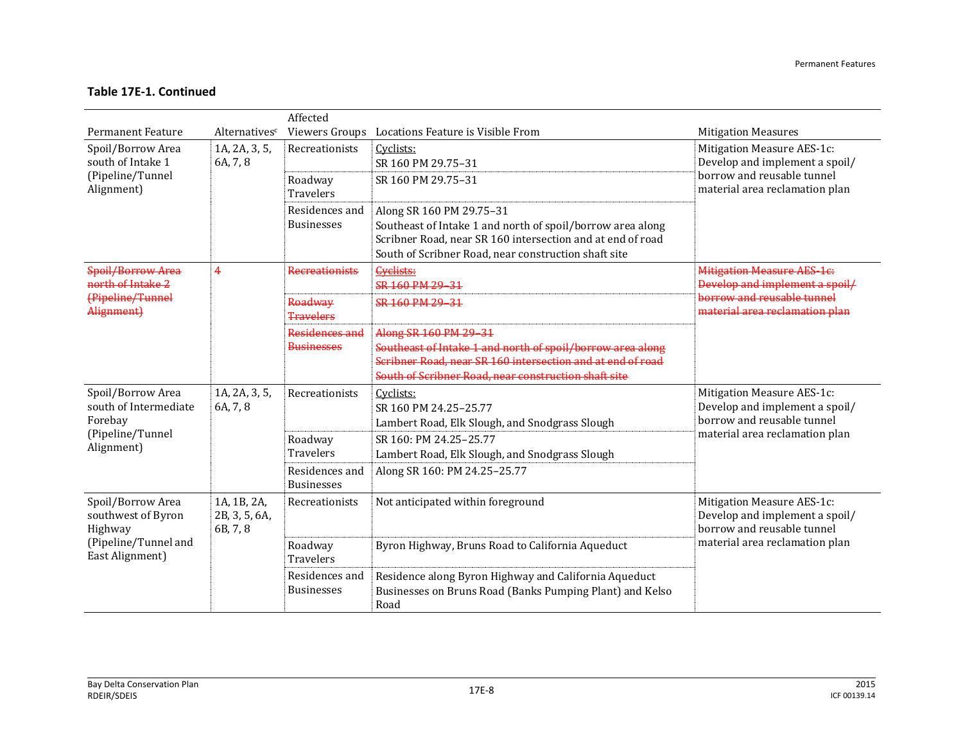|                                                                                               |                                          | Affected                            |                                                                                                                                                                                                              |                                                                                                                              |
|-----------------------------------------------------------------------------------------------|------------------------------------------|-------------------------------------|--------------------------------------------------------------------------------------------------------------------------------------------------------------------------------------------------------------|------------------------------------------------------------------------------------------------------------------------------|
| <b>Permanent Feature</b>                                                                      | Alternativesc                            |                                     | Viewers Groups Locations Feature is Visible From                                                                                                                                                             | <b>Mitigation Measures</b>                                                                                                   |
| Spoil/Borrow Area<br>south of Intake 1                                                        | 1A, 2A, 3, 5,<br>6A, 7, 8                | Recreationists                      | Cyclists:<br>SR 160 PM 29.75-31                                                                                                                                                                              | Mitigation Measure AES-1c:<br>Develop and implement a spoil/<br>borrow and reusable tunnel<br>material area reclamation plan |
| (Pipeline/Tunnel<br>Alignment)                                                                |                                          | Roadway<br>Travelers                | SR 160 PM 29.75-31                                                                                                                                                                                           |                                                                                                                              |
|                                                                                               |                                          | Residences and<br><b>Businesses</b> | Along SR 160 PM 29.75-31<br>Southeast of Intake 1 and north of spoil/borrow area along<br>Scribner Road, near SR 160 intersection and at end of road<br>South of Scribner Road, near construction shaft site |                                                                                                                              |
| Spoil/Borrow Area<br>north of Intake 2                                                        | $\overline{4}$                           | <b>Recreationists</b>               | <b>Cyclists:</b><br>SR 160 PM 29 31                                                                                                                                                                          | <b>Mitigation Measure AES-1e:</b><br>Develop and implement a spoil/                                                          |
| (Pipeline/Tunnel<br>Alignment)                                                                |                                          | Roadway<br><b>Travelers</b>         | SR 160 PM 29 31                                                                                                                                                                                              | borrow and reusable tunnel<br>material area reclamation plan                                                                 |
|                                                                                               |                                          | Residences and<br><b>Businesses</b> | Along SR 160 PM 29-31<br>Southeast of Intake 1 and north of spoil/borrow area along<br>Scribner Road, near SR 160 intersection and at end of road<br>South of Scribner Road, near construction shaft site    |                                                                                                                              |
| Spoil/Borrow Area<br>south of Intermediate<br>Forebay                                         | 1A, 2A, 3, 5,<br>6A, 7, 8                | Recreationists                      | Cyclists:<br>SR 160 PM 24.25-25.77<br>Lambert Road, Elk Slough, and Snodgrass Slough                                                                                                                         | Mitigation Measure AES-1c:<br>Develop and implement a spoil/<br>borrow and reusable tunnel<br>material area reclamation plan |
| (Pipeline/Tunnel<br>Alignment)                                                                |                                          | Roadway<br>Travelers                | SR 160: PM 24.25-25.77<br>Lambert Road, Elk Slough, and Snodgrass Slough                                                                                                                                     |                                                                                                                              |
|                                                                                               |                                          | Residences and<br><b>Businesses</b> | Along SR 160: PM 24.25-25.77                                                                                                                                                                                 |                                                                                                                              |
| Spoil/Borrow Area<br>southwest of Byron<br>Highway<br>(Pipeline/Tunnel and<br>East Alignment) | 1A, 1B, 2A,<br>2B, 3, 5, 6A,<br>6B, 7, 8 | Recreationists                      | Not anticipated within foreground                                                                                                                                                                            | Mitigation Measure AES-1c:<br>Develop and implement a spoil/<br>borrow and reusable tunnel<br>material area reclamation plan |
|                                                                                               |                                          | Roadway<br><b>Travelers</b>         | Byron Highway, Bruns Road to California Aqueduct                                                                                                                                                             |                                                                                                                              |
|                                                                                               |                                          | Residences and<br><b>Businesses</b> | Residence along Byron Highway and California Aqueduct<br>Businesses on Bruns Road (Banks Pumping Plant) and Kelso<br>Road                                                                                    |                                                                                                                              |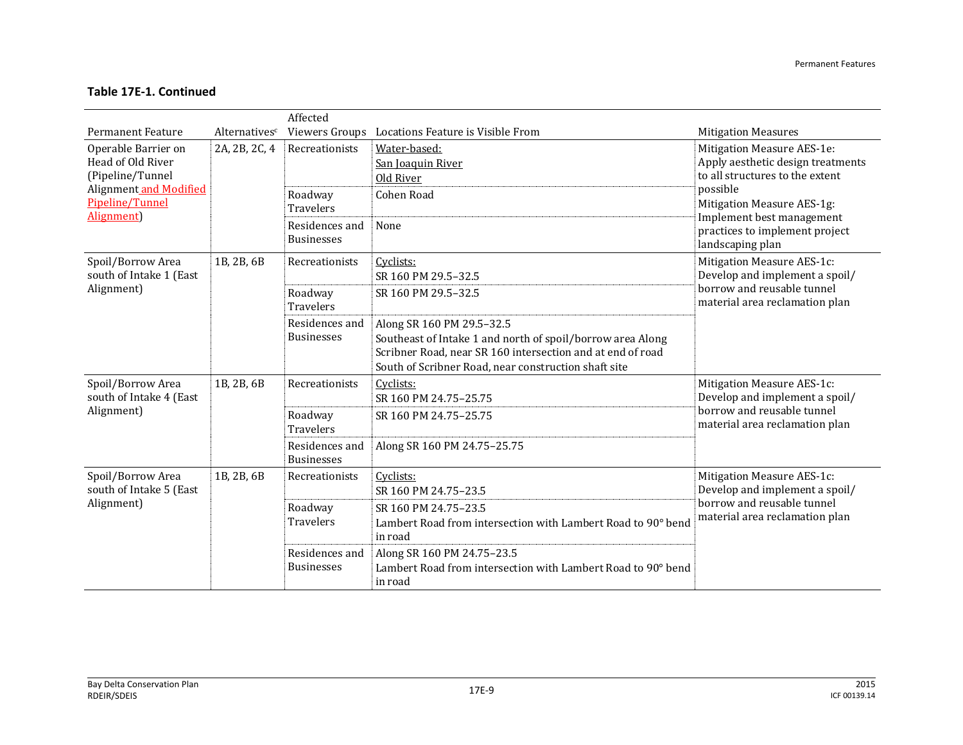|                                                                                        |               | Affected                                      |                                                                                                                                                                                                               |                                                                                                                              |
|----------------------------------------------------------------------------------------|---------------|-----------------------------------------------|---------------------------------------------------------------------------------------------------------------------------------------------------------------------------------------------------------------|------------------------------------------------------------------------------------------------------------------------------|
| <b>Permanent Feature</b>                                                               | Alternativesc | Viewers Groups                                | Locations Feature is Visible From                                                                                                                                                                             | <b>Mitigation Measures</b>                                                                                                   |
| Operable Barrier on<br>Head of Old River<br>(Pipeline/Tunnel<br>Alignment and Modified | 2A, 2B, 2C, 4 | Recreationists                                | Water-based:<br>San Joaquin River<br>Old River                                                                                                                                                                | Mitigation Measure AES-1e:<br>Apply aesthetic design treatments<br>to all structures to the extent<br>possible               |
| Pipeline/Tunnel<br>Alignment)                                                          |               | Roadway<br><b>Travelers</b><br>Residences and | Cohen Road<br>None                                                                                                                                                                                            | Mitigation Measure AES-1g:<br>Implement best management<br>practices to implement project                                    |
|                                                                                        |               | <b>Businesses</b>                             |                                                                                                                                                                                                               | landscaping plan                                                                                                             |
| Spoil/Borrow Area<br>south of Intake 1 (East                                           | 1B, 2B, 6B    | Recreationists                                | Cyclists:<br>SR 160 PM 29.5-32.5                                                                                                                                                                              | Mitigation Measure AES-1c:<br>Develop and implement a spoil/                                                                 |
| Alignment)                                                                             |               | Roadway<br><b>Travelers</b>                   | SR 160 PM 29.5-32.5                                                                                                                                                                                           | borrow and reusable tunnel<br>material area reclamation plan                                                                 |
|                                                                                        |               | Residences and<br><b>Businesses</b>           | Along SR 160 PM 29.5-32.5<br>Southeast of Intake 1 and north of spoil/borrow area Along<br>Scribner Road, near SR 160 intersection and at end of road<br>South of Scribner Road, near construction shaft site |                                                                                                                              |
| Spoil/Borrow Area<br>south of Intake 4 (East                                           | 1B, 2B, 6B    | Recreationists                                | Cyclists:<br>SR 160 PM 24.75-25.75                                                                                                                                                                            | Mitigation Measure AES-1c:<br>Develop and implement a spoil/                                                                 |
| Alignment)                                                                             |               | Roadway<br><b>Travelers</b>                   | SR 160 PM 24.75-25.75                                                                                                                                                                                         | borrow and reusable tunnel<br>material area reclamation plan                                                                 |
|                                                                                        |               | Residences and<br><b>Businesses</b>           | Along SR 160 PM 24.75-25.75                                                                                                                                                                                   |                                                                                                                              |
| Spoil/Borrow Area<br>south of Intake 5 (East<br>Alignment)                             | 1B, 2B, 6B    | Recreationists                                | Cyclists:<br>SR 160 PM 24.75-23.5                                                                                                                                                                             | Mitigation Measure AES-1c:<br>Develop and implement a spoil/<br>borrow and reusable tunnel<br>material area reclamation plan |
|                                                                                        |               | Roadway<br><b>Travelers</b>                   | SR 160 PM 24.75-23.5<br>Lambert Road from intersection with Lambert Road to 90° bend<br>in road                                                                                                               |                                                                                                                              |
|                                                                                        |               | Residences and<br><b>Businesses</b>           | Along SR 160 PM 24.75-23.5<br>Lambert Road from intersection with Lambert Road to 90° bend<br>in road                                                                                                         |                                                                                                                              |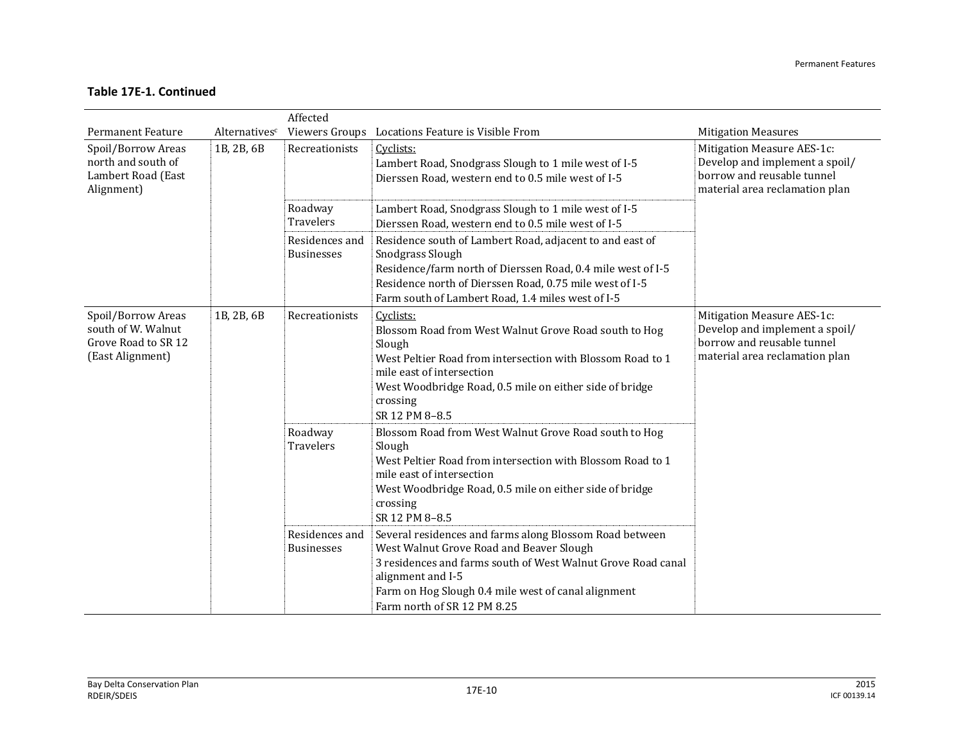|                                                                                     |               | Affected                            |                                                                                                                                                                                                                                                                                |                                                                                                                              |
|-------------------------------------------------------------------------------------|---------------|-------------------------------------|--------------------------------------------------------------------------------------------------------------------------------------------------------------------------------------------------------------------------------------------------------------------------------|------------------------------------------------------------------------------------------------------------------------------|
| <b>Permanent Feature</b>                                                            | Alternativesc |                                     | Viewers Groups Locations Feature is Visible From                                                                                                                                                                                                                               | <b>Mitigation Measures</b>                                                                                                   |
| Spoil/Borrow Areas<br>north and south of<br>Lambert Road (East<br>Alignment)        | 1B, 2B, 6B    | Recreationists                      | Cyclists:<br>Lambert Road, Snodgrass Slough to 1 mile west of I-5<br>Dierssen Road, western end to 0.5 mile west of I-5                                                                                                                                                        | Mitigation Measure AES-1c:<br>Develop and implement a spoil/<br>borrow and reusable tunnel<br>material area reclamation plan |
|                                                                                     |               | Roadway<br><b>Travelers</b>         | Lambert Road, Snodgrass Slough to 1 mile west of I-5<br>Dierssen Road, western end to 0.5 mile west of I-5                                                                                                                                                                     |                                                                                                                              |
|                                                                                     |               | Residences and<br><b>Businesses</b> | Residence south of Lambert Road, adjacent to and east of<br>Snodgrass Slough<br>Residence/farm north of Dierssen Road, 0.4 mile west of I-5                                                                                                                                    |                                                                                                                              |
|                                                                                     |               |                                     | Residence north of Dierssen Road, 0.75 mile west of I-5<br>Farm south of Lambert Road, 1.4 miles west of I-5                                                                                                                                                                   |                                                                                                                              |
| Spoil/Borrow Areas<br>south of W. Walnut<br>Grove Road to SR 12<br>(East Alignment) | 1B, 2B, 6B    | Recreationists                      | Cyclists:<br>Blossom Road from West Walnut Grove Road south to Hog<br>Slough<br>West Peltier Road from intersection with Blossom Road to 1<br>mile east of intersection<br>West Woodbridge Road, 0.5 mile on either side of bridge<br>crossing<br>SR 12 PM 8-8.5               | Mitigation Measure AES-1c:<br>Develop and implement a spoil/<br>borrow and reusable tunnel<br>material area reclamation plan |
|                                                                                     |               | Roadway<br>Travelers                | Blossom Road from West Walnut Grove Road south to Hog<br>Slough<br>West Peltier Road from intersection with Blossom Road to 1<br>mile east of intersection<br>West Woodbridge Road, 0.5 mile on either side of bridge<br>crossing<br>SR 12 PM 8-8.5                            |                                                                                                                              |
|                                                                                     |               | Residences and<br><b>Businesses</b> | Several residences and farms along Blossom Road between<br>West Walnut Grove Road and Beaver Slough<br>3 residences and farms south of West Walnut Grove Road canal<br>alignment and I-5<br>Farm on Hog Slough 0.4 mile west of canal alignment<br>Farm north of SR 12 PM 8.25 |                                                                                                                              |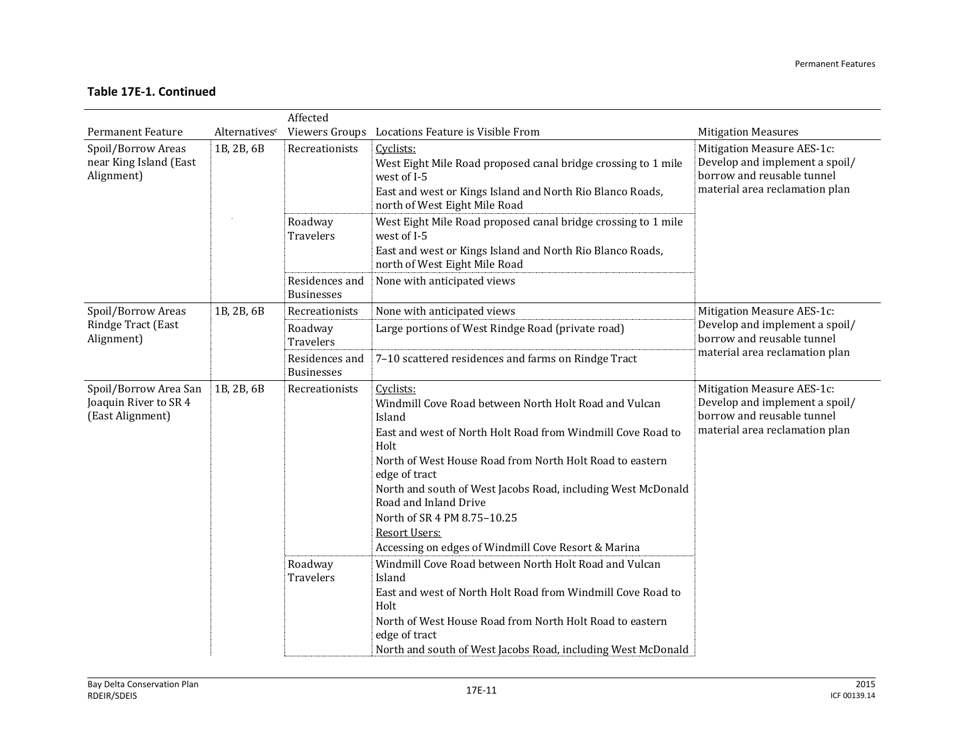|                                                                    |               | Affected                               |                                                                                                                                                                                                                                                                                                                                                                                                                                                                                                                                                                    |                                                                                                                              |
|--------------------------------------------------------------------|---------------|----------------------------------------|--------------------------------------------------------------------------------------------------------------------------------------------------------------------------------------------------------------------------------------------------------------------------------------------------------------------------------------------------------------------------------------------------------------------------------------------------------------------------------------------------------------------------------------------------------------------|------------------------------------------------------------------------------------------------------------------------------|
| <b>Permanent Feature</b>                                           | Alternativesc |                                        | Viewers Groups Locations Feature is Visible From                                                                                                                                                                                                                                                                                                                                                                                                                                                                                                                   | <b>Mitigation Measures</b>                                                                                                   |
| Spoil/Borrow Areas<br>near King Island (East<br>Alignment)         | 1B, 2B, 6B    | Recreationists                         | Cyclists:<br>West Eight Mile Road proposed canal bridge crossing to 1 mile<br>west of I-5<br>East and west or Kings Island and North Rio Blanco Roads,<br>north of West Eight Mile Road                                                                                                                                                                                                                                                                                                                                                                            | Mitigation Measure AES-1c:<br>Develop and implement a spoil/<br>borrow and reusable tunnel<br>material area reclamation plan |
|                                                                    |               | Roadway<br>Travelers                   | West Eight Mile Road proposed canal bridge crossing to 1 mile<br>west of I-5<br>East and west or Kings Island and North Rio Blanco Roads,<br>north of West Eight Mile Road                                                                                                                                                                                                                                                                                                                                                                                         |                                                                                                                              |
|                                                                    |               | Residences and<br><b>Businesses</b>    | None with anticipated views                                                                                                                                                                                                                                                                                                                                                                                                                                                                                                                                        |                                                                                                                              |
| Spoil/Borrow Areas                                                 | 1B, 2B, 6B    | Recreationists                         | None with anticipated views                                                                                                                                                                                                                                                                                                                                                                                                                                                                                                                                        | Mitigation Measure AES-1c:<br>Develop and implement a spoil/<br>borrow and reusable tunnel<br>material area reclamation plan |
| Rindge Tract (East<br>Alignment)                                   |               | Roadway<br>Travelers                   | Large portions of West Rindge Road (private road)                                                                                                                                                                                                                                                                                                                                                                                                                                                                                                                  |                                                                                                                              |
|                                                                    |               | Residences and<br><b>Businesses</b>    | 7-10 scattered residences and farms on Rindge Tract                                                                                                                                                                                                                                                                                                                                                                                                                                                                                                                |                                                                                                                              |
| Spoil/Borrow Area San<br>Joaquin River to SR 4<br>(East Alignment) | 1B, 2B, 6B    | Recreationists<br>Roadway<br>Travelers | Cyclists:<br>Windmill Cove Road between North Holt Road and Vulcan<br>Island<br>East and west of North Holt Road from Windmill Cove Road to<br>Holt<br>North of West House Road from North Holt Road to eastern<br>edge of tract<br>North and south of West Jacobs Road, including West McDonald<br>Road and Inland Drive<br>North of SR 4 PM 8.75-10.25<br>Resort Users:<br>Accessing on edges of Windmill Cove Resort & Marina<br>Windmill Cove Road between North Holt Road and Vulcan<br>Island<br>East and west of North Holt Road from Windmill Cove Road to | Mitigation Measure AES-1c:<br>Develop and implement a spoil/<br>borrow and reusable tunnel<br>material area reclamation plan |
|                                                                    |               |                                        | Holt<br>North of West House Road from North Holt Road to eastern<br>edge of tract<br>North and south of West Jacobs Road, including West McDonald                                                                                                                                                                                                                                                                                                                                                                                                                  |                                                                                                                              |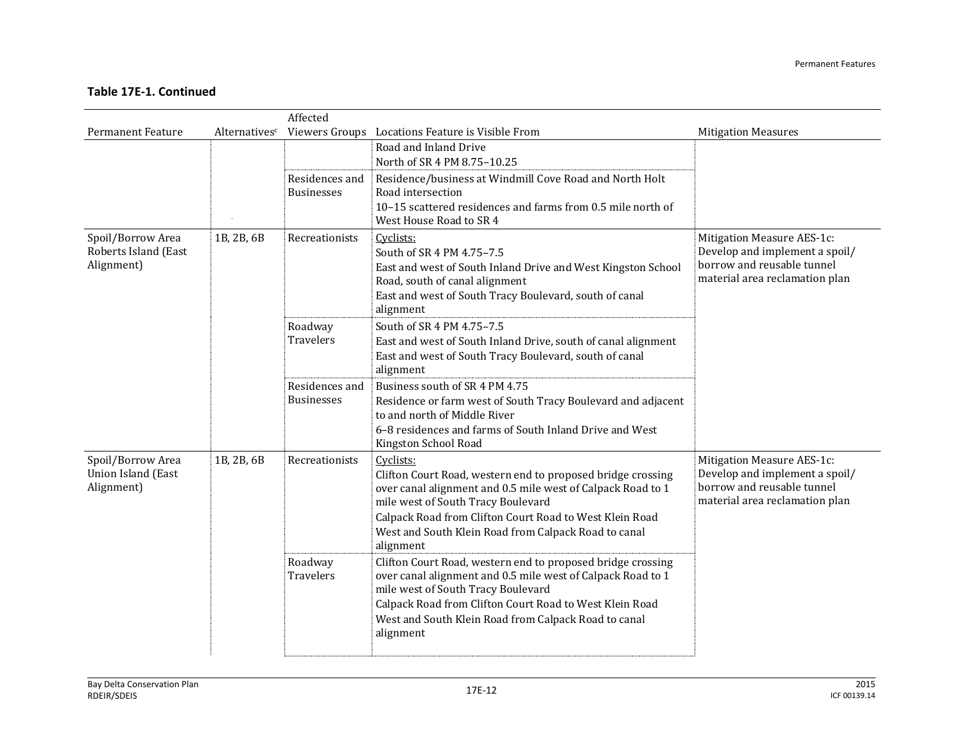|                          |               | Affected                            |                                                                                               |                                                              |
|--------------------------|---------------|-------------------------------------|-----------------------------------------------------------------------------------------------|--------------------------------------------------------------|
| <b>Permanent Feature</b> | Alternativesc |                                     | Viewers Groups Locations Feature is Visible From                                              | <b>Mitigation Measures</b>                                   |
|                          |               |                                     | Road and Inland Drive                                                                         |                                                              |
|                          |               |                                     | North of SR 4 PM 8.75-10.25                                                                   |                                                              |
|                          |               | Residences and<br><b>Businesses</b> | Residence/business at Windmill Cove Road and North Holt<br>Road intersection                  |                                                              |
|                          |               |                                     | 10-15 scattered residences and farms from 0.5 mile north of                                   |                                                              |
|                          |               |                                     | West House Road to SR 4                                                                       |                                                              |
| Spoil/Borrow Area        | 1B, 2B, 6B    | Recreationists                      | Cyclists:                                                                                     | Mitigation Measure AES-1c:                                   |
| Roberts Island (East     |               |                                     | South of SR 4 PM 4.75-7.5                                                                     | Develop and implement a spoil/<br>borrow and reusable tunnel |
| Alignment)               |               |                                     | East and west of South Inland Drive and West Kingston School                                  | material area reclamation plan                               |
|                          |               |                                     | Road, south of canal alignment<br>East and west of South Tracy Boulevard, south of canal      |                                                              |
|                          |               |                                     | alignment                                                                                     |                                                              |
|                          |               | Roadway                             | South of SR 4 PM 4.75-7.5                                                                     |                                                              |
|                          |               | <b>Travelers</b>                    | East and west of South Inland Drive, south of canal alignment                                 |                                                              |
|                          |               |                                     | East and west of South Tracy Boulevard, south of canal                                        |                                                              |
|                          |               |                                     | alignment                                                                                     |                                                              |
|                          |               | Residences and                      | Business south of SR 4 PM 4.75                                                                |                                                              |
|                          |               | <b>Businesses</b>                   | Residence or farm west of South Tracy Boulevard and adjacent<br>to and north of Middle River  |                                                              |
|                          |               |                                     | 6-8 residences and farms of South Inland Drive and West                                       |                                                              |
|                          |               |                                     | Kingston School Road                                                                          |                                                              |
| Spoil/Borrow Area        | 1B, 2B, 6B    | Recreationists                      | Cyclists:                                                                                     | Mitigation Measure AES-1c:                                   |
| Union Island (East       |               |                                     | Clifton Court Road, western end to proposed bridge crossing                                   | Develop and implement a spoil/                               |
| Alignment)               |               |                                     | over canal alignment and 0.5 mile west of Calpack Road to 1                                   | borrow and reusable tunnel<br>material area reclamation plan |
|                          |               |                                     | mile west of South Tracy Boulevard<br>Calpack Road from Clifton Court Road to West Klein Road |                                                              |
|                          |               |                                     | West and South Klein Road from Calpack Road to canal                                          |                                                              |
|                          |               |                                     | alignment                                                                                     |                                                              |
|                          |               | Roadway                             | Clifton Court Road, western end to proposed bridge crossing                                   |                                                              |
|                          |               | Travelers                           | over canal alignment and 0.5 mile west of Calpack Road to 1                                   |                                                              |
|                          |               |                                     | mile west of South Tracy Boulevard                                                            |                                                              |
|                          |               |                                     | Calpack Road from Clifton Court Road to West Klein Road                                       |                                                              |
|                          |               |                                     | West and South Klein Road from Calpack Road to canal<br>alignment                             |                                                              |
|                          |               |                                     |                                                                                               |                                                              |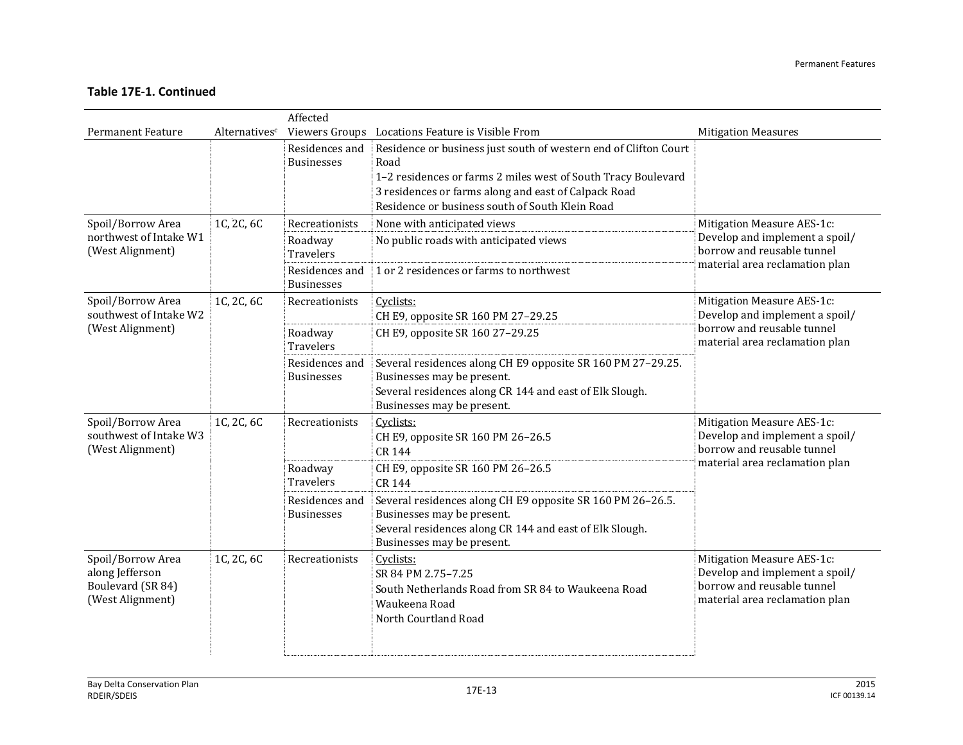|                                                                               |               | Affected                            |                                                                                                                                                                                    |                                                                                                                              |
|-------------------------------------------------------------------------------|---------------|-------------------------------------|------------------------------------------------------------------------------------------------------------------------------------------------------------------------------------|------------------------------------------------------------------------------------------------------------------------------|
| <b>Permanent Feature</b>                                                      | Alternativesc |                                     | Viewers Groups Locations Feature is Visible From                                                                                                                                   | <b>Mitigation Measures</b>                                                                                                   |
|                                                                               |               | Residences and<br><b>Businesses</b> | Residence or business just south of western end of Clifton Court<br>Road                                                                                                           |                                                                                                                              |
|                                                                               |               |                                     | 1-2 residences or farms 2 miles west of South Tracy Boulevard                                                                                                                      |                                                                                                                              |
|                                                                               |               |                                     | 3 residences or farms along and east of Calpack Road                                                                                                                               |                                                                                                                              |
|                                                                               |               |                                     | Residence or business south of South Klein Road                                                                                                                                    |                                                                                                                              |
| Spoil/Borrow Area                                                             | 1C, 2C, 6C    | Recreationists                      | None with anticipated views                                                                                                                                                        | Mitigation Measure AES-1c:                                                                                                   |
| northwest of Intake W1<br>(West Alignment)                                    |               | Roadway<br><b>Travelers</b>         | No public roads with anticipated views                                                                                                                                             | Develop and implement a spoil/<br>borrow and reusable tunnel                                                                 |
|                                                                               |               | Residences and<br><b>Businesses</b> | 1 or 2 residences or farms to northwest                                                                                                                                            | material area reclamation plan                                                                                               |
| Spoil/Borrow Area<br>southwest of Intake W2                                   | 1C, 2C, 6C    | Recreationists                      | Cyclists:<br>CH E9, opposite SR 160 PM 27-29.25                                                                                                                                    | Mitigation Measure AES-1c:<br>Develop and implement a spoil/                                                                 |
| (West Alignment)                                                              |               | Roadway<br>Travelers                | CH E9, opposite SR 160 27-29.25                                                                                                                                                    | borrow and reusable tunnel<br>material area reclamation plan                                                                 |
|                                                                               |               | Residences and<br><b>Businesses</b> | Several residences along CH E9 opposite SR 160 PM 27-29.25.<br>Businesses may be present.<br>Several residences along CR 144 and east of Elk Slough.<br>Businesses may be present. |                                                                                                                              |
| Spoil/Borrow Area<br>southwest of Intake W3<br>(West Alignment)               | 1C, 2C, 6C    | Recreationists                      | Cyclists:<br>CH E9, opposite SR 160 PM 26-26.5<br>CR 144                                                                                                                           | Mitigation Measure AES-1c:<br>Develop and implement a spoil/<br>borrow and reusable tunnel                                   |
|                                                                               |               | Roadway<br><b>Travelers</b>         | CH E9, opposite SR 160 PM 26-26.5<br>CR 144                                                                                                                                        | material area reclamation plan                                                                                               |
|                                                                               |               | Residences and<br><b>Businesses</b> | Several residences along CH E9 opposite SR 160 PM 26-26.5.<br>Businesses may be present.<br>Several residences along CR 144 and east of Elk Slough.<br>Businesses may be present.  |                                                                                                                              |
| Spoil/Borrow Area<br>along Jefferson<br>Boulevard (SR 84)<br>(West Alignment) | 1C, 2C, 6C    | Recreationists                      | Cyclists:<br>SR 84 PM 2.75-7.25<br>South Netherlands Road from SR 84 to Waukeena Road<br>Waukeena Road<br>North Courtland Road                                                     | Mitigation Measure AES-1c:<br>Develop and implement a spoil/<br>borrow and reusable tunnel<br>material area reclamation plan |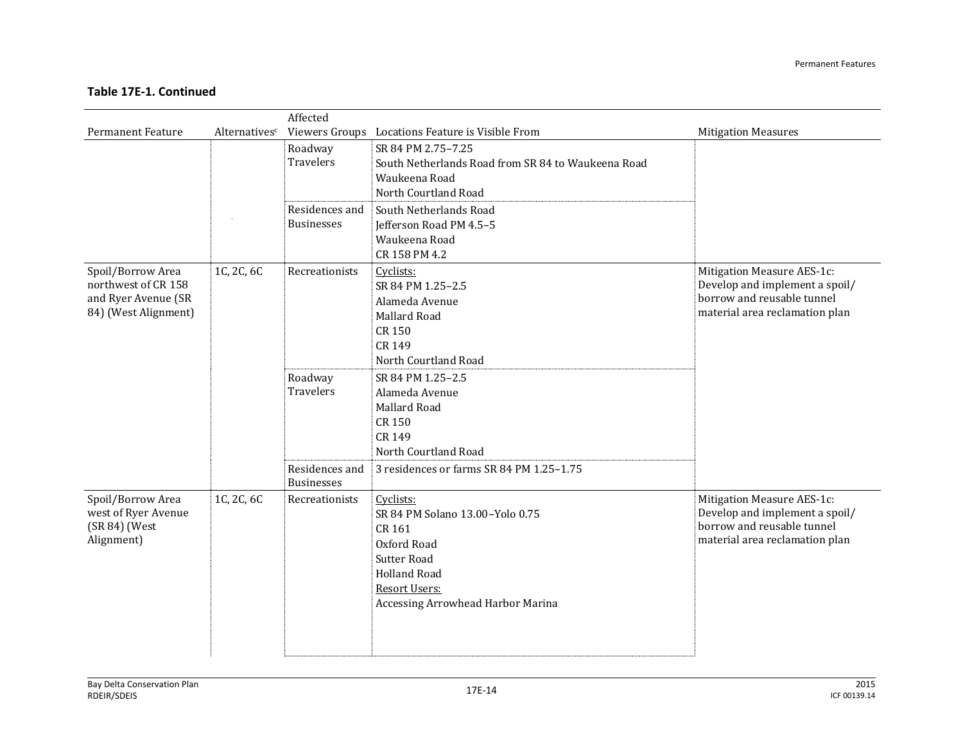|                                                                                         |               | Affected                                      |                                                                                                                                                                                 |                                                                                                                              |
|-----------------------------------------------------------------------------------------|---------------|-----------------------------------------------|---------------------------------------------------------------------------------------------------------------------------------------------------------------------------------|------------------------------------------------------------------------------------------------------------------------------|
| <b>Permanent Feature</b>                                                                | Alternativesc |                                               | Viewers Groups Locations Feature is Visible From                                                                                                                                | <b>Mitigation Measures</b>                                                                                                   |
|                                                                                         |               | Roadway<br><b>Travelers</b>                   | SR 84 PM 2.75-7.25<br>South Netherlands Road from SR 84 to Waukeena Road<br>Waukeena Road<br>North Courtland Road                                                               |                                                                                                                              |
|                                                                                         |               | Residences and<br><b>Businesses</b>           | South Netherlands Road<br>Jefferson Road PM 4.5-5<br>Waukeena Road<br>CR 158 PM 4.2                                                                                             |                                                                                                                              |
| Spoil/Borrow Area<br>northwest of CR 158<br>and Ryer Avenue (SR<br>84) (West Alignment) | 1C, 2C, 6C    | Recreationists<br>Roadway<br><b>Travelers</b> | Cyclists:<br>SR 84 PM 1.25-2.5<br>Alameda Avenue<br>Mallard Road<br><b>CR 150</b><br>CR 149<br>North Courtland Road<br>SR 84 PM 1.25-2.5<br>Alameda Avenue                      | Mitigation Measure AES-1c:<br>Develop and implement a spoil/<br>borrow and reusable tunnel<br>material area reclamation plan |
|                                                                                         |               | Residences and<br><b>Businesses</b>           | Mallard Road<br><b>CR 150</b><br>CR 149<br>North Courtland Road<br>3 residences or farms SR 84 PM 1.25-1.75                                                                     |                                                                                                                              |
| Spoil/Borrow Area<br>west of Ryer Avenue<br>(SR 84) (West<br>Alignment)                 | 1C, 2C, 6C    | Recreationists                                | Cyclists:<br>SR 84 PM Solano 13.00-Yolo 0.75<br>CR 161<br>Oxford Road<br><b>Sutter Road</b><br><b>Holland Road</b><br><b>Resort Users:</b><br>Accessing Arrowhead Harbor Marina | Mitigation Measure AES-1c:<br>Develop and implement a spoil/<br>borrow and reusable tunnel<br>material area reclamation plan |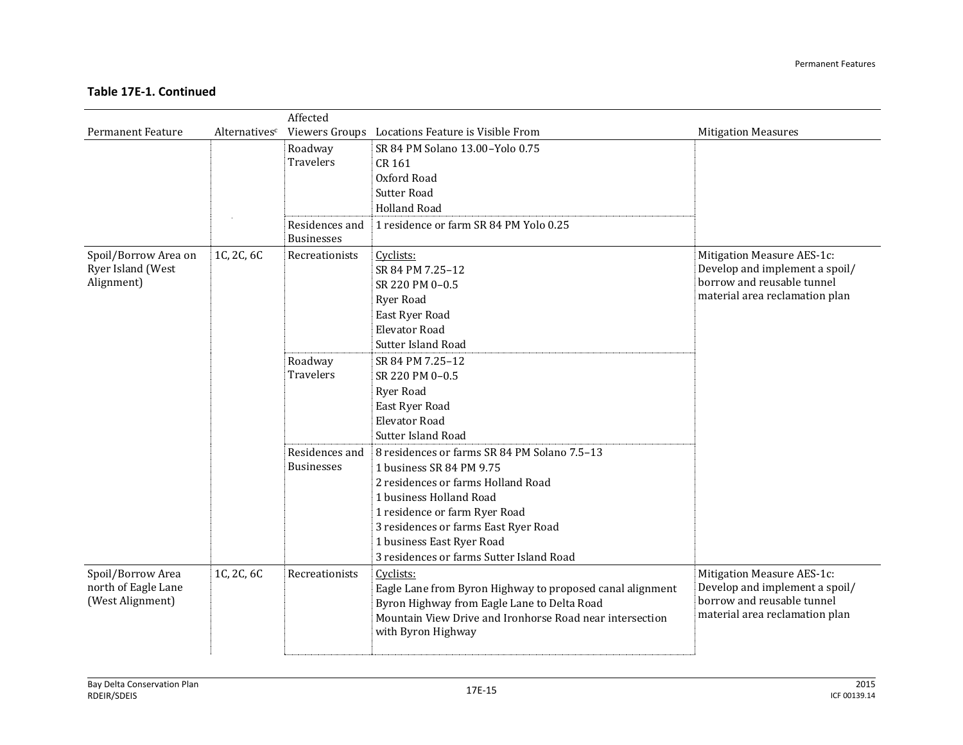|                                          | Affected                  |                                     |                                                                                                          |                                                              |  |  |  |
|------------------------------------------|---------------------------|-------------------------------------|----------------------------------------------------------------------------------------------------------|--------------------------------------------------------------|--|--|--|
| <b>Permanent Feature</b>                 | Alternatives <sup>c</sup> |                                     | Viewers Groups Locations Feature is Visible From                                                         | <b>Mitigation Measures</b>                                   |  |  |  |
|                                          |                           | Roadway                             | SR 84 PM Solano 13.00-Yolo 0.75                                                                          |                                                              |  |  |  |
|                                          |                           | <b>Travelers</b>                    | CR 161                                                                                                   |                                                              |  |  |  |
|                                          |                           |                                     | Oxford Road                                                                                              |                                                              |  |  |  |
|                                          |                           |                                     | <b>Sutter Road</b>                                                                                       |                                                              |  |  |  |
|                                          |                           |                                     | <b>Holland Road</b>                                                                                      |                                                              |  |  |  |
|                                          |                           | Residences and<br><b>Businesses</b> | 1 residence or farm SR 84 PM Yolo 0.25                                                                   |                                                              |  |  |  |
| Spoil/Borrow Area on                     | 1C, 2C, 6C                | Recreationists                      | Cyclists:                                                                                                | Mitigation Measure AES-1c:                                   |  |  |  |
| Ryer Island (West                        |                           |                                     | SR 84 PM 7.25-12                                                                                         | Develop and implement a spoil/                               |  |  |  |
| Alignment)                               |                           |                                     | SR 220 PM 0-0.5                                                                                          | borrow and reusable tunnel                                   |  |  |  |
|                                          |                           |                                     | <b>Ryer Road</b>                                                                                         | material area reclamation plan                               |  |  |  |
|                                          |                           |                                     | East Ryer Road                                                                                           |                                                              |  |  |  |
|                                          |                           |                                     | <b>Elevator Road</b>                                                                                     |                                                              |  |  |  |
|                                          |                           |                                     | <b>Sutter Island Road</b>                                                                                |                                                              |  |  |  |
|                                          |                           | Roadway                             | SR 84 PM 7.25-12                                                                                         |                                                              |  |  |  |
|                                          |                           | Travelers                           | SR 220 PM 0-0.5                                                                                          |                                                              |  |  |  |
|                                          |                           |                                     | <b>Ryer Road</b>                                                                                         |                                                              |  |  |  |
|                                          |                           |                                     | East Ryer Road                                                                                           |                                                              |  |  |  |
|                                          |                           |                                     | <b>Elevator Road</b>                                                                                     |                                                              |  |  |  |
|                                          |                           |                                     | Sutter Island Road                                                                                       |                                                              |  |  |  |
|                                          |                           | Residences and                      | 8 residences or farms SR 84 PM Solano 7.5-13                                                             |                                                              |  |  |  |
|                                          |                           | <b>Businesses</b>                   | 1 business SR 84 PM 9.75                                                                                 |                                                              |  |  |  |
|                                          |                           |                                     | 2 residences or farms Holland Road                                                                       |                                                              |  |  |  |
|                                          |                           |                                     | 1 business Holland Road                                                                                  |                                                              |  |  |  |
|                                          |                           |                                     | 1 residence or farm Ryer Road                                                                            |                                                              |  |  |  |
|                                          |                           |                                     | 3 residences or farms East Ryer Road                                                                     |                                                              |  |  |  |
|                                          |                           |                                     | 1 business East Ryer Road                                                                                |                                                              |  |  |  |
|                                          |                           |                                     | 3 residences or farms Sutter Island Road                                                                 |                                                              |  |  |  |
| Spoil/Borrow Area<br>north of Eagle Lane | 1C, 2C, 6C                | Recreationists                      | Cyclists:                                                                                                | Mitigation Measure AES-1c:<br>Develop and implement a spoil/ |  |  |  |
| (West Alignment)                         |                           |                                     | Eagle Lane from Byron Highway to proposed canal alignment<br>Byron Highway from Eagle Lane to Delta Road | borrow and reusable tunnel                                   |  |  |  |
|                                          |                           |                                     | Mountain View Drive and Ironhorse Road near intersection                                                 | material area reclamation plan                               |  |  |  |
|                                          |                           |                                     | with Byron Highway                                                                                       |                                                              |  |  |  |
|                                          |                           |                                     |                                                                                                          |                                                              |  |  |  |
|                                          |                           |                                     |                                                                                                          |                                                              |  |  |  |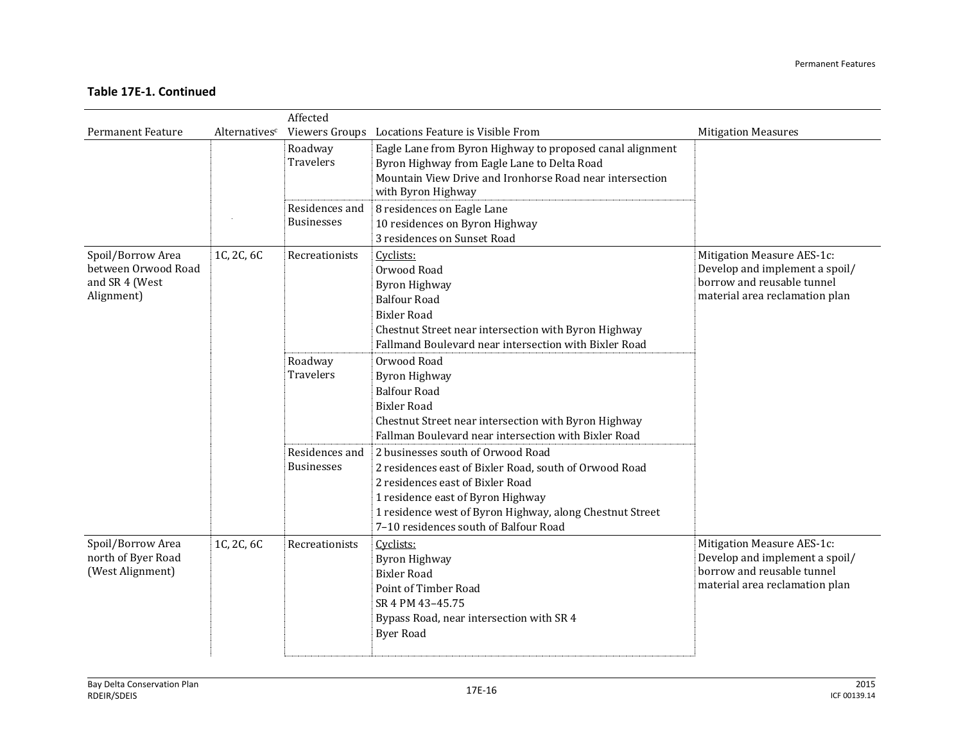|                                                                          |               | Affected                            |                                                                                                                                                                                                                                                                           |                                                                                                                              |
|--------------------------------------------------------------------------|---------------|-------------------------------------|---------------------------------------------------------------------------------------------------------------------------------------------------------------------------------------------------------------------------------------------------------------------------|------------------------------------------------------------------------------------------------------------------------------|
| <b>Permanent Feature</b>                                                 | Alternativesc |                                     | Viewers Groups Locations Feature is Visible From                                                                                                                                                                                                                          | <b>Mitigation Measures</b>                                                                                                   |
|                                                                          |               | Roadway<br><b>Travelers</b>         | Eagle Lane from Byron Highway to proposed canal alignment<br>Byron Highway from Eagle Lane to Delta Road<br>Mountain View Drive and Ironhorse Road near intersection<br>with Byron Highway                                                                                |                                                                                                                              |
|                                                                          |               | Residences and<br><b>Businesses</b> | 8 residences on Eagle Lane<br>10 residences on Byron Highway<br>3 residences on Sunset Road                                                                                                                                                                               |                                                                                                                              |
| Spoil/Borrow Area<br>between Orwood Road<br>and SR 4 (West<br>Alignment) | 1C, 2C, 6C    | Recreationists                      | Cyclists:<br>Orwood Road<br><b>Byron Highway</b><br><b>Balfour Road</b><br><b>Bixler Road</b><br>Chestnut Street near intersection with Byron Highway<br>Fallmand Boulevard near intersection with Bixler Road                                                            | Mitigation Measure AES-1c:<br>Develop and implement a spoil/<br>borrow and reusable tunnel<br>material area reclamation plan |
|                                                                          |               | Roadway<br><b>Travelers</b>         | Orwood Road<br>Byron Highway<br><b>Balfour Road</b><br><b>Bixler Road</b><br>Chestnut Street near intersection with Byron Highway<br>Fallman Boulevard near intersection with Bixler Road                                                                                 |                                                                                                                              |
|                                                                          |               | Residences and<br><b>Businesses</b> | 2 businesses south of Orwood Road<br>2 residences east of Bixler Road, south of Orwood Road<br>2 residences east of Bixler Road<br>1 residence east of Byron Highway<br>1 residence west of Byron Highway, along Chestnut Street<br>7-10 residences south of Balfour Road |                                                                                                                              |
| Spoil/Borrow Area<br>north of Byer Road<br>(West Alignment)              | 1C, 2C, 6C    | Recreationists                      | Cyclists:<br><b>Byron Highway</b><br><b>Bixler Road</b><br>Point of Timber Road<br>SR 4 PM 43-45.75<br>Bypass Road, near intersection with SR 4<br><b>Byer Road</b>                                                                                                       | Mitigation Measure AES-1c:<br>Develop and implement a spoil/<br>borrow and reusable tunnel<br>material area reclamation plan |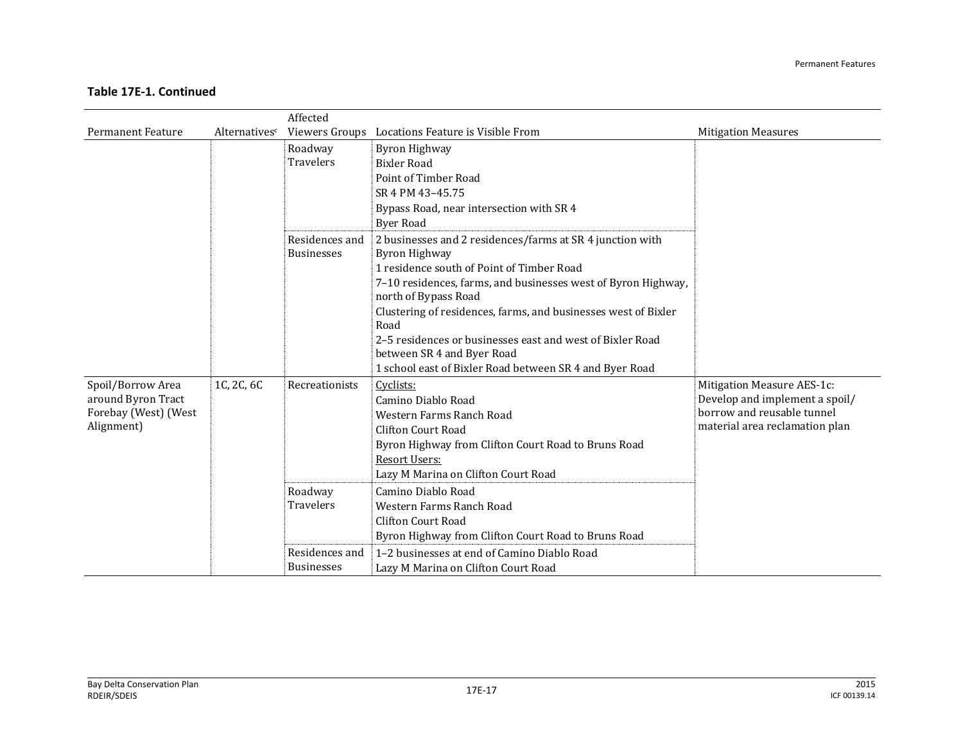|                                         |                           | Affected                    |                                                                                         |                                                              |
|-----------------------------------------|---------------------------|-----------------------------|-----------------------------------------------------------------------------------------|--------------------------------------------------------------|
| <b>Permanent Feature</b>                | Alternatives <sup>c</sup> |                             | Viewers Groups Locations Feature is Visible From                                        | <b>Mitigation Measures</b>                                   |
|                                         |                           | Roadway                     | Byron Highway                                                                           |                                                              |
|                                         |                           | <b>Travelers</b>            | <b>Bixler Road</b>                                                                      |                                                              |
|                                         |                           |                             | Point of Timber Road                                                                    |                                                              |
|                                         |                           |                             | SR 4 PM 43-45.75                                                                        |                                                              |
|                                         |                           |                             | Bypass Road, near intersection with SR 4                                                |                                                              |
|                                         |                           |                             | Byer Road                                                                               |                                                              |
|                                         |                           | Residences and              | 2 businesses and 2 residences/farms at SR 4 junction with                               |                                                              |
|                                         |                           | <b>Businesses</b>           | <b>Byron Highway</b>                                                                    |                                                              |
|                                         |                           |                             | 1 residence south of Point of Timber Road                                               |                                                              |
|                                         |                           |                             | 7-10 residences, farms, and businesses west of Byron Highway,                           |                                                              |
|                                         |                           |                             | north of Bypass Road                                                                    |                                                              |
|                                         |                           |                             | Clustering of residences, farms, and businesses west of Bixler                          |                                                              |
|                                         |                           |                             | Road                                                                                    |                                                              |
|                                         |                           |                             | 2-5 residences or businesses east and west of Bixler Road<br>between SR 4 and Byer Road |                                                              |
|                                         |                           |                             | 1 school east of Bixler Road between SR 4 and Byer Road                                 |                                                              |
|                                         |                           |                             |                                                                                         |                                                              |
| Spoil/Borrow Area<br>around Byron Tract | 1C, 2C, 6C                | Recreationists              | Cyclists:<br>Camino Diablo Road                                                         | Mitigation Measure AES-1c:<br>Develop and implement a spoil/ |
| Forebay (West) (West                    |                           |                             | Western Farms Ranch Road                                                                | borrow and reusable tunnel                                   |
| Alignment)                              |                           |                             | Clifton Court Road                                                                      | material area reclamation plan                               |
|                                         |                           |                             |                                                                                         |                                                              |
|                                         |                           |                             | Byron Highway from Clifton Court Road to Bruns Road<br><b>Resort Users:</b>             |                                                              |
|                                         |                           |                             | Lazy M Marina on Clifton Court Road                                                     |                                                              |
|                                         |                           |                             |                                                                                         |                                                              |
|                                         |                           | Roadway<br><b>Travelers</b> | Camino Diablo Road<br>Western Farms Ranch Road                                          |                                                              |
|                                         |                           |                             | Clifton Court Road                                                                      |                                                              |
|                                         |                           |                             |                                                                                         |                                                              |
|                                         |                           |                             | Byron Highway from Clifton Court Road to Bruns Road                                     |                                                              |
|                                         |                           | Residences and              | 1-2 businesses at end of Camino Diablo Road                                             |                                                              |
|                                         |                           | <b>Businesses</b>           | Lazy M Marina on Clifton Court Road                                                     |                                                              |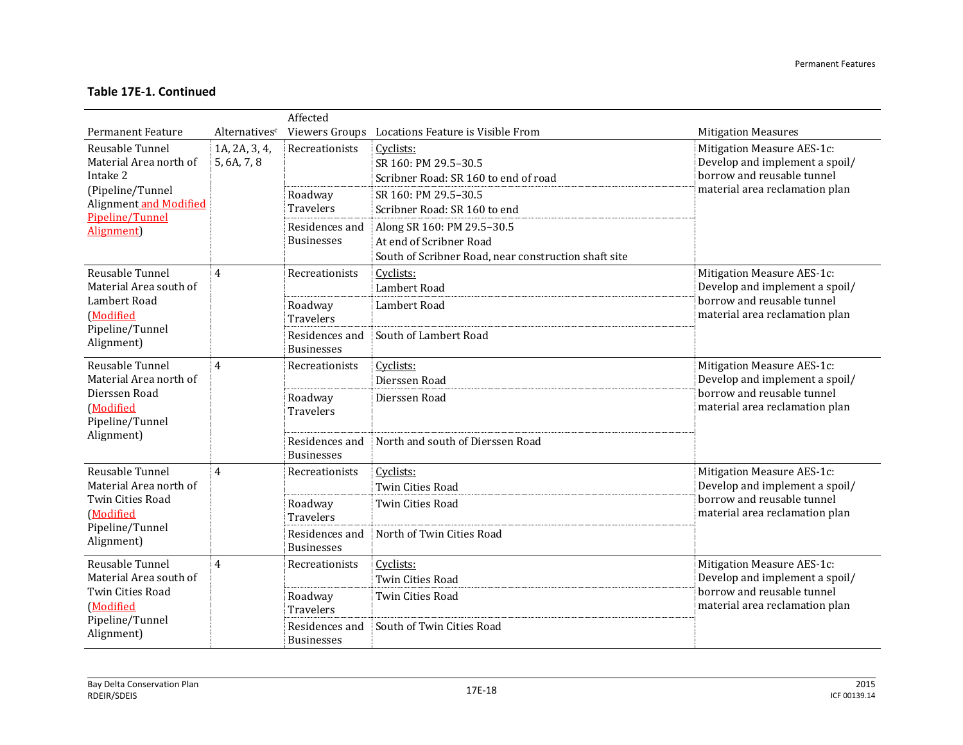|                                                                                                                    |                              | Affected                            |                                                                                                               |                                                                                                                              |
|--------------------------------------------------------------------------------------------------------------------|------------------------------|-------------------------------------|---------------------------------------------------------------------------------------------------------------|------------------------------------------------------------------------------------------------------------------------------|
| <b>Permanent Feature</b>                                                                                           | Alternatives <sup>c</sup>    |                                     | Viewers Groups Locations Feature is Visible From                                                              | <b>Mitigation Measures</b>                                                                                                   |
| Reusable Tunnel<br>Material Area north of<br>Intake 2                                                              | 1A, 2A, 3, 4,<br>5, 6A, 7, 8 | Recreationists                      | Cyclists:<br>SR 160: PM 29.5-30.5<br>Scribner Road: SR 160 to end of road                                     | Mitigation Measure AES-1c:<br>Develop and implement a spoil/<br>borrow and reusable tunnel                                   |
| (Pipeline/Tunnel<br>Alignment and Modified<br>Pipeline/Tunnel                                                      |                              | Roadway<br>Travelers                | SR 160: PM 29.5-30.5<br>Scribner Road: SR 160 to end                                                          | material area reclamation plan                                                                                               |
| Alignment)                                                                                                         |                              | Residences and<br><b>Businesses</b> | Along SR 160: PM 29.5-30.5<br>At end of Scribner Road<br>South of Scribner Road, near construction shaft site |                                                                                                                              |
| Reusable Tunnel<br>Material Area south of                                                                          | 4                            | Recreationists                      | Cyclists:<br>Lambert Road                                                                                     | Mitigation Measure AES-1c:<br>Develop and implement a spoil/                                                                 |
| Lambert Road<br>(Modified                                                                                          |                              | Roadway<br><b>Travelers</b>         | Lambert Road                                                                                                  | borrow and reusable tunnel<br>material area reclamation plan                                                                 |
| Pipeline/Tunnel<br>Alignment)                                                                                      |                              | Residences and<br><b>Businesses</b> | South of Lambert Road                                                                                         |                                                                                                                              |
| Reusable Tunnel<br>Material Area north of<br>Dierssen Road                                                         | 4                            | Recreationists                      | Cyclists:<br>Dierssen Road                                                                                    | Mitigation Measure AES-1c:<br>Develop and implement a spoil/<br>borrow and reusable tunnel                                   |
| (Modified<br>Pipeline/Tunnel                                                                                       |                              | Roadway<br><b>Travelers</b>         | Dierssen Road                                                                                                 | material area reclamation plan                                                                                               |
| Alignment)                                                                                                         |                              | Residences and<br><b>Businesses</b> | North and south of Dierssen Road                                                                              |                                                                                                                              |
| Reusable Tunnel<br>Material Area north of<br><b>Twin Cities Road</b><br>(Modified<br>Pipeline/Tunnel<br>Alignment) | $\overline{4}$               | Recreationists                      | Cyclists:<br><b>Twin Cities Road</b>                                                                          | Mitigation Measure AES-1c:<br>Develop and implement a spoil/<br>borrow and reusable tunnel<br>material area reclamation plan |
|                                                                                                                    |                              | Roadway<br>Travelers                | <b>Twin Cities Road</b>                                                                                       |                                                                                                                              |
|                                                                                                                    |                              | Residences and<br><b>Businesses</b> | North of Twin Cities Road                                                                                     |                                                                                                                              |
| Reusable Tunnel<br>Material Area south of                                                                          | 4                            | Recreationists                      | Cyclists:<br><b>Twin Cities Road</b>                                                                          | Mitigation Measure AES-1c:<br>Develop and implement a spoil/                                                                 |
| Twin Cities Road<br>(Modified                                                                                      |                              | Roadway<br>Travelers                | <b>Twin Cities Road</b>                                                                                       | borrow and reusable tunnel<br>material area reclamation plan                                                                 |
| Pipeline/Tunnel<br>Alignment)                                                                                      |                              | Residences and<br><b>Businesses</b> | South of Twin Cities Road                                                                                     |                                                                                                                              |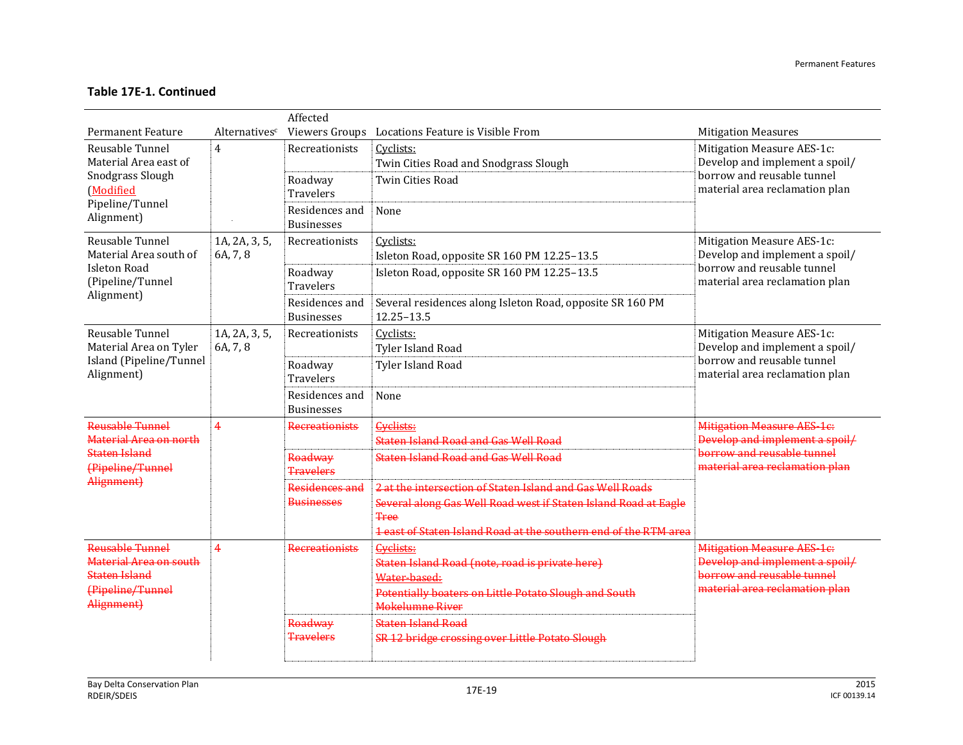|                                                                                                     |                           | Affected                            |                                                                                                                                                                                                                 |                                                                                                                                     |
|-----------------------------------------------------------------------------------------------------|---------------------------|-------------------------------------|-----------------------------------------------------------------------------------------------------------------------------------------------------------------------------------------------------------------|-------------------------------------------------------------------------------------------------------------------------------------|
| <b>Permanent Feature</b>                                                                            | Alternativesc             |                                     | Viewers Groups Locations Feature is Visible From                                                                                                                                                                | <b>Mitigation Measures</b>                                                                                                          |
| Reusable Tunnel<br>Material Area east of                                                            | $\overline{4}$            | Recreationists                      | Cyclists:<br>Twin Cities Road and Snodgrass Slough                                                                                                                                                              | Mitigation Measure AES-1c:<br>Develop and implement a spoil/<br>borrow and reusable tunnel<br>material area reclamation plan        |
| Snodgrass Slough<br>(Modified                                                                       |                           | Roadway<br><b>Travelers</b>         | <b>Twin Cities Road</b>                                                                                                                                                                                         |                                                                                                                                     |
| Pipeline/Tunnel<br>Alignment)                                                                       |                           | Residences and<br><b>Businesses</b> | None                                                                                                                                                                                                            |                                                                                                                                     |
| Reusable Tunnel<br>Material Area south of                                                           | 1A, 2A, 3, 5,<br>6A, 7, 8 | Recreationists                      | Cyclists:<br>Isleton Road, opposite SR 160 PM 12.25-13.5                                                                                                                                                        | Mitigation Measure AES-1c:<br>Develop and implement a spoil/                                                                        |
| <b>Isleton Road</b><br>(Pipeline/Tunnel                                                             |                           | Roadway<br><b>Travelers</b>         | Isleton Road, opposite SR 160 PM 12.25-13.5                                                                                                                                                                     | borrow and reusable tunnel<br>material area reclamation plan                                                                        |
| Alignment)                                                                                          |                           | Residences and<br><b>Businesses</b> | Several residences along Isleton Road, opposite SR 160 PM<br>12.25-13.5                                                                                                                                         |                                                                                                                                     |
| Reusable Tunnel<br>Material Area on Tyler                                                           | 1A, 2A, 3, 5,<br>6A, 7, 8 | Recreationists                      | Cyclists:<br>Tyler Island Road                                                                                                                                                                                  | Mitigation Measure AES-1c:<br>Develop and implement a spoil/                                                                        |
| Island (Pipeline/Tunnel<br>Alignment)                                                               |                           | Roadway<br><b>Travelers</b>         | <b>Tyler Island Road</b>                                                                                                                                                                                        | borrow and reusable tunnel<br>material area reclamation plan                                                                        |
|                                                                                                     |                           | Residences and<br><b>Businesses</b> | None                                                                                                                                                                                                            |                                                                                                                                     |
| Reusable Tunnel<br>Material Area on north                                                           | $\overline{4}$            | <b>Recreationists</b>               | Cyclists:<br><b>Staten Island Road and Gas Well Road</b>                                                                                                                                                        | <b>Mitigation Measure AES-1c.</b><br>Develop and implement a spoil/<br>borrow and reusable tunnel<br>material area reclamation plan |
| <b>Staten Island</b><br>(Pipeline/Tunnel                                                            |                           | Roadway<br><b>Travelers</b>         | <b>Staten Island Road and Gas Well Road</b>                                                                                                                                                                     |                                                                                                                                     |
| Alignment)                                                                                          |                           | Residences and<br><b>Businesses</b> | 2 at the intersection of Staten Island and Gas Well Roads<br>Several along Gas Well Road west if Staten Island Road at Eagle<br><b>Tree</b><br>1 east of Staten Island Road at the southern end of the RTM area |                                                                                                                                     |
| Reusable Tunnel<br>Material Area on south<br><b>Staten Island</b><br>(Pipeline/Tunnel<br>Alignment) | $\overline{4}$            | <b>Recreationists</b>               | Cyclists:<br>Staten Island Road (note, road is private here)<br>Water-based:<br>Potentially boaters on Little Potato Slough and South<br><b>Mokelumne River</b>                                                 | <b>Mitigation Measure AES-1c.</b><br>Develop and implement a spoil/<br>borrow and reusable tunnel<br>material area reclamation plan |
|                                                                                                     |                           | Roadway<br><b>Travelers</b>         | <b>Staten Island Road</b><br>SR 12 bridge crossing over Little Potato Slough                                                                                                                                    |                                                                                                                                     |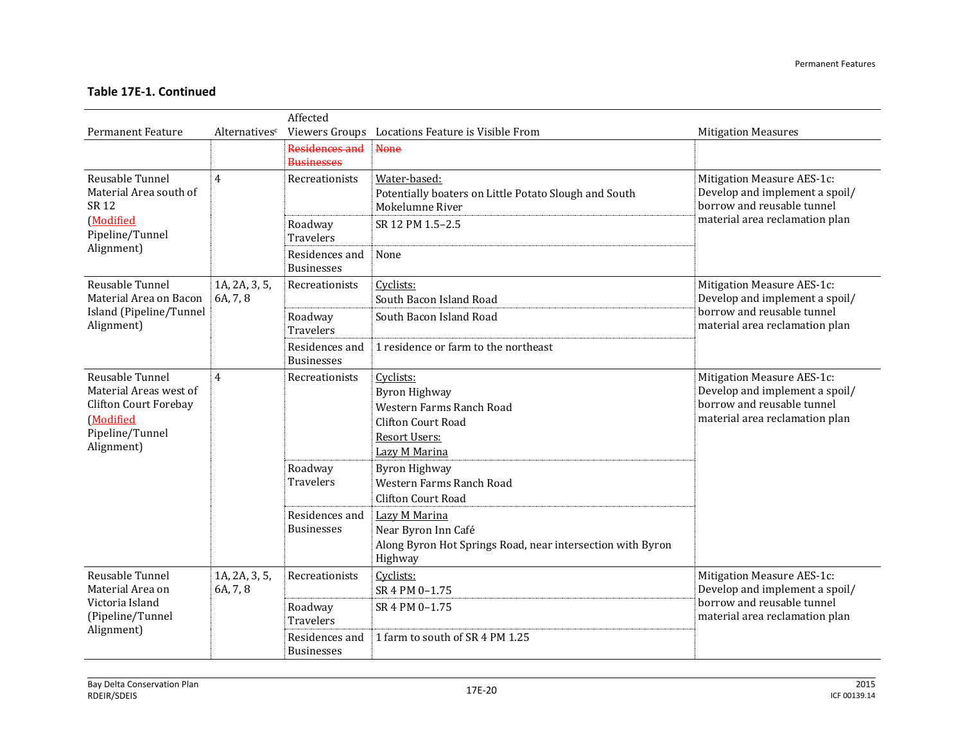|                                                                                                                  | Affected                  |                                     |                                                                                                                              |                                                                                                                              |  |  |  |
|------------------------------------------------------------------------------------------------------------------|---------------------------|-------------------------------------|------------------------------------------------------------------------------------------------------------------------------|------------------------------------------------------------------------------------------------------------------------------|--|--|--|
| <b>Permanent Feature</b>                                                                                         | Alternatives <sup>c</sup> |                                     | Viewers Groups Locations Feature is Visible From                                                                             | <b>Mitigation Measures</b>                                                                                                   |  |  |  |
|                                                                                                                  |                           | Residences and                      | None                                                                                                                         |                                                                                                                              |  |  |  |
|                                                                                                                  |                           | <b>Businesses</b>                   |                                                                                                                              |                                                                                                                              |  |  |  |
| Reusable Tunnel<br>Material Area south of<br>SR 12                                                               | $\overline{4}$            | Recreationists                      | Water-based:<br>Potentially boaters on Little Potato Slough and South<br>Mokelumne River                                     | Mitigation Measure AES-1c:<br>Develop and implement a spoil/<br>borrow and reusable tunnel                                   |  |  |  |
| (Modified<br>Pipeline/Tunnel                                                                                     |                           | Roadway<br>Travelers                | SR 12 PM 1.5-2.5                                                                                                             | material area reclamation plan                                                                                               |  |  |  |
| Alignment)                                                                                                       |                           | Residences and<br><b>Businesses</b> | None                                                                                                                         |                                                                                                                              |  |  |  |
| Reusable Tunnel                                                                                                  | 1A, 2A, 3, 5,             | Recreationists                      | Cyclists:                                                                                                                    | Mitigation Measure AES-1c:                                                                                                   |  |  |  |
| Material Area on Bacon                                                                                           | 6A, 7, 8                  |                                     | South Bacon Island Road                                                                                                      | Develop and implement a spoil/<br>borrow and reusable tunnel                                                                 |  |  |  |
| Island (Pipeline/Tunnel<br>Alignment)                                                                            |                           | Roadway<br><b>Travelers</b>         | South Bacon Island Road                                                                                                      | material area reclamation plan                                                                                               |  |  |  |
|                                                                                                                  |                           | Residences and<br><b>Businesses</b> | 1 residence or farm to the northeast                                                                                         |                                                                                                                              |  |  |  |
| Reusable Tunnel<br>Material Areas west of<br>Clifton Court Forebay<br>(Modified<br>Pipeline/Tunnel<br>Alignment) | $\overline{4}$            | Recreationists                      | Cyclists:<br><b>Byron Highway</b><br>Western Farms Ranch Road<br><b>Clifton Court Road</b><br>Resort Users:<br>Lazy M Marina | Mitigation Measure AES-1c:<br>Develop and implement a spoil/<br>borrow and reusable tunnel<br>material area reclamation plan |  |  |  |
|                                                                                                                  |                           | Roadway<br>Travelers                | <b>Byron Highway</b><br>Western Farms Ranch Road<br><b>Clifton Court Road</b>                                                |                                                                                                                              |  |  |  |
|                                                                                                                  |                           | Residences and<br><b>Businesses</b> | Lazy M Marina<br>Near Byron Inn Café<br>Along Byron Hot Springs Road, near intersection with Byron<br>Highway                |                                                                                                                              |  |  |  |
| Reusable Tunnel<br>Material Area on                                                                              | 1A, 2A, 3, 5,<br>6A, 7, 8 | Recreationists                      | Cyclists:<br>SR 4 PM 0-1.75                                                                                                  | Mitigation Measure AES-1c:<br>Develop and implement a spoil/                                                                 |  |  |  |
| Victoria Island<br>(Pipeline/Tunnel<br>Alignment)                                                                |                           | Roadway<br><b>Travelers</b>         | SR 4 PM 0-1.75                                                                                                               | borrow and reusable tunnel<br>material area reclamation plan                                                                 |  |  |  |
|                                                                                                                  |                           | Residences and<br><b>Businesses</b> | 1 farm to south of SR 4 PM 1.25                                                                                              |                                                                                                                              |  |  |  |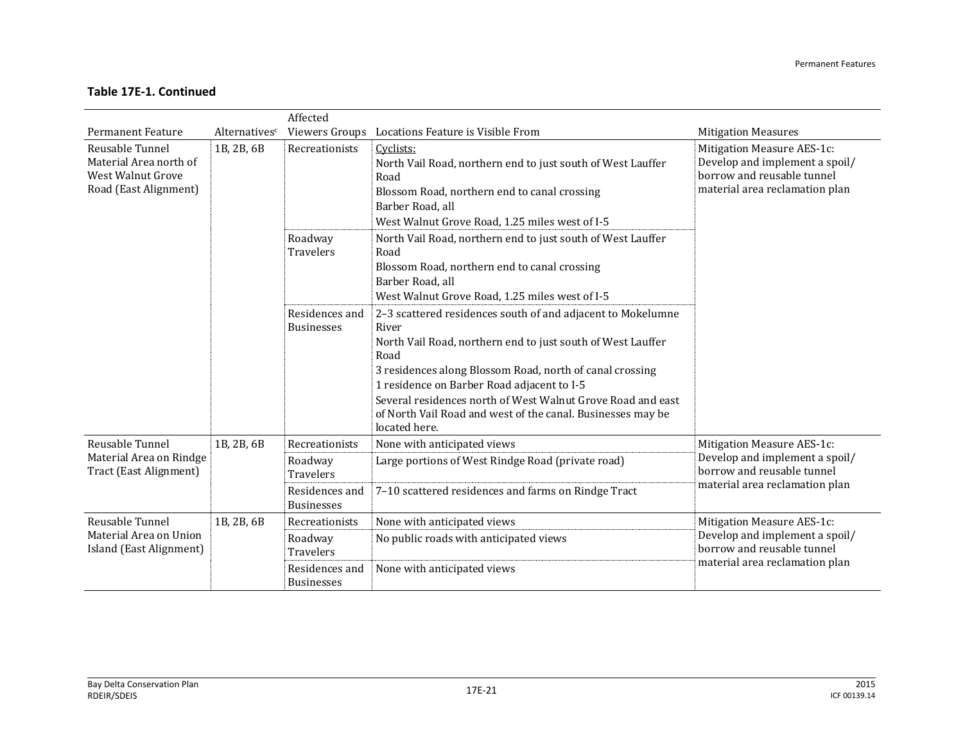|                                                                                         | Affected      |                                                                                      |                                                                                                                                                                                                                                                                                                                                                                                                      |                                                                                                                              |  |  |  |
|-----------------------------------------------------------------------------------------|---------------|--------------------------------------------------------------------------------------|------------------------------------------------------------------------------------------------------------------------------------------------------------------------------------------------------------------------------------------------------------------------------------------------------------------------------------------------------------------------------------------------------|------------------------------------------------------------------------------------------------------------------------------|--|--|--|
| <b>Permanent Feature</b>                                                                | Alternativesc | Viewers Groups                                                                       | Locations Feature is Visible From                                                                                                                                                                                                                                                                                                                                                                    | <b>Mitigation Measures</b>                                                                                                   |  |  |  |
| Reusable Tunnel<br>Material Area north of<br>West Walnut Grove<br>Road (East Alignment) | 1B, 2B, 6B    | Recreationists                                                                       | Cyclists:<br>North Vail Road, northern end to just south of West Lauffer<br>Road<br>Blossom Road, northern end to canal crossing<br>Barber Road, all<br>West Walnut Grove Road, 1.25 miles west of I-5                                                                                                                                                                                               | Mitigation Measure AES-1c:<br>Develop and implement a spoil/<br>borrow and reusable tunnel<br>material area reclamation plan |  |  |  |
|                                                                                         |               | Roadway<br><b>Travelers</b>                                                          | North Vail Road, northern end to just south of West Lauffer<br>Road<br>Blossom Road, northern end to canal crossing<br>Barber Road, all<br>West Walnut Grove Road, 1.25 miles west of I-5                                                                                                                                                                                                            |                                                                                                                              |  |  |  |
|                                                                                         |               | Residences and<br><b>Businesses</b>                                                  | 2-3 scattered residences south of and adjacent to Mokelumne<br>River<br>North Vail Road, northern end to just south of West Lauffer<br>Road<br>3 residences along Blossom Road, north of canal crossing<br>1 residence on Barber Road adjacent to I-5<br>Several residences north of West Walnut Grove Road and east<br>of North Vail Road and west of the canal. Businesses may be<br>located here. |                                                                                                                              |  |  |  |
| Reusable Tunnel<br>Material Area on Rindge<br>Tract (East Alignment)                    | 1B, 2B, 6B    | Recreationists<br>Roadway<br><b>Travelers</b><br>Residences and<br><b>Businesses</b> | None with anticipated views<br>Large portions of West Rindge Road (private road)<br>7-10 scattered residences and farms on Rindge Tract                                                                                                                                                                                                                                                              | Mitigation Measure AES-1c:<br>Develop and implement a spoil/<br>borrow and reusable tunnel<br>material area reclamation plan |  |  |  |
| Reusable Tunnel<br>Material Area on Union<br>Island (East Alignment)                    | 1B, 2B, 6B    | Recreationists<br>Roadway<br><b>Travelers</b><br>Residences and<br><b>Businesses</b> | None with anticipated views<br>No public roads with anticipated views<br>None with anticipated views                                                                                                                                                                                                                                                                                                 | Mitigation Measure AES-1c:<br>Develop and implement a spoil/<br>borrow and reusable tunnel<br>material area reclamation plan |  |  |  |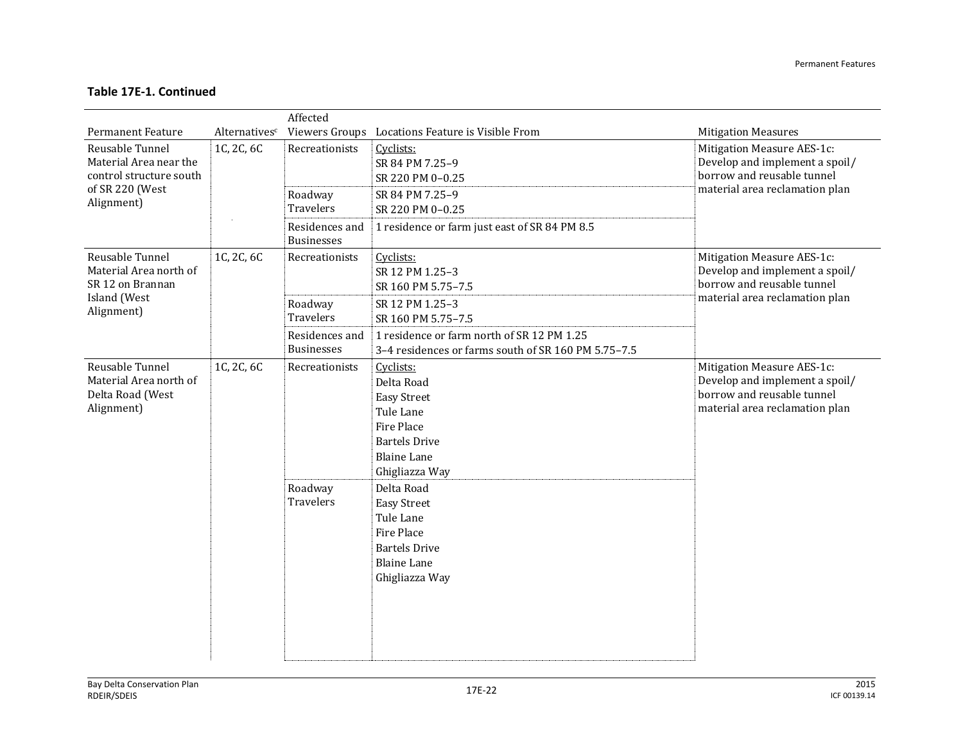|                                                                             |               | Affected                            |                                                                                                                                                 |                                                                                                                              |
|-----------------------------------------------------------------------------|---------------|-------------------------------------|-------------------------------------------------------------------------------------------------------------------------------------------------|------------------------------------------------------------------------------------------------------------------------------|
| <b>Permanent Feature</b>                                                    | Alternativesc |                                     | Viewers Groups Locations Feature is Visible From                                                                                                | <b>Mitigation Measures</b>                                                                                                   |
| Reusable Tunnel<br>Material Area near the<br>control structure south        | 1C, 2C, 6C    | Recreationists                      | Cyclists:<br>SR 84 PM 7.25-9<br>SR 220 PM 0-0.25                                                                                                | Mitigation Measure AES-1c:<br>Develop and implement a spoil/<br>borrow and reusable tunnel                                   |
| of SR 220 (West<br>Alignment)                                               |               | Roadway<br>Travelers                | SR 84 PM 7.25-9<br>SR 220 PM 0-0.25                                                                                                             | material area reclamation plan                                                                                               |
|                                                                             |               | Residences and<br><b>Businesses</b> | 1 residence or farm just east of SR 84 PM 8.5                                                                                                   |                                                                                                                              |
| Reusable Tunnel<br>Material Area north of<br>SR 12 on Brannan               | 1C, 2C, 6C    | Recreationists                      | Cyclists:<br>SR 12 PM 1.25-3<br>SR 160 PM 5.75-7.5                                                                                              | Mitigation Measure AES-1c:<br>Develop and implement a spoil/<br>borrow and reusable tunnel                                   |
| Island (West<br>Alignment)                                                  |               | Roadway<br>Travelers                | SR 12 PM 1.25-3<br>SR 160 PM 5.75-7.5                                                                                                           | material area reclamation plan                                                                                               |
|                                                                             |               | Residences and<br><b>Businesses</b> | 1 residence or farm north of SR 12 PM 1.25<br>3-4 residences or farms south of SR 160 PM 5.75-7.5                                               |                                                                                                                              |
| Reusable Tunnel<br>Material Area north of<br>Delta Road (West<br>Alignment) | 1C, 2C, 6C    | Recreationists                      | Cyclists:<br>Delta Road<br><b>Easy Street</b><br>Tule Lane<br><b>Fire Place</b><br><b>Bartels Drive</b><br><b>Blaine Lane</b><br>Ghigliazza Way | Mitigation Measure AES-1c:<br>Develop and implement a spoil/<br>borrow and reusable tunnel<br>material area reclamation plan |
|                                                                             |               | Roadway<br><b>Travelers</b>         | Delta Road<br><b>Easy Street</b><br>Tule Lane<br><b>Fire Place</b><br><b>Bartels Drive</b><br><b>Blaine Lane</b><br>Ghigliazza Way              |                                                                                                                              |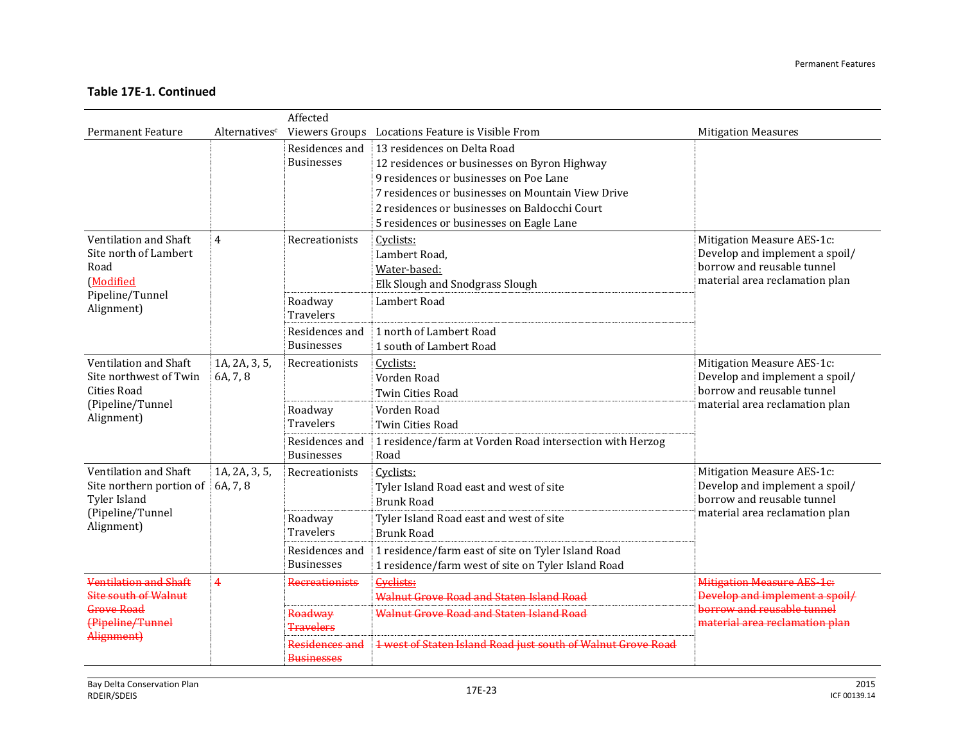|                                                                                                     |                           | Affected                            |                                                                                                                                                                                                                                                                         |                                                                                                                              |
|-----------------------------------------------------------------------------------------------------|---------------------------|-------------------------------------|-------------------------------------------------------------------------------------------------------------------------------------------------------------------------------------------------------------------------------------------------------------------------|------------------------------------------------------------------------------------------------------------------------------|
| <b>Permanent Feature</b>                                                                            | Alternativesc             |                                     | Viewers Groups Locations Feature is Visible From                                                                                                                                                                                                                        | <b>Mitigation Measures</b>                                                                                                   |
|                                                                                                     |                           | Residences and<br><b>Businesses</b> | 13 residences on Delta Road<br>12 residences or businesses on Byron Highway<br>9 residences or businesses on Poe Lane<br>7 residences or businesses on Mountain View Drive<br>2 residences or businesses on Baldocchi Court<br>5 residences or businesses on Eagle Lane |                                                                                                                              |
| Ventilation and Shaft<br>Site north of Lambert<br>Road<br>(Modified                                 | $\overline{4}$            | Recreationists                      | Cyclists:<br>Lambert Road,<br>Water-based:<br>Elk Slough and Snodgrass Slough                                                                                                                                                                                           | Mitigation Measure AES-1c:<br>Develop and implement a spoil/<br>borrow and reusable tunnel<br>material area reclamation plan |
| Pipeline/Tunnel<br>Alignment)                                                                       |                           | Roadway<br><b>Travelers</b>         | Lambert Road                                                                                                                                                                                                                                                            |                                                                                                                              |
|                                                                                                     |                           | Residences and<br><b>Businesses</b> | 1 north of Lambert Road<br>1 south of Lambert Road                                                                                                                                                                                                                      |                                                                                                                              |
| Ventilation and Shaft<br>Site northwest of Twin<br><b>Cities Road</b>                               | 1A, 2A, 3, 5,<br>6A, 7, 8 | Recreationists                      | Cyclists:<br>Vorden Road<br><b>Twin Cities Road</b>                                                                                                                                                                                                                     | Mitigation Measure AES-1c:<br>Develop and implement a spoil/<br>borrow and reusable tunnel<br>material area reclamation plan |
| (Pipeline/Tunnel<br>Alignment)                                                                      |                           | Roadway<br><b>Travelers</b>         | Vorden Road<br>Twin Cities Road                                                                                                                                                                                                                                         |                                                                                                                              |
|                                                                                                     |                           | Residences and<br><b>Businesses</b> | 1 residence/farm at Vorden Road intersection with Herzog<br>Road                                                                                                                                                                                                        |                                                                                                                              |
| Ventilation and Shaft<br>Site northern portion of<br>Tyler Island<br>(Pipeline/Tunnel<br>Alignment) | 1A, 2A, 3, 5,<br>6A, 7, 8 | Recreationists                      | Cyclists:<br>Tyler Island Road east and west of site<br><b>Brunk Road</b>                                                                                                                                                                                               | Mitigation Measure AES-1c:<br>Develop and implement a spoil/<br>borrow and reusable tunnel                                   |
|                                                                                                     |                           | Roadway<br><b>Travelers</b>         | Tyler Island Road east and west of site<br><b>Brunk Road</b>                                                                                                                                                                                                            | material area reclamation plan                                                                                               |
|                                                                                                     |                           | Residences and<br><b>Businesses</b> | 1 residence/farm east of site on Tyler Island Road<br>1 residence/farm west of site on Tyler Island Road                                                                                                                                                                |                                                                                                                              |
| <b>Ventilation and Shaft</b><br><b>Site south of Walnut</b>                                         | $\overline{4}$            | <b>Recreationists</b>               | <b>Cyclists:</b><br>Walnut Grove Road and Staten Island Road                                                                                                                                                                                                            | <b>Mitigation Measure AES-1c:</b><br>Develop and implement a spoil/                                                          |
| Grove Road<br>(Pipeline/Tunnel                                                                      |                           | Roadway<br><b>Travelers</b>         | <b>Walnut Grove Road and Staten Island Road</b>                                                                                                                                                                                                                         | borrow and reusable tunnel<br>material area reclamation plan                                                                 |
| Alignment)                                                                                          |                           | Residences and<br><b>Businesses</b> | 1 west of Staten Island Road just south of Walnut Grove Road                                                                                                                                                                                                            |                                                                                                                              |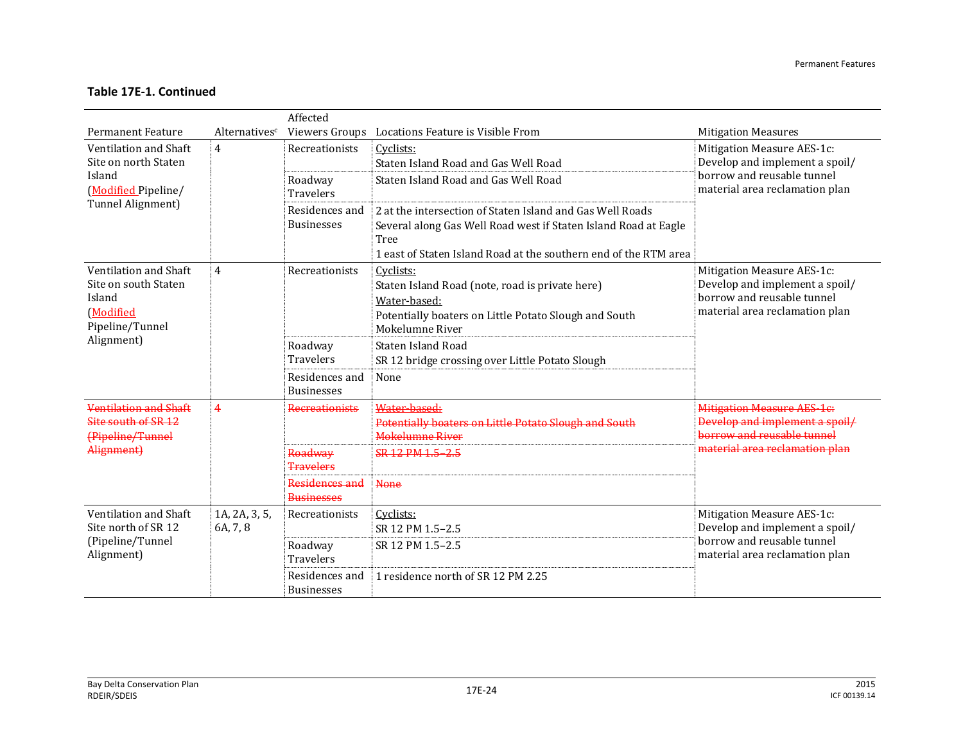|                                                                                         |                           | Affected                            |                                                                                                                                                                                                          |                                                                                                                              |
|-----------------------------------------------------------------------------------------|---------------------------|-------------------------------------|----------------------------------------------------------------------------------------------------------------------------------------------------------------------------------------------------------|------------------------------------------------------------------------------------------------------------------------------|
| <b>Permanent Feature</b>                                                                | Alternativesc             | Viewers Groups                      | Locations Feature is Visible From                                                                                                                                                                        | <b>Mitigation Measures</b>                                                                                                   |
| Ventilation and Shaft<br>Site on north Staten                                           | 4                         | Recreationists                      | Cyclists:<br>Staten Island Road and Gas Well Road                                                                                                                                                        | Mitigation Measure AES-1c:<br>Develop and implement a spoil/                                                                 |
| Island<br>(Modified Pipeline/                                                           |                           | Roadway<br><b>Travelers</b>         | Staten Island Road and Gas Well Road                                                                                                                                                                     | borrow and reusable tunnel<br>material area reclamation plan                                                                 |
| Tunnel Alignment)                                                                       |                           | Residences and<br><b>Businesses</b> | 2 at the intersection of Staten Island and Gas Well Roads<br>Several along Gas Well Road west if Staten Island Road at Eagle<br>Tree<br>1 east of Staten Island Road at the southern end of the RTM area |                                                                                                                              |
| Ventilation and Shaft<br>Site on south Staten<br>Island<br>(Modified<br>Pipeline/Tunnel | 4                         | Recreationists                      | Cyclists:<br>Staten Island Road (note, road is private here)<br>Water-based:<br>Potentially boaters on Little Potato Slough and South<br>Mokelumne River                                                 | Mitigation Measure AES-1c:<br>Develop and implement a spoil/<br>borrow and reusable tunnel<br>material area reclamation plan |
| Alignment)                                                                              |                           | Roadway<br><b>Travelers</b>         | Staten Island Road<br>SR 12 bridge crossing over Little Potato Slough                                                                                                                                    |                                                                                                                              |
|                                                                                         |                           | Residences and<br><b>Businesses</b> | None                                                                                                                                                                                                     |                                                                                                                              |
| Ventilation and Shaft<br>Site south of SR 12<br>(Pipeline/Tunnel<br>Alignment)          | 4                         | <b>Recreationists</b>               | Water-based:<br>Potentially boaters on Little Potato Slough and South<br><b>Mokelumne River</b>                                                                                                          | <b>Mitigation Measure AES-1c:</b><br>Develop and implement a spoil/<br>horrow and reusable tunnel                            |
|                                                                                         |                           | Roadway<br><b>Travelers</b>         | SR 12 PM 1.5-2.5                                                                                                                                                                                         | material area reclamation plan                                                                                               |
|                                                                                         |                           | Residences and<br><b>Businesses</b> | <b>None</b>                                                                                                                                                                                              |                                                                                                                              |
| Ventilation and Shaft<br>Site north of SR 12                                            | 1A, 2A, 3, 5,<br>6A, 7, 8 | Recreationists                      | Cyclists:<br>SR 12 PM 1.5-2.5                                                                                                                                                                            | Mitigation Measure AES-1c:<br>Develop and implement a spoil/                                                                 |
| (Pipeline/Tunnel<br>Alignment)                                                          |                           | Roadway<br><b>Travelers</b>         | SR 12 PM 1.5-2.5                                                                                                                                                                                         | borrow and reusable tunnel<br>material area reclamation plan                                                                 |
|                                                                                         |                           | Residences and<br><b>Businesses</b> | 1 residence north of SR 12 PM 2.25                                                                                                                                                                       |                                                                                                                              |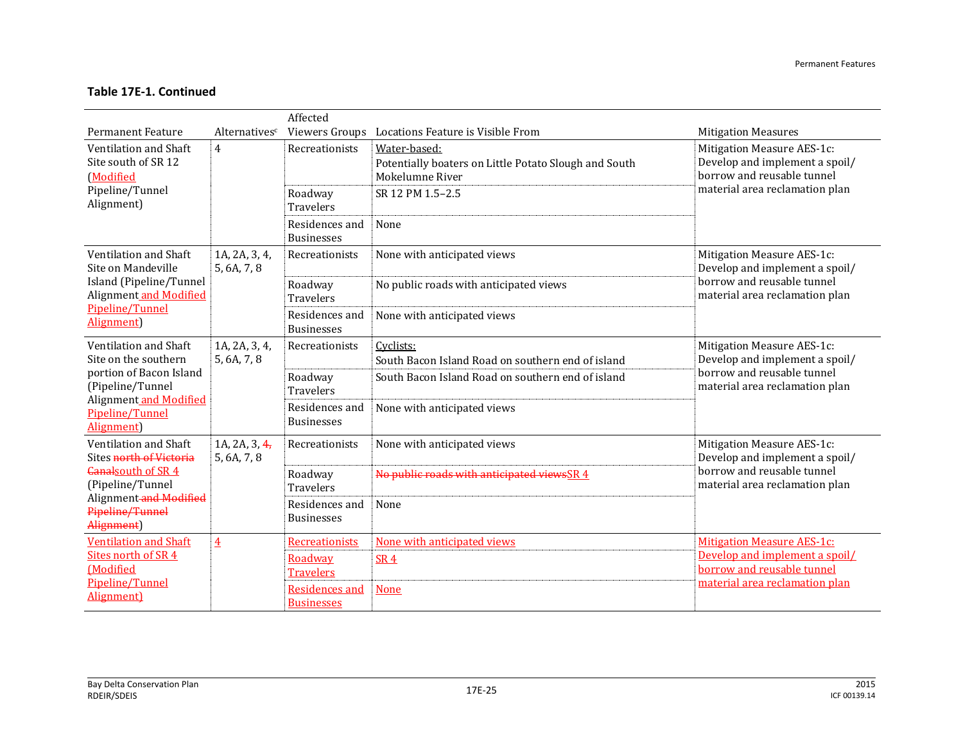|                                                           | Affected                        |                                            |                                                                                          |                                                                                            |  |  |
|-----------------------------------------------------------|---------------------------------|--------------------------------------------|------------------------------------------------------------------------------------------|--------------------------------------------------------------------------------------------|--|--|
| <b>Permanent Feature</b>                                  | Alternatives <sup>c</sup>       | Viewers Groups                             | Locations Feature is Visible From                                                        | <b>Mitigation Measures</b>                                                                 |  |  |
| Ventilation and Shaft<br>Site south of SR 12<br>(Modified | $\overline{4}$                  | Recreationists                             | Water-based:<br>Potentially boaters on Little Potato Slough and South<br>Mokelumne River | Mitigation Measure AES-1c:<br>Develop and implement a spoil/<br>borrow and reusable tunnel |  |  |
| Pipeline/Tunnel<br>Alignment)                             |                                 | Roadway<br><b>Travelers</b>                | SR 12 PM 1.5-2.5                                                                         | material area reclamation plan                                                             |  |  |
|                                                           |                                 | Residences and<br><b>Businesses</b>        | None                                                                                     |                                                                                            |  |  |
| Ventilation and Shaft<br>Site on Mandeville               | 1A, 2A, 3, 4,<br>5, 6A, 7, 8    | Recreationists                             | None with anticipated views                                                              | Mitigation Measure AES-1c:<br>Develop and implement a spoil/                               |  |  |
| Island (Pipeline/Tunnel<br>Alignment and Modified         |                                 | Roadway<br><b>Travelers</b>                | No public roads with anticipated views                                                   | borrow and reusable tunnel<br>material area reclamation plan                               |  |  |
| Pipeline/Tunnel<br>Alignment)                             |                                 | Residences and<br><b>Businesses</b>        | None with anticipated views                                                              |                                                                                            |  |  |
| Ventilation and Shaft<br>Site on the southern             | 1A, 2A, 3, 4,<br>5, 6A, 7, 8    | Recreationists                             | Cyclists:<br>South Bacon Island Road on southern end of island                           | Mitigation Measure AES-1c:<br>Develop and implement a spoil/                               |  |  |
| portion of Bacon Island<br>(Pipeline/Tunnel               |                                 | Roadway<br><b>Travelers</b>                | South Bacon Island Road on southern end of island                                        | borrow and reusable tunnel<br>material area reclamation plan                               |  |  |
| Alignment and Modified<br>Pipeline/Tunnel<br>Alignment)   |                                 | Residences and<br><b>Businesses</b>        | None with anticipated views                                                              |                                                                                            |  |  |
| Ventilation and Shaft<br>Sites north of Victoria          | 1A, 2A, 3, $4$ ,<br>5, 6A, 7, 8 | Recreationists                             | None with anticipated views                                                              | Mitigation Measure AES-1c:<br>Develop and implement a spoil/                               |  |  |
| <b>Canalsouth of SR 4</b><br>(Pipeline/Tunnel             | Roadway<br><b>Travelers</b>     | No public roads with anticipated viewsSR 4 | borrow and reusable tunnel<br>material area reclamation plan                             |                                                                                            |  |  |
| Alignment-and Modified<br>Pipeline/Tunnel<br>Alignment)   |                                 | Residences and<br><b>Businesses</b>        | None                                                                                     |                                                                                            |  |  |
| <b>Ventilation and Shaft</b>                              | $\overline{4}$                  | Recreationists                             | None with anticipated views                                                              | <b>Mitigation Measure AES-1c:</b>                                                          |  |  |
| Sites north of SR 4<br><b>Modified</b>                    |                                 | Roadway                                    | <b>SR4</b>                                                                               | Develop and implement a spoil/<br>borrow and reusable tunnel                               |  |  |
| Pipeline/Tunnel                                           |                                 | <b>Travelers</b>                           |                                                                                          | material area reclamation plan                                                             |  |  |
| Alignment)                                                |                                 | Residences and<br><b>Businesses</b>        | <b>None</b>                                                                              |                                                                                            |  |  |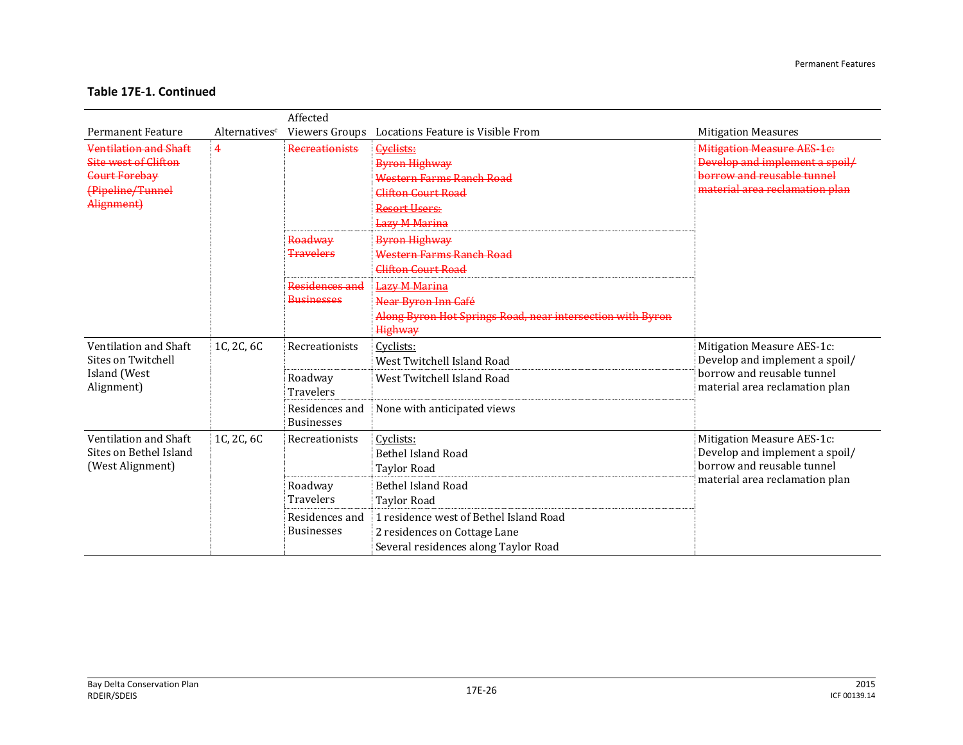|                              |               | Affected              |                                                            |                                   |
|------------------------------|---------------|-----------------------|------------------------------------------------------------|-----------------------------------|
| <b>Permanent Feature</b>     | Alternativesc | Viewers Groups        | Locations Feature is Visible From                          | <b>Mitigation Measures</b>        |
| <b>Ventilation and Shaft</b> | 4             | <b>Recreationists</b> | <b>Cyclists:</b>                                           | <b>Mitigation Measure AES-1e:</b> |
| <b>Site west of Clifton</b>  |               |                       | Byron Highway                                              | Develop and implement a spoil/    |
| <b>Court Forebay</b>         |               |                       | Western Farms Ranch Road                                   | horrow and reusable tunnel        |
| (Pipeline/Tunnel             |               |                       | Clifton Court Road                                         | material area reclamation plan    |
| Alignment)                   |               |                       | Resort Users:                                              |                                   |
|                              |               |                       | <b>Lazy M Marina</b>                                       |                                   |
|                              |               | Roadway               | <b>Byron Highway</b>                                       |                                   |
|                              |               | <b>Travelers</b>      | Western Farms Ranch Road                                   |                                   |
|                              |               |                       | Clifton Court Road                                         |                                   |
|                              |               | Residences and        | <b>Lazy M Marina</b>                                       |                                   |
|                              |               | <b>Businesses</b>     | Near Byron Inn Café                                        |                                   |
|                              |               |                       | Along Byron Hot Springs Road, near intersection with Byron |                                   |
|                              |               |                       | Highway                                                    |                                   |
| Ventilation and Shaft        | 1C, 2C, 6C    | Recreationists        | Cyclists:                                                  | Mitigation Measure AES-1c:        |
| Sites on Twitchell           |               |                       | West Twitchell Island Road                                 | Develop and implement a spoil/    |
| Island (West                 |               | Roadway               | West Twitchell Island Road                                 | borrow and reusable tunnel        |
| Alignment)                   |               | <b>Travelers</b>      |                                                            | material area reclamation plan    |
|                              |               | Residences and        | None with anticipated views                                |                                   |
|                              |               | <b>Businesses</b>     |                                                            |                                   |
| Ventilation and Shaft        | 1C, 2C, 6C    | Recreationists        | Cyclists:                                                  | Mitigation Measure AES-1c:        |
| Sites on Bethel Island       |               |                       | <b>Bethel Island Road</b>                                  | Develop and implement a spoil/    |
| (West Alignment)             |               |                       | <b>Taylor Road</b>                                         | borrow and reusable tunnel        |
|                              |               | Roadway               | Bethel Island Road                                         | material area reclamation plan    |
|                              |               | <b>Travelers</b>      | <b>Taylor Road</b>                                         |                                   |
|                              |               | Residences and        | 1 residence west of Bethel Island Road                     |                                   |
|                              |               | <b>Businesses</b>     | 2 residences on Cottage Lane                               |                                   |
|                              |               |                       | Several residences along Taylor Road                       |                                   |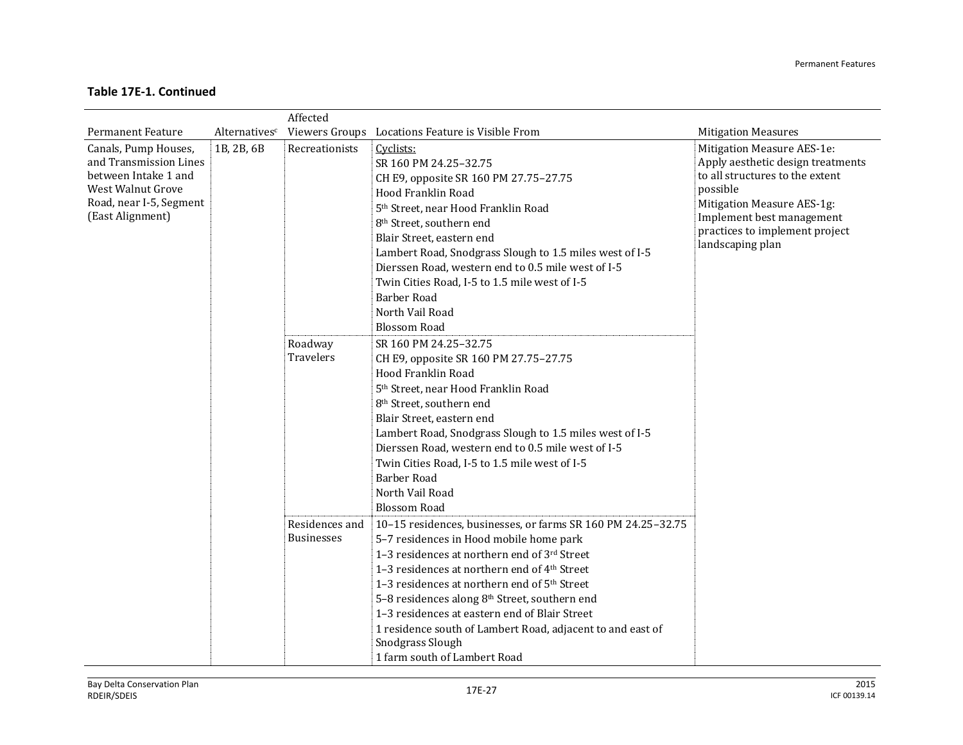|                                                                                                                                            |                           | Affected                            |                                                                                                                                                                                                                                                                                                                                                                                                                                                                                         |                                                                                                                                                                                                                                 |
|--------------------------------------------------------------------------------------------------------------------------------------------|---------------------------|-------------------------------------|-----------------------------------------------------------------------------------------------------------------------------------------------------------------------------------------------------------------------------------------------------------------------------------------------------------------------------------------------------------------------------------------------------------------------------------------------------------------------------------------|---------------------------------------------------------------------------------------------------------------------------------------------------------------------------------------------------------------------------------|
| <b>Permanent Feature</b>                                                                                                                   | Alternatives <sup>c</sup> |                                     | Viewers Groups Locations Feature is Visible From                                                                                                                                                                                                                                                                                                                                                                                                                                        | <b>Mitigation Measures</b>                                                                                                                                                                                                      |
| Canals, Pump Houses,<br>and Transmission Lines<br>between Intake 1 and<br>West Walnut Grove<br>Road, near I-5, Segment<br>(East Alignment) | 1B, 2B, 6B                | Recreationists                      | Cyclists:<br>SR 160 PM 24.25-32.75<br>CH E9, opposite SR 160 PM 27.75-27.75<br>Hood Franklin Road<br>5 <sup>th</sup> Street, near Hood Franklin Road<br>8 <sup>th</sup> Street, southern end<br>Blair Street, eastern end<br>Lambert Road, Snodgrass Slough to 1.5 miles west of I-5<br>Dierssen Road, western end to 0.5 mile west of I-5<br>Twin Cities Road, I-5 to 1.5 mile west of I-5<br><b>Barber Road</b><br>North Vail Road<br><b>Blossom Road</b>                             | Mitigation Measure AES-1e:<br>Apply aesthetic design treatments<br>to all structures to the extent<br>possible<br>Mitigation Measure AES-1g:<br>Implement best management<br>practices to implement project<br>landscaping plan |
|                                                                                                                                            |                           | Roadway<br>Travelers                | SR 160 PM 24.25-32.75<br>CH E9, opposite SR 160 PM 27.75-27.75<br>Hood Franklin Road<br>5 <sup>th</sup> Street, near Hood Franklin Road<br>8 <sup>th</sup> Street, southern end<br>Blair Street, eastern end<br>Lambert Road, Snodgrass Slough to 1.5 miles west of I-5<br>Dierssen Road, western end to 0.5 mile west of I-5<br>Twin Cities Road, I-5 to 1.5 mile west of I-5<br><b>Barber Road</b><br>North Vail Road<br><b>Blossom Road</b>                                          |                                                                                                                                                                                                                                 |
|                                                                                                                                            |                           | Residences and<br><b>Businesses</b> | 10-15 residences, businesses, or farms SR 160 PM 24.25-32.75<br>5-7 residences in Hood mobile home park<br>1-3 residences at northern end of 3rd Street<br>1-3 residences at northern end of 4th Street<br>1-3 residences at northern end of 5 <sup>th</sup> Street<br>5-8 residences along 8th Street, southern end<br>1-3 residences at eastern end of Blair Street<br>1 residence south of Lambert Road, adjacent to and east of<br>Snodgrass Slough<br>1 farm south of Lambert Road |                                                                                                                                                                                                                                 |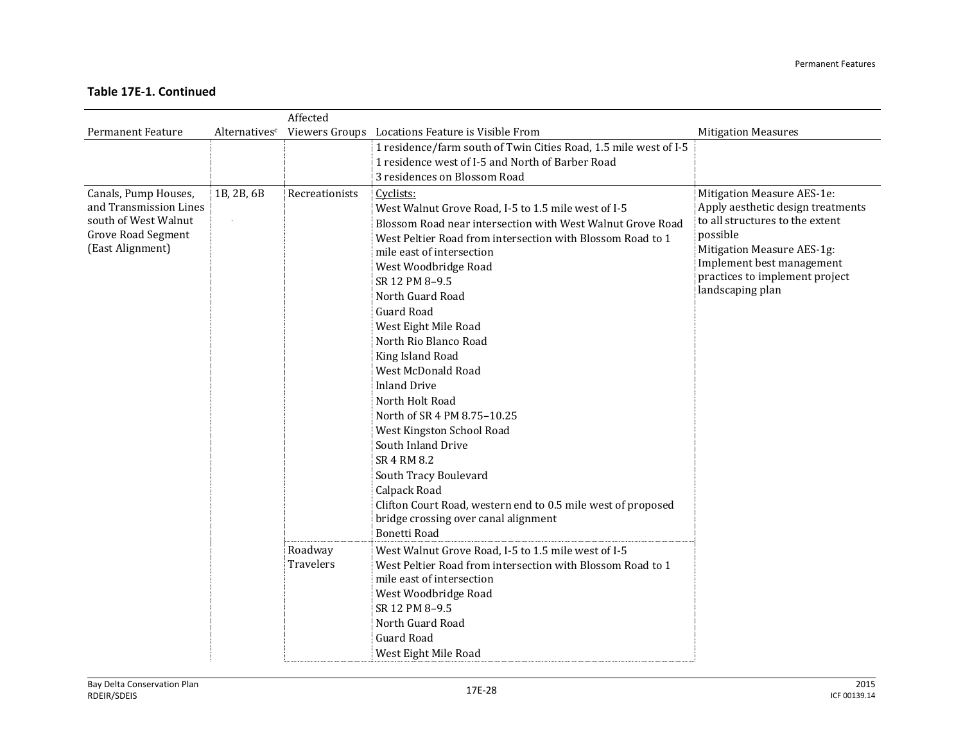|                                                                                                                         |                           | Affected             |                                                                                                                                                                                                                                                                                                                                                                                                                                                                                                                                                                                                                                                                                                                                              |                                                                                                                                                                                                                                 |
|-------------------------------------------------------------------------------------------------------------------------|---------------------------|----------------------|----------------------------------------------------------------------------------------------------------------------------------------------------------------------------------------------------------------------------------------------------------------------------------------------------------------------------------------------------------------------------------------------------------------------------------------------------------------------------------------------------------------------------------------------------------------------------------------------------------------------------------------------------------------------------------------------------------------------------------------------|---------------------------------------------------------------------------------------------------------------------------------------------------------------------------------------------------------------------------------|
| <b>Permanent Feature</b>                                                                                                | Alternatives <sup>c</sup> |                      | Viewers Groups Locations Feature is Visible From                                                                                                                                                                                                                                                                                                                                                                                                                                                                                                                                                                                                                                                                                             | <b>Mitigation Measures</b>                                                                                                                                                                                                      |
|                                                                                                                         |                           |                      | 1 residence/farm south of Twin Cities Road, 1.5 mile west of I-5                                                                                                                                                                                                                                                                                                                                                                                                                                                                                                                                                                                                                                                                             |                                                                                                                                                                                                                                 |
|                                                                                                                         |                           |                      | 1 residence west of I-5 and North of Barber Road                                                                                                                                                                                                                                                                                                                                                                                                                                                                                                                                                                                                                                                                                             |                                                                                                                                                                                                                                 |
|                                                                                                                         |                           |                      |                                                                                                                                                                                                                                                                                                                                                                                                                                                                                                                                                                                                                                                                                                                                              |                                                                                                                                                                                                                                 |
| Canals, Pump Houses,<br>and Transmission Lines<br>south of West Walnut<br><b>Grove Road Segment</b><br>(East Alignment) | 1B, 2B, 6B                | Recreationists       | 3 residences on Blossom Road<br>Cyclists:<br>West Walnut Grove Road, I-5 to 1.5 mile west of I-5<br>Blossom Road near intersection with West Walnut Grove Road<br>West Peltier Road from intersection with Blossom Road to 1<br>mile east of intersection<br>West Woodbridge Road<br>SR 12 PM 8-9.5<br>North Guard Road<br>Guard Road<br>West Eight Mile Road<br>North Rio Blanco Road<br>King Island Road<br>West McDonald Road<br><b>Inland Drive</b><br>North Holt Road<br>North of SR 4 PM 8.75-10.25<br>West Kingston School Road<br>South Inland Drive<br>SR 4 RM 8.2<br>South Tracy Boulevard<br>Calpack Road<br>Clifton Court Road, western end to 0.5 mile west of proposed<br>bridge crossing over canal alignment<br>Bonetti Road | Mitigation Measure AES-1e:<br>Apply aesthetic design treatments<br>to all structures to the extent<br>possible<br>Mitigation Measure AES-1g:<br>Implement best management<br>practices to implement project<br>landscaping plan |
|                                                                                                                         |                           | Roadway<br>Travelers | West Walnut Grove Road, I-5 to 1.5 mile west of I-5<br>West Peltier Road from intersection with Blossom Road to 1<br>mile east of intersection<br>West Woodbridge Road<br>SR 12 PM 8-9.5<br>North Guard Road<br><b>Guard Road</b><br>West Eight Mile Road                                                                                                                                                                                                                                                                                                                                                                                                                                                                                    |                                                                                                                                                                                                                                 |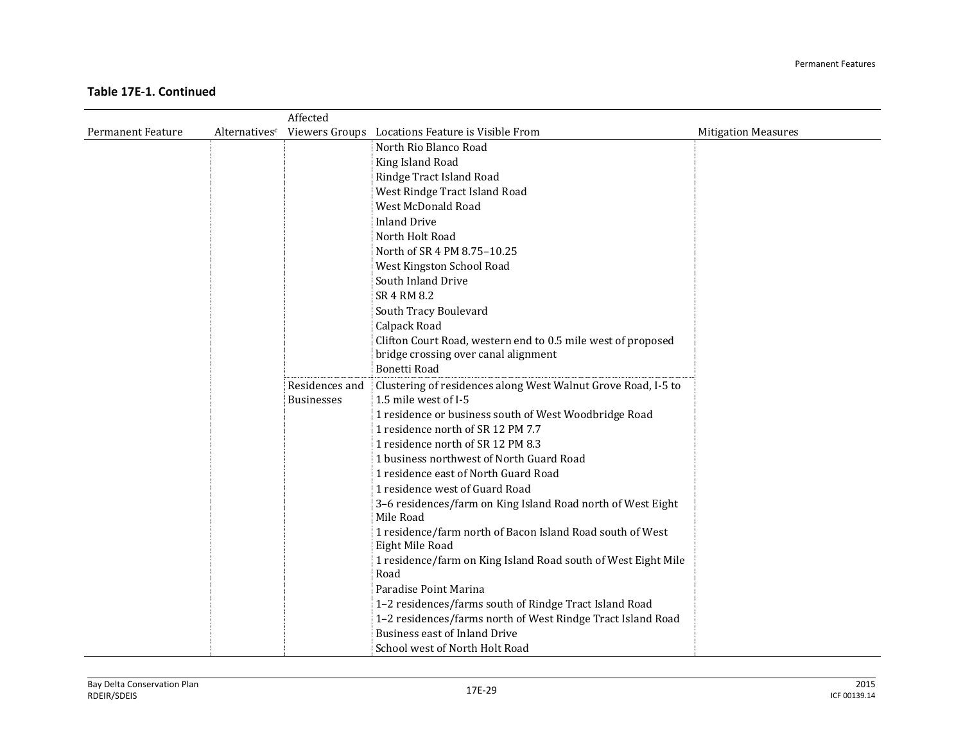|                          |               | Affected                            |                                                                                       |                            |
|--------------------------|---------------|-------------------------------------|---------------------------------------------------------------------------------------|----------------------------|
| <b>Permanent Feature</b> | Alternativesc |                                     | Viewers Groups Locations Feature is Visible From                                      | <b>Mitigation Measures</b> |
|                          |               |                                     | North Rio Blanco Road                                                                 |                            |
|                          |               |                                     | King Island Road                                                                      |                            |
|                          |               |                                     | Rindge Tract Island Road                                                              |                            |
|                          |               |                                     | West Rindge Tract Island Road                                                         |                            |
|                          |               |                                     | West McDonald Road                                                                    |                            |
|                          |               |                                     | <b>Inland Drive</b>                                                                   |                            |
|                          |               |                                     | North Holt Road                                                                       |                            |
|                          |               |                                     | North of SR 4 PM 8.75-10.25                                                           |                            |
|                          |               |                                     | West Kingston School Road                                                             |                            |
|                          |               |                                     | South Inland Drive                                                                    |                            |
|                          |               |                                     | SR 4 RM 8.2                                                                           |                            |
|                          |               |                                     | South Tracy Boulevard                                                                 |                            |
|                          |               |                                     | Calpack Road                                                                          |                            |
|                          |               |                                     | Clifton Court Road, western end to 0.5 mile west of proposed                          |                            |
|                          |               |                                     | bridge crossing over canal alignment                                                  |                            |
|                          |               |                                     | <b>Bonetti Road</b>                                                                   |                            |
|                          |               | Residences and<br><b>Businesses</b> | Clustering of residences along West Walnut Grove Road, I-5 to<br>1.5 mile west of I-5 |                            |
|                          |               |                                     | 1 residence or business south of West Woodbridge Road                                 |                            |
|                          |               |                                     | 1 residence north of SR 12 PM 7.7                                                     |                            |
|                          |               |                                     | 1 residence north of SR 12 PM 8.3                                                     |                            |
|                          |               |                                     | 1 business northwest of North Guard Road                                              |                            |
|                          |               |                                     | 1 residence east of North Guard Road                                                  |                            |
|                          |               |                                     | 1 residence west of Guard Road                                                        |                            |
|                          |               |                                     | 3-6 residences/farm on King Island Road north of West Eight                           |                            |
|                          |               |                                     | Mile Road                                                                             |                            |
|                          |               |                                     | 1 residence/farm north of Bacon Island Road south of West<br>Eight Mile Road          |                            |
|                          |               |                                     | 1 residence/farm on King Island Road south of West Eight Mile                         |                            |
|                          |               |                                     | Road                                                                                  |                            |
|                          |               |                                     | Paradise Point Marina                                                                 |                            |
|                          |               |                                     | 1-2 residences/farms south of Rindge Tract Island Road                                |                            |
|                          |               |                                     | 1-2 residences/farms north of West Rindge Tract Island Road                           |                            |
|                          |               |                                     | <b>Business east of Inland Drive</b>                                                  |                            |
|                          |               |                                     | School west of North Holt Road                                                        |                            |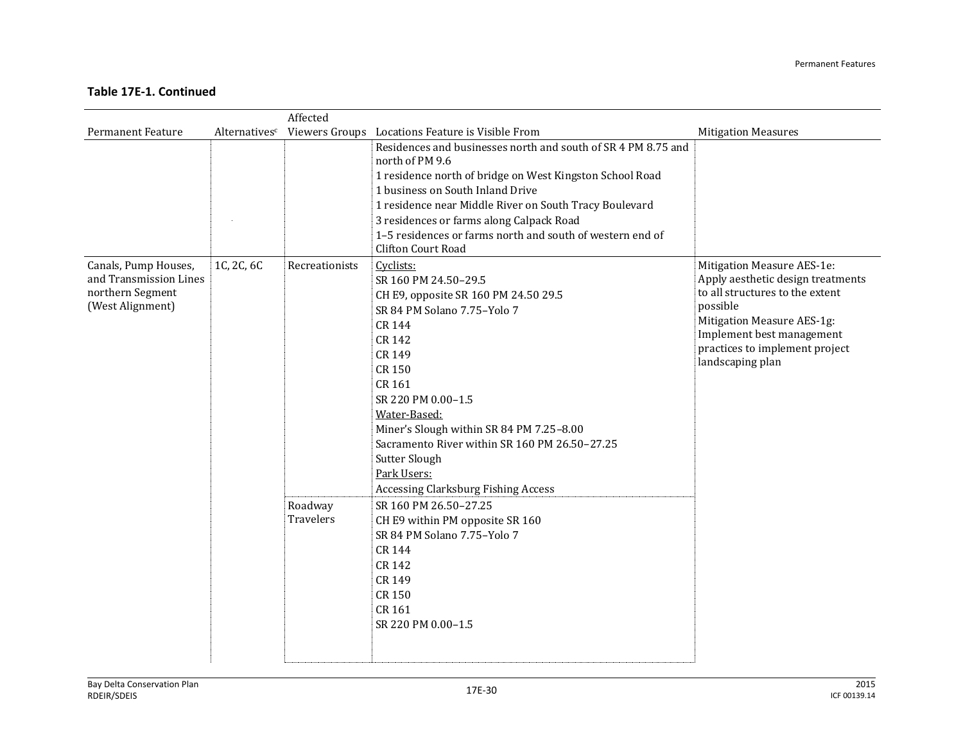|                                                                                        |               | Affected                                      |                                                                                                                                                                                                                                                                                                                                                                                                                                                                                                                                                       |                                                                                                                                                                                                                                 |
|----------------------------------------------------------------------------------------|---------------|-----------------------------------------------|-------------------------------------------------------------------------------------------------------------------------------------------------------------------------------------------------------------------------------------------------------------------------------------------------------------------------------------------------------------------------------------------------------------------------------------------------------------------------------------------------------------------------------------------------------|---------------------------------------------------------------------------------------------------------------------------------------------------------------------------------------------------------------------------------|
| <b>Permanent Feature</b>                                                               | Alternativesc |                                               | Viewers Groups Locations Feature is Visible From                                                                                                                                                                                                                                                                                                                                                                                                                                                                                                      | <b>Mitigation Measures</b>                                                                                                                                                                                                      |
|                                                                                        |               |                                               | Residences and businesses north and south of SR 4 PM 8.75 and<br>north of PM 9.6<br>1 residence north of bridge on West Kingston School Road<br>1 business on South Inland Drive<br>1 residence near Middle River on South Tracy Boulevard<br>3 residences or farms along Calpack Road<br>1-5 residences or farms north and south of western end of<br><b>Clifton Court Road</b>                                                                                                                                                                      |                                                                                                                                                                                                                                 |
| Canals, Pump Houses,<br>and Transmission Lines<br>northern Segment<br>(West Alignment) | 1C, 2C, 6C    | Recreationists<br>Roadway<br><b>Travelers</b> | Cyclists:<br>SR 160 PM 24.50-29.5<br>CH E9, opposite SR 160 PM 24.50 29.5<br>SR 84 PM Solano 7.75-Yolo 7<br>CR 144<br>CR 142<br>CR 149<br><b>CR 150</b><br>CR 161<br>SR 220 PM 0.00-1.5<br>Water-Based:<br>Miner's Slough within SR 84 PM 7.25-8.00<br>Sacramento River within SR 160 PM 26.50-27.25<br>Sutter Slough<br>Park Users:<br><b>Accessing Clarksburg Fishing Access</b><br>SR 160 PM 26.50-27.25<br>CH E9 within PM opposite SR 160<br>SR 84 PM Solano 7.75-Yolo 7<br>CR 144<br>CR 142<br>CR 149<br>CR 150<br>CR 161<br>SR 220 PM 0.00-1.5 | Mitigation Measure AES-1e:<br>Apply aesthetic design treatments<br>to all structures to the extent<br>possible<br>Mitigation Measure AES-1g:<br>Implement best management<br>practices to implement project<br>landscaping plan |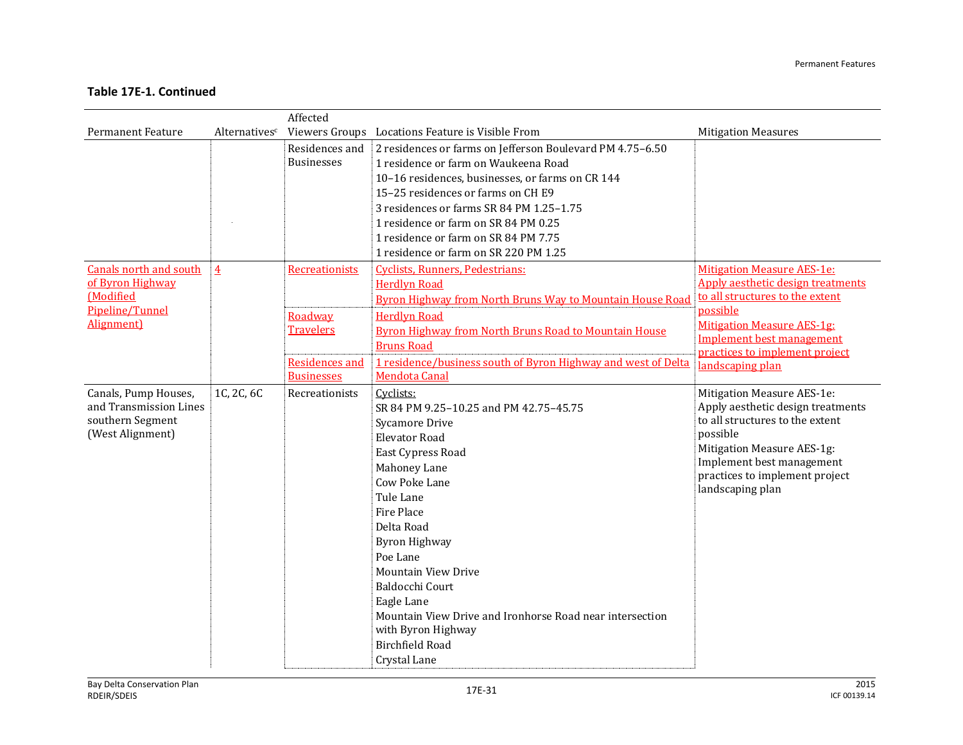|                                                                                        |                | Affected              |                                                                                                                                                     |                                                                                                                                                                                                                                 |
|----------------------------------------------------------------------------------------|----------------|-----------------------|-----------------------------------------------------------------------------------------------------------------------------------------------------|---------------------------------------------------------------------------------------------------------------------------------------------------------------------------------------------------------------------------------|
| <b>Permanent Feature</b>                                                               | Alternativesc  |                       | Viewers Groups Locations Feature is Visible From                                                                                                    | <b>Mitigation Measures</b>                                                                                                                                                                                                      |
|                                                                                        |                | Residences and        | 2 residences or farms on Jefferson Boulevard PM 4.75-6.50                                                                                           |                                                                                                                                                                                                                                 |
|                                                                                        |                | <b>Businesses</b>     | 1 residence or farm on Waukeena Road                                                                                                                |                                                                                                                                                                                                                                 |
|                                                                                        |                |                       | 10-16 residences, businesses, or farms on CR 144                                                                                                    |                                                                                                                                                                                                                                 |
|                                                                                        |                |                       | 15-25 residences or farms on CH E9                                                                                                                  |                                                                                                                                                                                                                                 |
|                                                                                        |                |                       | 3 residences or farms SR 84 PM 1.25-1.75                                                                                                            |                                                                                                                                                                                                                                 |
|                                                                                        |                |                       | 1 residence or farm on SR 84 PM 0.25                                                                                                                |                                                                                                                                                                                                                                 |
|                                                                                        |                |                       | 1 residence or farm on SR 84 PM 7.75                                                                                                                |                                                                                                                                                                                                                                 |
|                                                                                        |                |                       | 1 residence or farm on SR 220 PM 1.25                                                                                                               |                                                                                                                                                                                                                                 |
| <b>Canals north and south</b>                                                          | $\overline{4}$ | Recreationists        | Cyclists, Runners, Pedestrians:                                                                                                                     | <b>Mitigation Measure AES-1e:</b>                                                                                                                                                                                               |
| of Byron Highway                                                                       |                |                       | <b>Herdlyn Road</b>                                                                                                                                 | Apply aesthetic design treatments                                                                                                                                                                                               |
| <b>Modified</b>                                                                        |                |                       | <b>Byron Highway from North Bruns Way to Mountain House Road</b>                                                                                    | to all structures to the extent                                                                                                                                                                                                 |
| Pipeline/Tunnel                                                                        |                | Roadway               | <b>Herdlyn Road</b>                                                                                                                                 | possible                                                                                                                                                                                                                        |
| Alignment)                                                                             |                | <b>Travelers</b>      | <b>Byron Highway from North Bruns Road to Mountain House</b>                                                                                        | <b>Mitigation Measure AES-1g:</b>                                                                                                                                                                                               |
|                                                                                        |                |                       | <b>Bruns Road</b>                                                                                                                                   | <b>Implement best management</b>                                                                                                                                                                                                |
|                                                                                        |                | <b>Residences and</b> | 1 residence/business south of Byron Highway and west of Delta                                                                                       | practices to implement project<br>landscaping plan                                                                                                                                                                              |
|                                                                                        |                | <b>Businesses</b>     | Mendota Canal                                                                                                                                       |                                                                                                                                                                                                                                 |
| Canals, Pump Houses,<br>and Transmission Lines<br>southern Segment<br>(West Alignment) | 1C, 2C, 6C     | Recreationists        | Cyclists:<br>SR 84 PM 9.25-10.25 and PM 42.75-45.75<br>Sycamore Drive<br><b>Elevator Road</b><br>East Cypress Road<br>Mahoney Lane<br>Cow Poke Lane | Mitigation Measure AES-1e:<br>Apply aesthetic design treatments<br>to all structures to the extent<br>possible<br>Mitigation Measure AES-1g:<br>Implement best management<br>practices to implement project<br>landscaping plan |
|                                                                                        |                |                       | Tule Lane<br>Fire Place                                                                                                                             |                                                                                                                                                                                                                                 |
|                                                                                        |                |                       | Delta Road                                                                                                                                          |                                                                                                                                                                                                                                 |
|                                                                                        |                |                       | <b>Byron Highway</b>                                                                                                                                |                                                                                                                                                                                                                                 |
|                                                                                        |                |                       | Poe Lane                                                                                                                                            |                                                                                                                                                                                                                                 |
|                                                                                        |                |                       | <b>Mountain View Drive</b>                                                                                                                          |                                                                                                                                                                                                                                 |
|                                                                                        |                |                       | Baldocchi Court                                                                                                                                     |                                                                                                                                                                                                                                 |
|                                                                                        |                |                       | Eagle Lane<br>Mountain View Drive and Ironhorse Road near intersection                                                                              |                                                                                                                                                                                                                                 |
|                                                                                        |                |                       | with Byron Highway<br>Birchfield Road                                                                                                               |                                                                                                                                                                                                                                 |
|                                                                                        |                |                       | Crystal Lane                                                                                                                                        |                                                                                                                                                                                                                                 |
|                                                                                        |                |                       |                                                                                                                                                     |                                                                                                                                                                                                                                 |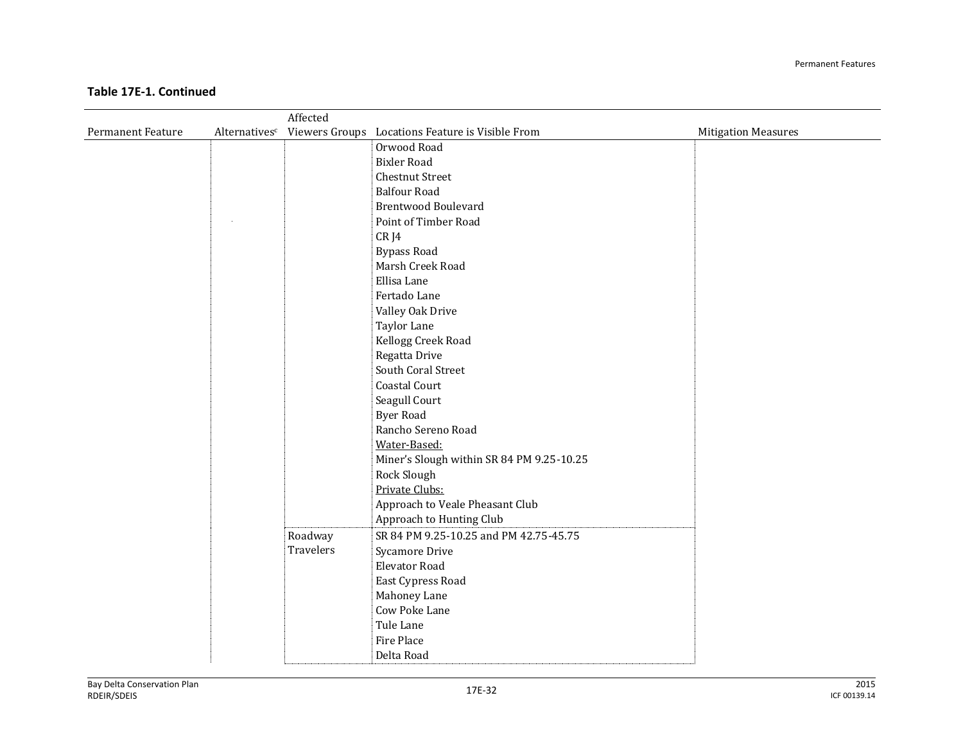|                          |               | Affected  |                                                  |                            |
|--------------------------|---------------|-----------|--------------------------------------------------|----------------------------|
| <b>Permanent Feature</b> | Alternativesc |           | Viewers Groups Locations Feature is Visible From | <b>Mitigation Measures</b> |
|                          |               |           | Orwood Road                                      |                            |
|                          |               |           | <b>Bixler Road</b>                               |                            |
|                          |               |           | <b>Chestnut Street</b>                           |                            |
|                          |               |           | <b>Balfour Road</b>                              |                            |
|                          |               |           | <b>Brentwood Boulevard</b>                       |                            |
|                          |               |           | Point of Timber Road                             |                            |
|                          |               |           | CR J4                                            |                            |
|                          |               |           | <b>Bypass Road</b>                               |                            |
|                          |               |           | Marsh Creek Road                                 |                            |
|                          |               |           | Ellisa Lane                                      |                            |
|                          |               |           | Fertado Lane                                     |                            |
|                          |               |           | Valley Oak Drive                                 |                            |
|                          |               |           | Taylor Lane                                      |                            |
|                          |               |           | Kellogg Creek Road                               |                            |
|                          |               |           | Regatta Drive                                    |                            |
|                          |               |           | South Coral Street                               |                            |
|                          |               |           | Coastal Court                                    |                            |
|                          |               |           | Seagull Court                                    |                            |
|                          |               |           | <b>Byer Road</b>                                 |                            |
|                          |               |           | Rancho Sereno Road                               |                            |
|                          |               |           | Water-Based:                                     |                            |
|                          |               |           | Miner's Slough within SR 84 PM 9.25-10.25        |                            |
|                          |               |           | Rock Slough                                      |                            |
|                          |               |           | Private Clubs:                                   |                            |
|                          |               |           | Approach to Veale Pheasant Club                  |                            |
|                          |               |           | Approach to Hunting Club                         |                            |
|                          |               | Roadway   | SR 84 PM 9.25-10.25 and PM 42.75-45.75           |                            |
|                          |               | Travelers | <b>Sycamore Drive</b>                            |                            |
|                          |               |           | <b>Elevator Road</b>                             |                            |
|                          |               |           | East Cypress Road                                |                            |
|                          |               |           | Mahoney Lane                                     |                            |
|                          |               |           | Cow Poke Lane                                    |                            |
|                          |               |           | Tule Lane                                        |                            |
|                          |               |           | Fire Place                                       |                            |
|                          |               |           | Delta Road                                       |                            |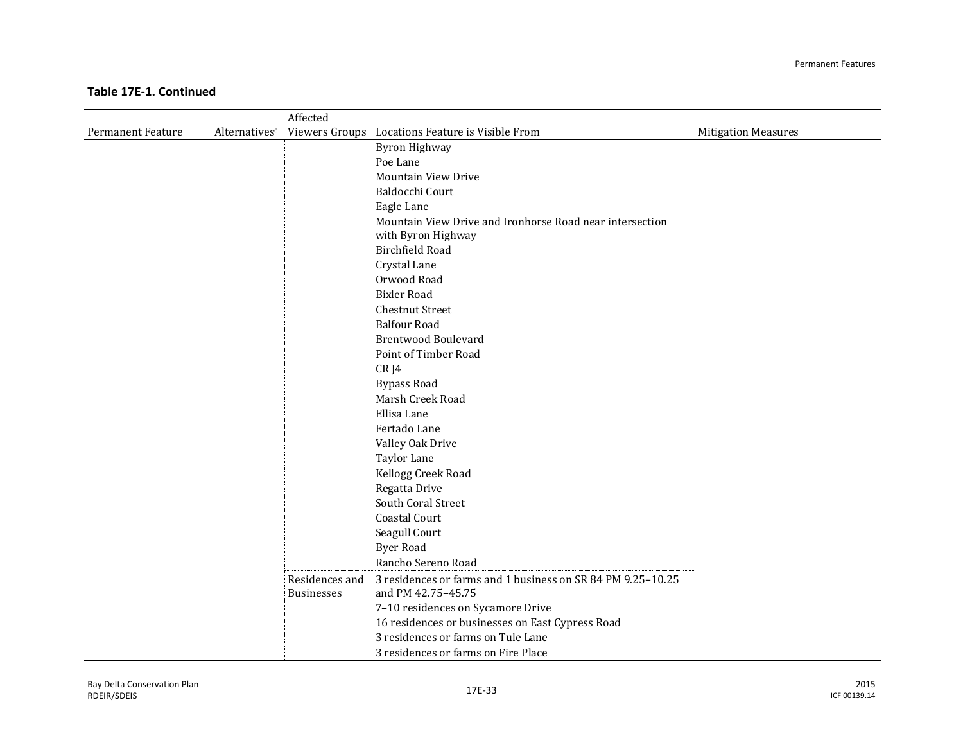|                          |               | Affected          |                                                             |                            |
|--------------------------|---------------|-------------------|-------------------------------------------------------------|----------------------------|
| <b>Permanent Feature</b> | Alternativesc |                   | Viewers Groups Locations Feature is Visible From            | <b>Mitigation Measures</b> |
|                          |               |                   | <b>Byron Highway</b>                                        |                            |
|                          |               |                   | Poe Lane                                                    |                            |
|                          |               |                   | <b>Mountain View Drive</b>                                  |                            |
|                          |               |                   | Baldocchi Court                                             |                            |
|                          |               |                   | Eagle Lane                                                  |                            |
|                          |               |                   | Mountain View Drive and Ironhorse Road near intersection    |                            |
|                          |               |                   | with Byron Highway                                          |                            |
|                          |               |                   | <b>Birchfield Road</b>                                      |                            |
|                          |               |                   | Crystal Lane                                                |                            |
|                          |               |                   | Orwood Road                                                 |                            |
|                          |               |                   | <b>Bixler Road</b>                                          |                            |
|                          |               |                   | <b>Chestnut Street</b>                                      |                            |
|                          |               |                   | <b>Balfour Road</b>                                         |                            |
|                          |               |                   | <b>Brentwood Boulevard</b>                                  |                            |
|                          |               |                   | Point of Timber Road                                        |                            |
|                          |               |                   | CR J4                                                       |                            |
|                          |               |                   | <b>Bypass Road</b>                                          |                            |
|                          |               |                   | Marsh Creek Road                                            |                            |
|                          |               |                   | Ellisa Lane                                                 |                            |
|                          |               |                   | Fertado Lane                                                |                            |
|                          |               |                   | Valley Oak Drive                                            |                            |
|                          |               |                   | Taylor Lane                                                 |                            |
|                          |               |                   | Kellogg Creek Road                                          |                            |
|                          |               |                   | Regatta Drive                                               |                            |
|                          |               |                   | South Coral Street                                          |                            |
|                          |               |                   | Coastal Court                                               |                            |
|                          |               |                   | Seagull Court                                               |                            |
|                          |               |                   | <b>Byer Road</b>                                            |                            |
|                          |               |                   | Rancho Sereno Road                                          |                            |
|                          |               | Residences and    | 3 residences or farms and 1 business on SR 84 PM 9.25-10.25 |                            |
|                          |               | <b>Businesses</b> | and PM 42.75-45.75                                          |                            |
|                          |               |                   | 7-10 residences on Sycamore Drive                           |                            |
|                          |               |                   | 16 residences or businesses on East Cypress Road            |                            |
|                          |               |                   | 3 residences or farms on Tule Lane                          |                            |
|                          |               |                   | 3 residences or farms on Fire Place                         |                            |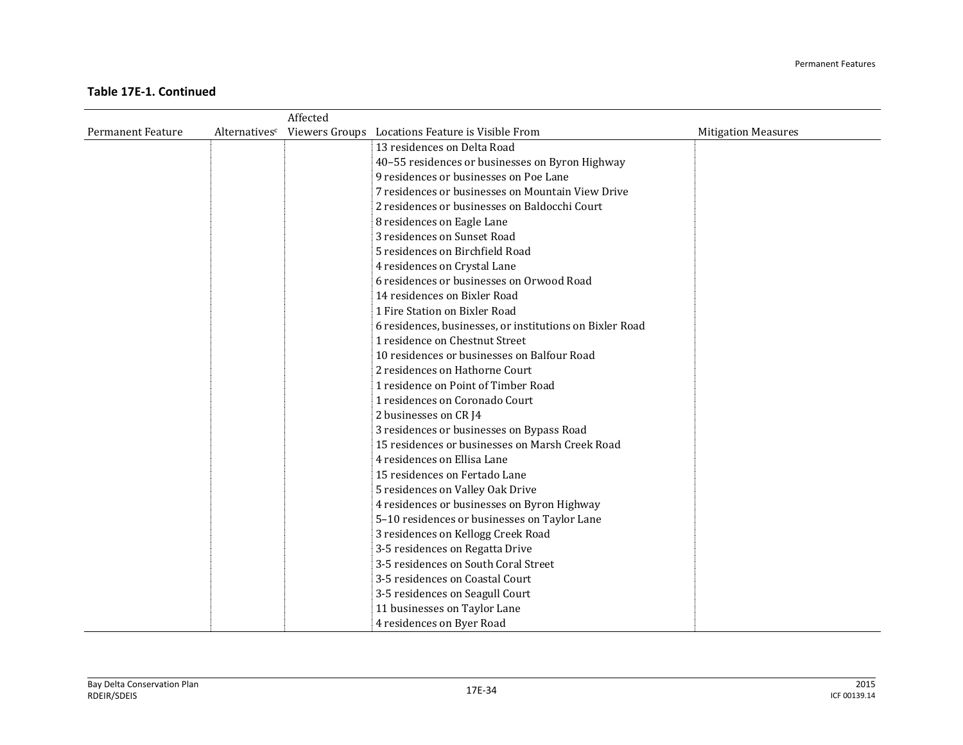|                          |               | Affected |                                                          |                            |
|--------------------------|---------------|----------|----------------------------------------------------------|----------------------------|
| <b>Permanent Feature</b> | Alternativesc |          | Viewers Groups Locations Feature is Visible From         | <b>Mitigation Measures</b> |
|                          |               |          | 13 residences on Delta Road                              |                            |
|                          |               |          | 40-55 residences or businesses on Byron Highway          |                            |
|                          |               |          | 9 residences or businesses on Poe Lane                   |                            |
|                          |               |          | 7 residences or businesses on Mountain View Drive        |                            |
|                          |               |          | 2 residences or businesses on Baldocchi Court            |                            |
|                          |               |          | 8 residences on Eagle Lane                               |                            |
|                          |               |          | 3 residences on Sunset Road                              |                            |
|                          |               |          | 5 residences on Birchfield Road                          |                            |
|                          |               |          | 4 residences on Crystal Lane                             |                            |
|                          |               |          | 6 residences or businesses on Orwood Road                |                            |
|                          |               |          | 14 residences on Bixler Road                             |                            |
|                          |               |          | 1 Fire Station on Bixler Road                            |                            |
|                          |               |          | 6 residences, businesses, or institutions on Bixler Road |                            |
|                          |               |          | 1 residence on Chestnut Street                           |                            |
|                          |               |          | 10 residences or businesses on Balfour Road              |                            |
|                          |               |          | 2 residences on Hathorne Court                           |                            |
|                          |               |          | 1 residence on Point of Timber Road                      |                            |
|                          |               |          | 1 residences on Coronado Court                           |                            |
|                          |               |          | 2 businesses on CR J4                                    |                            |
|                          |               |          | 3 residences or businesses on Bypass Road                |                            |
|                          |               |          | 15 residences or businesses on Marsh Creek Road          |                            |
|                          |               |          | 4 residences on Ellisa Lane                              |                            |
|                          |               |          | 15 residences on Fertado Lane                            |                            |
|                          |               |          | 5 residences on Valley Oak Drive                         |                            |
|                          |               |          | 4 residences or businesses on Byron Highway              |                            |
|                          |               |          | 5-10 residences or businesses on Taylor Lane             |                            |
|                          |               |          | 3 residences on Kellogg Creek Road                       |                            |
|                          |               |          | 3-5 residences on Regatta Drive                          |                            |
|                          |               |          | 3-5 residences on South Coral Street                     |                            |
|                          |               |          | 3-5 residences on Coastal Court                          |                            |
|                          |               |          | 3-5 residences on Seagull Court                          |                            |
|                          |               |          | 11 businesses on Taylor Lane                             |                            |
|                          |               |          | 4 residences on Byer Road                                |                            |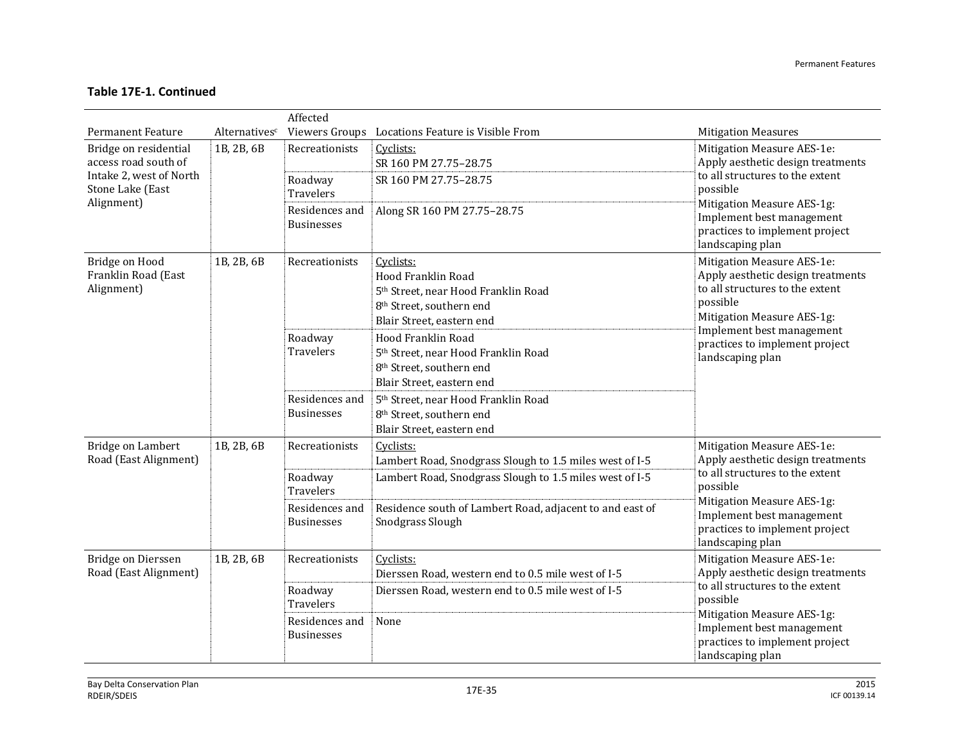|                                                           |                           | Affected                            |                                                                                                                                                         |                                                                                                                                              |
|-----------------------------------------------------------|---------------------------|-------------------------------------|---------------------------------------------------------------------------------------------------------------------------------------------------------|----------------------------------------------------------------------------------------------------------------------------------------------|
| <b>Permanent Feature</b>                                  | Alternatives <sup>c</sup> |                                     | Viewers Groups Locations Feature is Visible From                                                                                                        | <b>Mitigation Measures</b>                                                                                                                   |
| Bridge on residential<br>access road south of             | 1B, 2B, 6B                | Recreationists                      | Cyclists:<br>SR 160 PM 27.75-28.75                                                                                                                      | Mitigation Measure AES-1e:<br>Apply aesthetic design treatments                                                                              |
| Intake 2, west of North<br>Stone Lake (East<br>Alignment) |                           | Roadway<br>Travelers                | SR 160 PM 27.75-28.75                                                                                                                                   | to all structures to the extent<br>possible<br>Mitigation Measure AES-1g:                                                                    |
|                                                           |                           | Residences and<br><b>Businesses</b> | Along SR 160 PM 27.75-28.75                                                                                                                             | Implement best management<br>practices to implement project<br>landscaping plan                                                              |
| Bridge on Hood<br>Franklin Road (East<br>Alignment)       | 1B, 2B, 6B                | Recreationists                      | Cyclists:<br>Hood Franklin Road<br>5 <sup>th</sup> Street, near Hood Franklin Road<br>8 <sup>th</sup> Street, southern end<br>Blair Street, eastern end | Mitigation Measure AES-1e:<br>Apply aesthetic design treatments<br>to all structures to the extent<br>possible<br>Mitigation Measure AES-1g: |
|                                                           |                           | Roadway<br>Travelers                | Hood Franklin Road<br>5 <sup>th</sup> Street, near Hood Franklin Road<br>8th Street, southern end<br>Blair Street, eastern end                          | Implement best management<br>practices to implement project<br>landscaping plan                                                              |
|                                                           |                           | Residences and<br><b>Businesses</b> | 5th Street, near Hood Franklin Road<br>8 <sup>th</sup> Street, southern end<br>Blair Street, eastern end                                                |                                                                                                                                              |
| Bridge on Lambert<br>Road (East Alignment)                | 1B, 2B, 6B                | Recreationists                      | Cyclists:<br>Lambert Road, Snodgrass Slough to 1.5 miles west of I-5                                                                                    | Mitigation Measure AES-1e:<br>Apply aesthetic design treatments                                                                              |
|                                                           |                           | Roadway<br><b>Travelers</b>         | Lambert Road, Snodgrass Slough to 1.5 miles west of I-5                                                                                                 | to all structures to the extent<br>possible                                                                                                  |
|                                                           |                           | Residences and<br><b>Businesses</b> | Residence south of Lambert Road, adjacent to and east of<br>Snodgrass Slough                                                                            | Mitigation Measure AES-1g:<br>Implement best management<br>practices to implement project<br>landscaping plan                                |
| Bridge on Dierssen<br>Road (East Alignment)               | 1B, 2B, 6B                | Recreationists                      | Cyclists:<br>Dierssen Road, western end to 0.5 mile west of I-5                                                                                         | Mitigation Measure AES-1e:<br>Apply aesthetic design treatments<br>to all structures to the extent<br>possible                               |
|                                                           |                           | Roadway<br><b>Travelers</b>         | Dierssen Road, western end to 0.5 mile west of I-5                                                                                                      |                                                                                                                                              |
|                                                           |                           | Residences and<br><b>Businesses</b> | None                                                                                                                                                    | Mitigation Measure AES-1g:<br>Implement best management<br>practices to implement project<br>landscaping plan                                |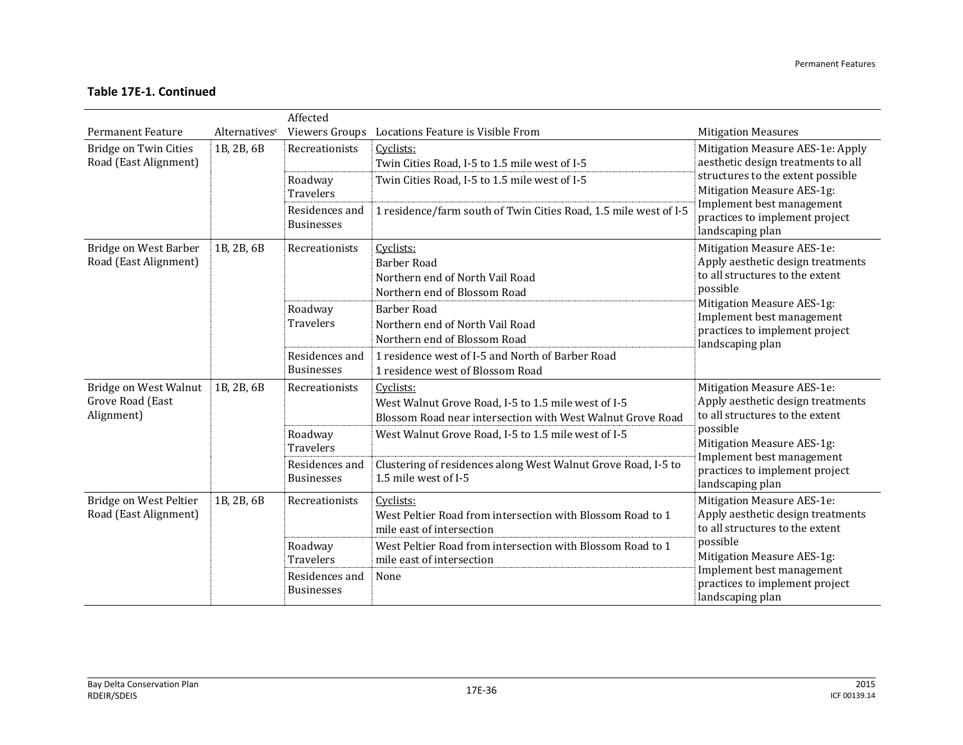|                                                         |                           | Affected                            |                                                                                                                                |                                                                                                                |
|---------------------------------------------------------|---------------------------|-------------------------------------|--------------------------------------------------------------------------------------------------------------------------------|----------------------------------------------------------------------------------------------------------------|
| <b>Permanent Feature</b>                                | Alternatives <sup>c</sup> |                                     | Viewers Groups Locations Feature is Visible From                                                                               | <b>Mitigation Measures</b>                                                                                     |
| <b>Bridge on Twin Cities</b>                            | 1B, 2B, 6B                | Recreationists                      | Cyclists:                                                                                                                      | Mitigation Measure AES-1e: Apply                                                                               |
| Road (East Alignment)                                   |                           |                                     | Twin Cities Road, I-5 to 1.5 mile west of I-5                                                                                  | aesthetic design treatments to all                                                                             |
|                                                         |                           | Roadway<br><b>Travelers</b>         | Twin Cities Road, I-5 to 1.5 mile west of I-5                                                                                  | structures to the extent possible<br>Mitigation Measure AES-1g:                                                |
|                                                         |                           | Residences and<br><b>Businesses</b> | 1 residence/farm south of Twin Cities Road, 1.5 mile west of I-5                                                               | Implement best management<br>practices to implement project<br>landscaping plan                                |
| Bridge on West Barber<br>Road (East Alignment)          | 1B, 2B, 6B                | Recreationists                      | Cyclists:<br><b>Barber Road</b><br>Northern end of North Vail Road<br>Northern end of Blossom Road                             | Mitigation Measure AES-1e:<br>Apply aesthetic design treatments<br>to all structures to the extent<br>possible |
|                                                         |                           | Roadway<br><b>Travelers</b>         | <b>Barber Road</b><br>Northern end of North Vail Road<br>Northern end of Blossom Road                                          | Mitigation Measure AES-1g:<br>Implement best management<br>practices to implement project<br>landscaping plan  |
|                                                         |                           | Residences and<br><b>Businesses</b> | 1 residence west of I-5 and North of Barber Road<br>1 residence west of Blossom Road                                           |                                                                                                                |
| Bridge on West Walnut<br>Grove Road (East<br>Alignment) | 1B, 2B, 6B                | Recreationists                      | Cyclists:<br>West Walnut Grove Road, I-5 to 1.5 mile west of I-5<br>Blossom Road near intersection with West Walnut Grove Road | Mitigation Measure AES-1e:<br>Apply aesthetic design treatments<br>to all structures to the extent             |
|                                                         |                           | Roadway<br><b>Travelers</b>         | West Walnut Grove Road, I-5 to 1.5 mile west of I-5                                                                            | possible<br>Mitigation Measure AES-1g:                                                                         |
|                                                         |                           | Residences and<br><b>Businesses</b> | Clustering of residences along West Walnut Grove Road, I-5 to<br>1.5 mile west of I-5                                          | Implement best management<br>practices to implement project<br>landscaping plan                                |
| Bridge on West Peltier<br>Road (East Alignment)         | 1B, 2B, 6B                | Recreationists                      | Cyclists:<br>West Peltier Road from intersection with Blossom Road to 1<br>mile east of intersection                           | Mitigation Measure AES-1e:<br>Apply aesthetic design treatments<br>to all structures to the extent             |
|                                                         |                           | Roadway<br><b>Travelers</b>         | West Peltier Road from intersection with Blossom Road to 1<br>mile east of intersection                                        | possible<br>Mitigation Measure AES-1g:                                                                         |
|                                                         |                           | Residences and<br><b>Businesses</b> | None                                                                                                                           | Implement best management<br>practices to implement project<br>landscaping plan                                |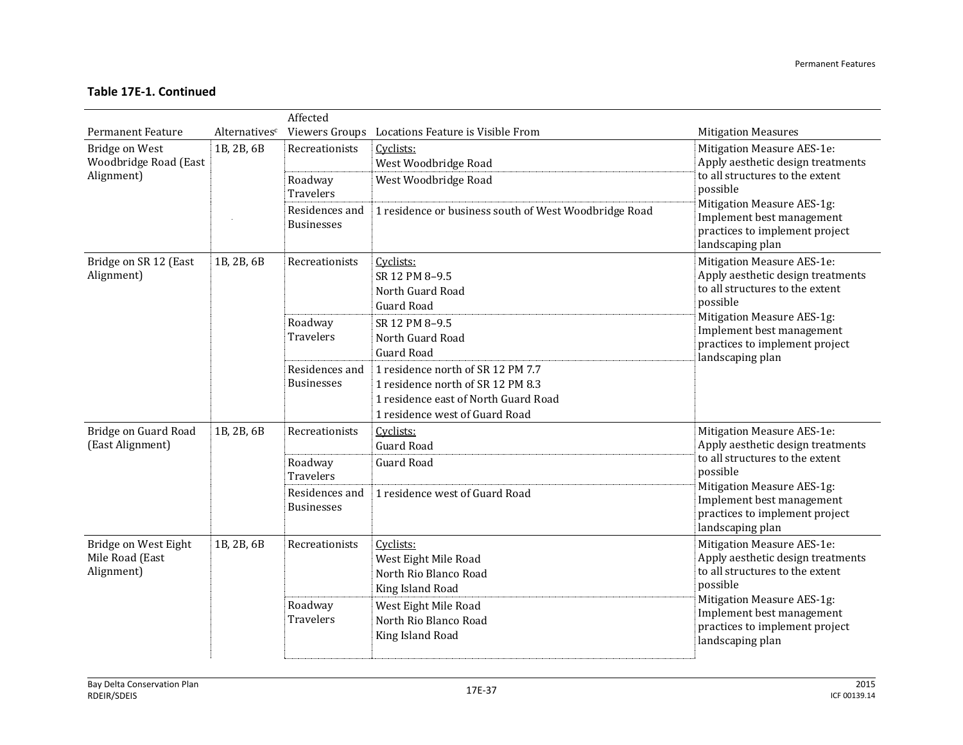|                                                              |               | Affected                            |                                                                                                                                                  |                                                                                                                |
|--------------------------------------------------------------|---------------|-------------------------------------|--------------------------------------------------------------------------------------------------------------------------------------------------|----------------------------------------------------------------------------------------------------------------|
| <b>Permanent Feature</b>                                     | Alternativesc |                                     | Viewers Groups Locations Feature is Visible From                                                                                                 | <b>Mitigation Measures</b>                                                                                     |
| <b>Bridge on West</b><br>Woodbridge Road (East<br>Alignment) | 1B, 2B, 6B    | Recreationists                      | Cyclists:<br>West Woodbridge Road                                                                                                                | Mitigation Measure AES-1e:<br>Apply aesthetic design treatments<br>to all structures to the extent             |
|                                                              |               | Roadway<br>Travelers                | West Woodbridge Road                                                                                                                             | possible<br>Mitigation Measure AES-1g:                                                                         |
|                                                              |               | Residences and<br><b>Businesses</b> | 1 residence or business south of West Woodbridge Road                                                                                            | Implement best management<br>practices to implement project<br>landscaping plan                                |
| Bridge on SR 12 (East<br>Alignment)                          | 1B, 2B, 6B    | Recreationists                      | Cyclists:<br>SR 12 PM 8-9.5<br>North Guard Road<br>Guard Road                                                                                    | Mitigation Measure AES-1e:<br>Apply aesthetic design treatments<br>to all structures to the extent<br>possible |
|                                                              |               | Roadway<br>Travelers                | SR 12 PM 8-9.5<br>North Guard Road<br><b>Guard Road</b>                                                                                          | Mitigation Measure AES-1g:<br>Implement best management<br>practices to implement project<br>landscaping plan  |
|                                                              |               | Residences and<br><b>Businesses</b> | 1 residence north of SR 12 PM 7.7<br>1 residence north of SR 12 PM 8.3<br>1 residence east of North Guard Road<br>1 residence west of Guard Road |                                                                                                                |
| Bridge on Guard Road<br>(East Alignment)                     | 1B, 2B, 6B    | Recreationists                      | Cyclists:<br><b>Guard Road</b>                                                                                                                   | Mitigation Measure AES-1e:<br>Apply aesthetic design treatments                                                |
|                                                              |               | Roadway<br><b>Travelers</b>         | <b>Guard Road</b>                                                                                                                                | to all structures to the extent<br>possible                                                                    |
|                                                              |               | Residences and<br><b>Businesses</b> | 1 residence west of Guard Road                                                                                                                   | Mitigation Measure AES-1g:<br>Implement best management<br>practices to implement project<br>landscaping plan  |
| Bridge on West Eight<br>Mile Road (East<br>Alignment)        | 1B, 2B, 6B    | Recreationists                      | Cyclists:<br>West Eight Mile Road<br>North Rio Blanco Road<br>King Island Road                                                                   | Mitigation Measure AES-1e:<br>Apply aesthetic design treatments<br>to all structures to the extent<br>possible |
|                                                              |               | Roadway<br><b>Travelers</b>         | West Eight Mile Road<br>North Rio Blanco Road<br>King Island Road                                                                                | Mitigation Measure AES-1g:<br>Implement best management<br>practices to implement project<br>landscaping plan  |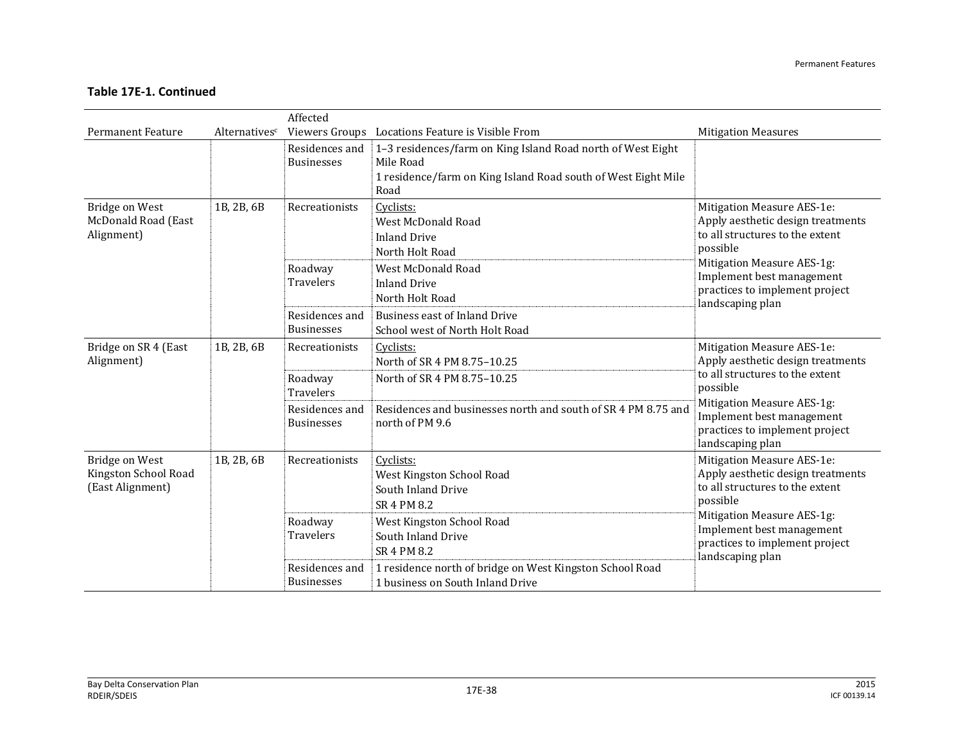|                                                            |               | Affected                            |                                                                                                                                                   |                                                                                                                                              |
|------------------------------------------------------------|---------------|-------------------------------------|---------------------------------------------------------------------------------------------------------------------------------------------------|----------------------------------------------------------------------------------------------------------------------------------------------|
| <b>Permanent Feature</b>                                   | Alternativesc |                                     | Viewers Groups Locations Feature is Visible From                                                                                                  | <b>Mitigation Measures</b>                                                                                                                   |
|                                                            |               | Residences and<br><b>Businesses</b> | 1-3 residences/farm on King Island Road north of West Eight<br>Mile Road<br>1 residence/farm on King Island Road south of West Eight Mile<br>Road |                                                                                                                                              |
| Bridge on West<br>McDonald Road (East<br>Alignment)        | 1B, 2B, 6B    | Recreationists                      | Cyclists:<br>West McDonald Road<br><b>Inland Drive</b><br>North Holt Road                                                                         | Mitigation Measure AES-1e:<br>Apply aesthetic design treatments<br>to all structures to the extent<br>possible<br>Mitigation Measure AES-1g: |
|                                                            |               | Roadway<br><b>Travelers</b>         | West McDonald Road<br><b>Inland Drive</b><br>North Holt Road                                                                                      | Implement best management<br>practices to implement project<br>landscaping plan                                                              |
|                                                            |               | Residences and<br><b>Businesses</b> | <b>Business east of Inland Drive</b><br>School west of North Holt Road                                                                            |                                                                                                                                              |
| Bridge on SR 4 (East<br>Alignment)                         | 1B, 2B, 6B    | Recreationists                      | Cyclists:<br>North of SR 4 PM 8.75-10.25                                                                                                          | Mitigation Measure AES-1e:<br>Apply aesthetic design treatments                                                                              |
|                                                            |               | Roadway<br><b>Travelers</b>         | North of SR 4 PM 8.75-10.25                                                                                                                       | to all structures to the extent<br>possible                                                                                                  |
|                                                            |               | Residences and<br><b>Businesses</b> | Residences and businesses north and south of SR 4 PM 8.75 and<br>north of PM 9.6                                                                  | Mitigation Measure AES-1g:<br>Implement best management<br>practices to implement project<br>landscaping plan                                |
| Bridge on West<br>Kingston School Road<br>(East Alignment) | 1B, 2B, 6B    | Recreationists                      | Cyclists:<br>West Kingston School Road<br>South Inland Drive<br>SR 4 PM 8.2                                                                       | Mitigation Measure AES-1e:<br>Apply aesthetic design treatments<br>to all structures to the extent<br>possible                               |
|                                                            |               | Roadway<br><b>Travelers</b>         | West Kingston School Road<br>South Inland Drive<br>SR 4 PM 8.2                                                                                    | Mitigation Measure AES-1g:<br>Implement best management<br>practices to implement project<br>landscaping plan                                |
|                                                            |               | Residences and<br><b>Businesses</b> | 1 residence north of bridge on West Kingston School Road<br>1 business on South Inland Drive                                                      |                                                                                                                                              |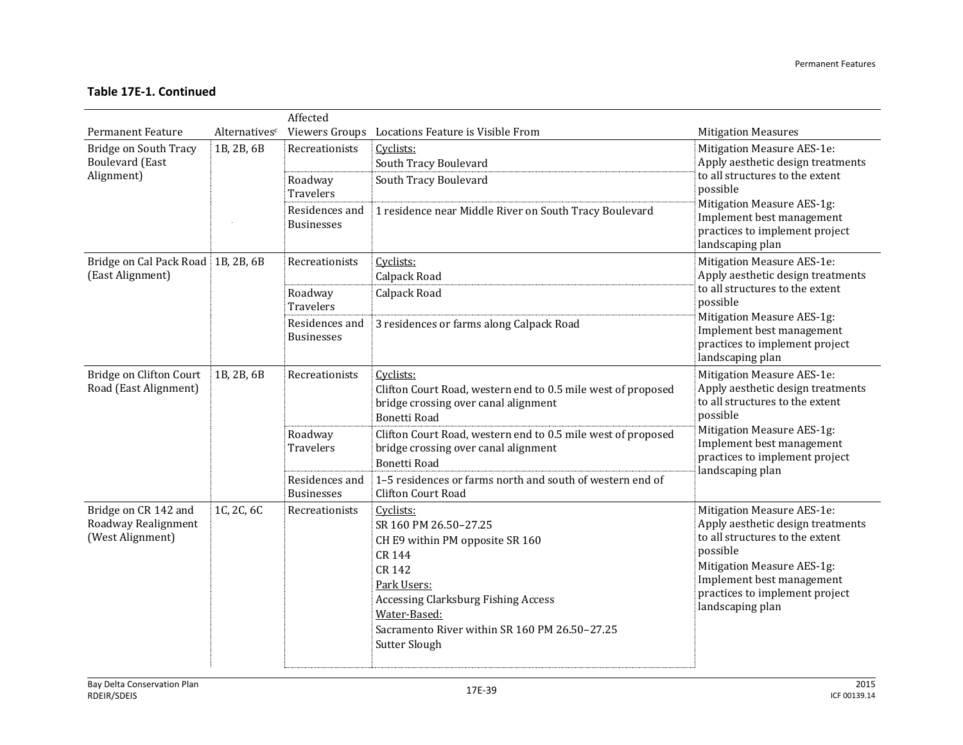|                                                                 |               | Affected                                      |                                                                                                                                                                                                                                                        |                                                                                                                                                                                                                                 |
|-----------------------------------------------------------------|---------------|-----------------------------------------------|--------------------------------------------------------------------------------------------------------------------------------------------------------------------------------------------------------------------------------------------------------|---------------------------------------------------------------------------------------------------------------------------------------------------------------------------------------------------------------------------------|
| <b>Permanent Feature</b>                                        | Alternativesc |                                               | Viewers Groups Locations Feature is Visible From                                                                                                                                                                                                       | <b>Mitigation Measures</b>                                                                                                                                                                                                      |
| Bridge on South Tracy<br><b>Boulevard</b> (East<br>Alignment)   | 1B, 2B, 6B    | Recreationists<br>Roadway<br><b>Travelers</b> | Cyclists:<br>South Tracy Boulevard<br>South Tracy Boulevard                                                                                                                                                                                            | Mitigation Measure AES-1e:<br>Apply aesthetic design treatments<br>to all structures to the extent<br>possible                                                                                                                  |
|                                                                 |               | Residences and<br><b>Businesses</b>           | 1 residence near Middle River on South Tracy Boulevard                                                                                                                                                                                                 | Mitigation Measure AES-1g:<br>Implement best management<br>practices to implement project<br>landscaping plan                                                                                                                   |
| Bridge on Cal Pack Road 1B, 2B, 6B<br>(East Alignment)          |               | Recreationists                                | Cyclists:<br>Calpack Road                                                                                                                                                                                                                              | Mitigation Measure AES-1e:<br>Apply aesthetic design treatments                                                                                                                                                                 |
|                                                                 |               | Roadway<br><b>Travelers</b>                   | Calpack Road                                                                                                                                                                                                                                           | to all structures to the extent<br>possible                                                                                                                                                                                     |
|                                                                 |               | Residences and<br><b>Businesses</b>           | 3 residences or farms along Calpack Road                                                                                                                                                                                                               | Mitigation Measure AES-1g:<br>Implement best management<br>practices to implement project<br>landscaping plan                                                                                                                   |
| Bridge on Clifton Court<br>Road (East Alignment)                | 1B, 2B, 6B    | Recreationists                                | Cyclists:<br>Clifton Court Road, western end to 0.5 mile west of proposed<br>bridge crossing over canal alignment<br><b>Bonetti Road</b>                                                                                                               | Mitigation Measure AES-1e:<br>Apply aesthetic design treatments<br>to all structures to the extent<br>possible                                                                                                                  |
|                                                                 |               | Roadway<br>Travelers                          | Clifton Court Road, western end to 0.5 mile west of proposed<br>bridge crossing over canal alignment<br><b>Bonetti Road</b>                                                                                                                            | Mitigation Measure AES-1g:<br>Implement best management<br>practices to implement project<br>landscaping plan                                                                                                                   |
|                                                                 |               | Residences and<br><b>Businesses</b>           | 1-5 residences or farms north and south of western end of<br><b>Clifton Court Road</b>                                                                                                                                                                 |                                                                                                                                                                                                                                 |
| Bridge on CR 142 and<br>Roadway Realignment<br>(West Alignment) | 1C, 2C, 6C    | Recreationists                                | Cyclists:<br>SR 160 PM 26.50-27.25<br>CH E9 within PM opposite SR 160<br><b>CR 144</b><br><b>CR 142</b><br>Park Users:<br><b>Accessing Clarksburg Fishing Access</b><br>Water-Based:<br>Sacramento River within SR 160 PM 26.50-27.25<br>Sutter Slough | Mitigation Measure AES-1e:<br>Apply aesthetic design treatments<br>to all structures to the extent<br>possible<br>Mitigation Measure AES-1g:<br>Implement best management<br>practices to implement project<br>landscaping plan |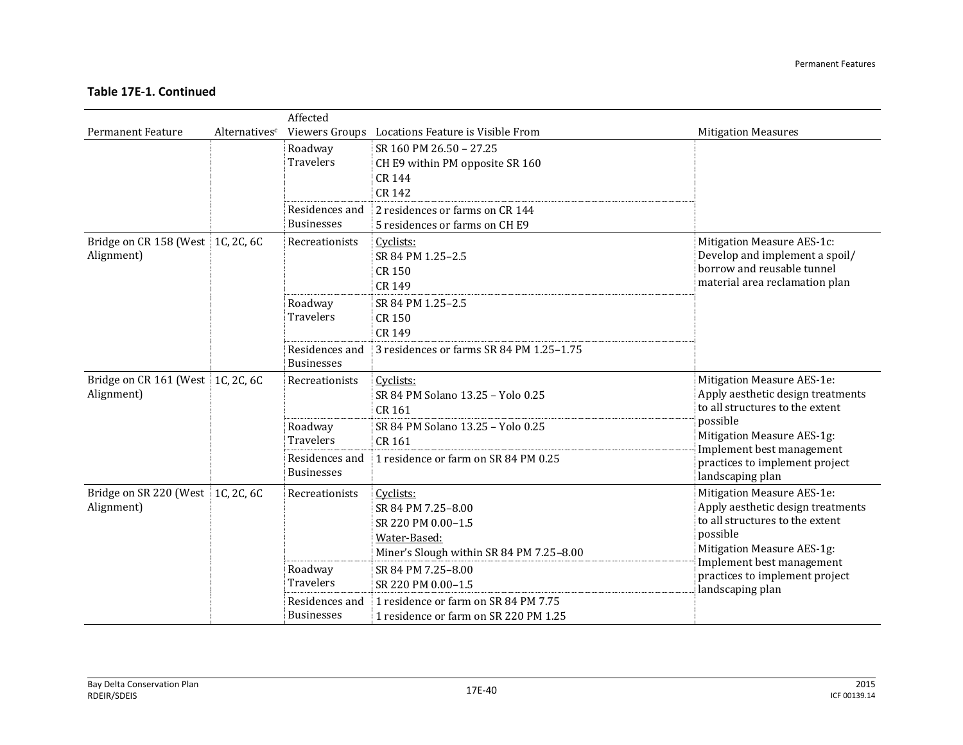|                                                 |               | Affected                            |                                                                                                                   |                                                                                                                                                                                                                                 |
|-------------------------------------------------|---------------|-------------------------------------|-------------------------------------------------------------------------------------------------------------------|---------------------------------------------------------------------------------------------------------------------------------------------------------------------------------------------------------------------------------|
| <b>Permanent Feature</b>                        | Alternativesc |                                     | Viewers Groups Locations Feature is Visible From                                                                  | <b>Mitigation Measures</b>                                                                                                                                                                                                      |
|                                                 |               | Roadway<br><b>Travelers</b>         | SR 160 PM 26.50 - 27.25<br>CH E9 within PM opposite SR 160<br><b>CR 144</b><br>CR 142                             |                                                                                                                                                                                                                                 |
|                                                 |               | Residences and<br><b>Businesses</b> | 2 residences or farms on CR 144<br>5 residences or farms on CH E9                                                 |                                                                                                                                                                                                                                 |
| Bridge on CR 158 (West 1C, 2C, 6C<br>Alignment) |               | Recreationists                      | Cyclists:<br>SR 84 PM 1.25-2.5<br><b>CR150</b><br>CR 149                                                          | Mitigation Measure AES-1c:<br>Develop and implement a spoil/<br>borrow and reusable tunnel<br>material area reclamation plan                                                                                                    |
|                                                 |               | Roadway<br><b>Travelers</b>         | SR 84 PM 1.25-2.5<br>CR 150<br>CR 149                                                                             |                                                                                                                                                                                                                                 |
|                                                 |               | Residences and<br><b>Businesses</b> | 3 residences or farms SR 84 PM 1.25-1.75                                                                          |                                                                                                                                                                                                                                 |
| Bridge on CR 161 (West 1C, 2C, 6C<br>Alignment) |               | Recreationists                      | Cyclists:<br>SR 84 PM Solano 13.25 - Yolo 0.25<br>CR 161                                                          | Mitigation Measure AES-1e:<br>Apply aesthetic design treatments<br>to all structures to the extent                                                                                                                              |
|                                                 |               | Roadway<br>Travelers                | SR 84 PM Solano 13.25 - Yolo 0.25<br>CR 161                                                                       | possible<br>Mitigation Measure AES-1g:                                                                                                                                                                                          |
|                                                 |               | Residences and<br><b>Businesses</b> | 1 residence or farm on SR 84 PM 0.25                                                                              | Implement best management<br>practices to implement project<br>landscaping plan                                                                                                                                                 |
| Bridge on SR 220 (West 1C, 2C, 6C<br>Alignment) |               | Recreationists                      | Cyclists:<br>SR 84 PM 7.25-8.00<br>SR 220 PM 0.00-1.5<br>Water-Based:<br>Miner's Slough within SR 84 PM 7.25-8.00 | Mitigation Measure AES-1e:<br>Apply aesthetic design treatments<br>to all structures to the extent<br>possible<br>Mitigation Measure AES-1g:<br>Implement best management<br>practices to implement project<br>landscaping plan |
|                                                 |               | Roadway<br><b>Travelers</b>         | SR 84 PM 7.25-8.00<br>SR 220 PM 0.00-1.5                                                                          |                                                                                                                                                                                                                                 |
|                                                 |               | Residences and<br><b>Businesses</b> | 1 residence or farm on SR 84 PM 7.75<br>1 residence or farm on SR 220 PM 1.25                                     |                                                                                                                                                                                                                                 |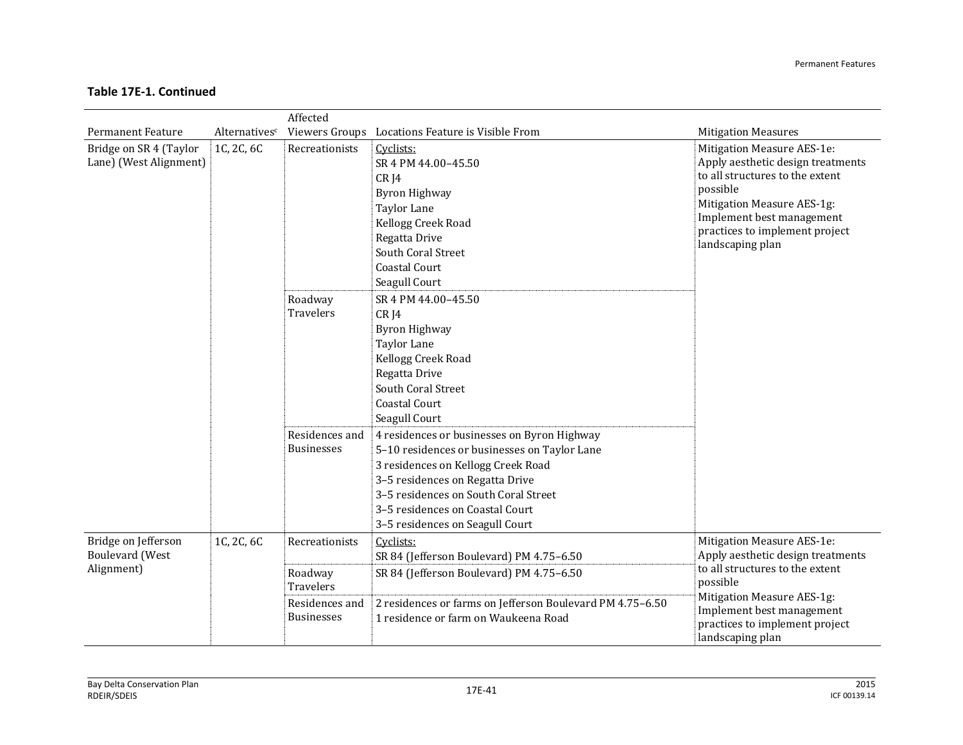|                                                             |               | Affected                                      |                                                                                                                                                                                                                                                           |                                                                                                                                                                                                                                 |                                                                                                    |
|-------------------------------------------------------------|---------------|-----------------------------------------------|-----------------------------------------------------------------------------------------------------------------------------------------------------------------------------------------------------------------------------------------------------------|---------------------------------------------------------------------------------------------------------------------------------------------------------------------------------------------------------------------------------|----------------------------------------------------------------------------------------------------|
| <b>Permanent Feature</b>                                    | Alternativesc |                                               | Viewers Groups Locations Feature is Visible From                                                                                                                                                                                                          | <b>Mitigation Measures</b>                                                                                                                                                                                                      |                                                                                                    |
| Bridge on SR 4 (Taylor<br>Lane) (West Alignment)            | 1C, 2C, 6C    | Recreationists<br>Roadway<br><b>Travelers</b> | Cyclists:<br>SR 4 PM 44.00-45.50<br>CRI4<br><b>Byron Highway</b><br>Taylor Lane<br>Kellogg Creek Road<br>Regatta Drive<br>South Coral Street<br><b>Coastal Court</b><br>Seagull Court<br>SR 4 PM 44.00-45.50<br>CR <sub>J</sub> 4<br><b>Byron Highway</b> | Mitigation Measure AES-1e:<br>Apply aesthetic design treatments<br>to all structures to the extent<br>possible<br>Mitigation Measure AES-1g:<br>Implement best management<br>practices to implement project<br>landscaping plan |                                                                                                    |
|                                                             |               | Residences and                                | <b>Taylor Lane</b><br>Kellogg Creek Road<br>Regatta Drive<br>South Coral Street<br><b>Coastal Court</b><br>Seagull Court<br>4 residences or businesses on Byron Highway                                                                                   |                                                                                                                                                                                                                                 |                                                                                                    |
|                                                             |               | <b>Businesses</b>                             | 5-10 residences or businesses on Taylor Lane<br>3 residences on Kellogg Creek Road<br>3-5 residences on Regatta Drive<br>3-5 residences on South Coral Street<br>3-5 residences on Coastal Court<br>3-5 residences on Seagull Court                       |                                                                                                                                                                                                                                 |                                                                                                    |
| Bridge on Jefferson<br><b>Boulevard</b> (West<br>Alignment) | 1C, 2C, 6C    |                                               | Recreationists                                                                                                                                                                                                                                            | Cyclists:<br>SR 84 (Jefferson Boulevard) PM 4.75-6.50                                                                                                                                                                           | Mitigation Measure AES-1e:<br>Apply aesthetic design treatments<br>to all structures to the extent |
|                                                             |               | Roadway<br>Travelers                          | SR 84 (Jefferson Boulevard) PM 4.75-6.50                                                                                                                                                                                                                  | possible<br>Mitigation Measure AES-1g:                                                                                                                                                                                          |                                                                                                    |
|                                                             |               | Residences and<br><b>Businesses</b>           | 2 residences or farms on Jefferson Boulevard PM 4.75-6.50<br>1 residence or farm on Waukeena Road                                                                                                                                                         | Implement best management<br>practices to implement project<br>landscaping plan                                                                                                                                                 |                                                                                                    |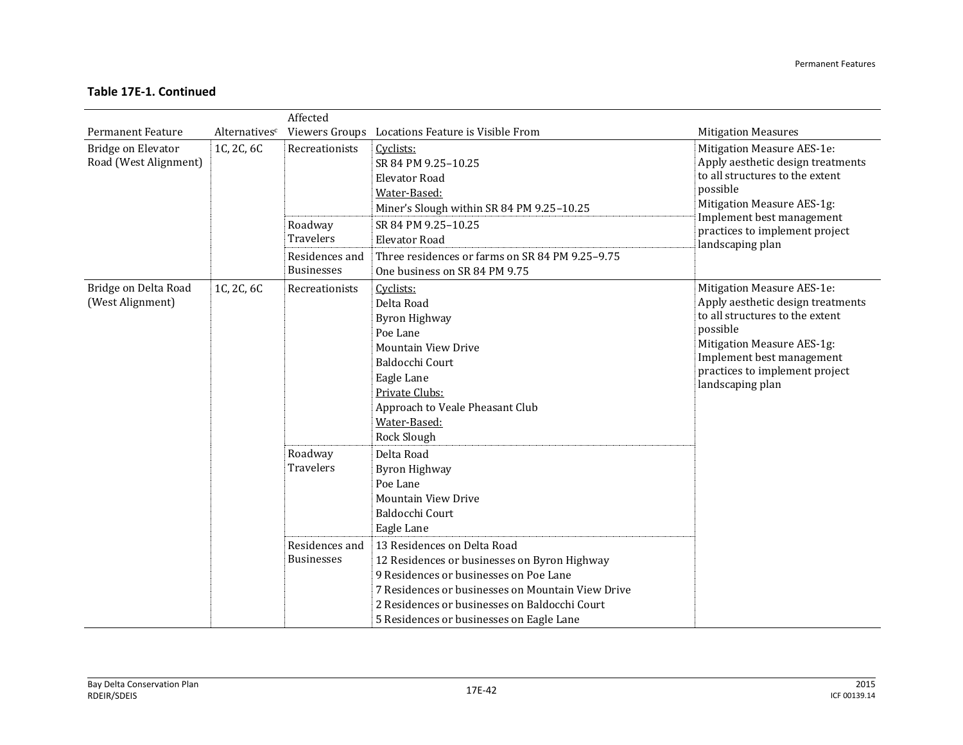|                                             |               | Affected                                                           |                                                                                                                                                                                                                                                                                                                                                                                          |                                                                                                                                                                                                                                 |
|---------------------------------------------|---------------|--------------------------------------------------------------------|------------------------------------------------------------------------------------------------------------------------------------------------------------------------------------------------------------------------------------------------------------------------------------------------------------------------------------------------------------------------------------------|---------------------------------------------------------------------------------------------------------------------------------------------------------------------------------------------------------------------------------|
| <b>Permanent Feature</b>                    | Alternativesc |                                                                    | Viewers Groups Locations Feature is Visible From                                                                                                                                                                                                                                                                                                                                         | <b>Mitigation Measures</b>                                                                                                                                                                                                      |
| Bridge on Elevator<br>Road (West Alignment) | 1C, 2C, 6C    | Recreationists                                                     | Cyclists:<br>SR 84 PM 9.25-10.25<br><b>Elevator Road</b><br>Water-Based:<br>Miner's Slough within SR 84 PM 9.25-10.25                                                                                                                                                                                                                                                                    | Mitigation Measure AES-1e:<br>Apply aesthetic design treatments<br>to all structures to the extent<br>possible<br>Mitigation Measure AES-1g:<br>Implement best management                                                       |
|                                             |               | Roadway<br><b>Travelers</b><br>Residences and                      | SR 84 PM 9.25-10.25<br><b>Elevator Road</b><br>Three residences or farms on SR 84 PM 9.25-9.75                                                                                                                                                                                                                                                                                           | practices to implement project<br>landscaping plan                                                                                                                                                                              |
|                                             |               | <b>Businesses</b>                                                  | One business on SR 84 PM 9.75                                                                                                                                                                                                                                                                                                                                                            |                                                                                                                                                                                                                                 |
| Bridge on Delta Road<br>(West Alignment)    | 1C, 2C, 6C    | Recreationists                                                     | Cyclists:<br>Delta Road<br><b>Byron Highway</b><br>Poe Lane<br><b>Mountain View Drive</b><br>Baldocchi Court<br>Eagle Lane<br>Private Clubs:<br>Approach to Veale Pheasant Club<br>Water-Based:<br>Rock Slough                                                                                                                                                                           | Mitigation Measure AES-1e:<br>Apply aesthetic design treatments<br>to all structures to the extent<br>possible<br>Mitigation Measure AES-1g:<br>Implement best management<br>practices to implement project<br>landscaping plan |
|                                             |               | Roadway<br><b>Travelers</b><br>Residences and<br><b>Businesses</b> | Delta Road<br><b>Byron Highway</b><br>Poe Lane<br><b>Mountain View Drive</b><br>Baldocchi Court<br>Eagle Lane<br>13 Residences on Delta Road<br>12 Residences or businesses on Byron Highway<br>9 Residences or businesses on Poe Lane<br>7 Residences or businesses on Mountain View Drive<br>2 Residences or businesses on Baldocchi Court<br>5 Residences or businesses on Eagle Lane |                                                                                                                                                                                                                                 |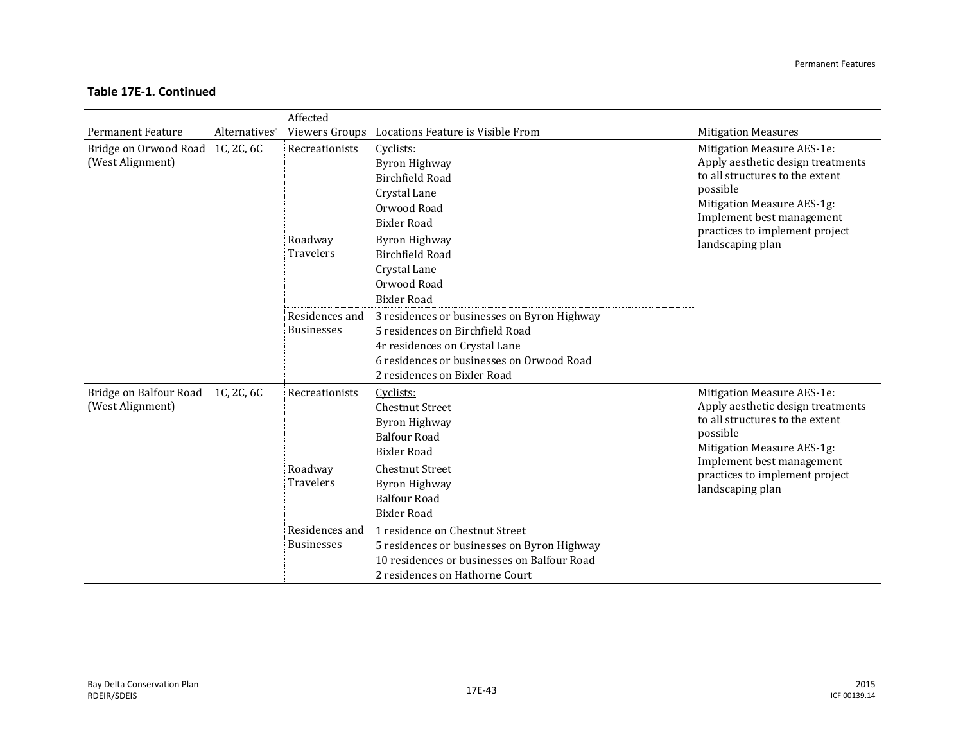|                                            |               | Affected                                      |                                                                                                                                                                                                                   |                                                                                                                                                                                                                                 |
|--------------------------------------------|---------------|-----------------------------------------------|-------------------------------------------------------------------------------------------------------------------------------------------------------------------------------------------------------------------|---------------------------------------------------------------------------------------------------------------------------------------------------------------------------------------------------------------------------------|
| <b>Permanent Feature</b>                   | Alternativesc |                                               | Viewers Groups Locations Feature is Visible From                                                                                                                                                                  | <b>Mitigation Measures</b>                                                                                                                                                                                                      |
| Bridge on Orwood Road<br>(West Alignment)  | 1C, 2C, 6C    | Recreationists<br>Roadway<br><b>Travelers</b> | Cyclists:<br>Byron Highway<br>Birchfield Road<br>Crystal Lane<br>Orwood Road<br><b>Bixler Road</b><br>Byron Highway<br><b>Birchfield Road</b><br>Crystal Lane<br>Orwood Road                                      | Mitigation Measure AES-1e:<br>Apply aesthetic design treatments<br>to all structures to the extent<br>possible<br>Mitigation Measure AES-1g:<br>Implement best management<br>practices to implement project<br>landscaping plan |
|                                            |               | Residences and<br><b>Businesses</b>           | <b>Bixler Road</b><br>3 residences or businesses on Byron Highway<br>5 residences on Birchfield Road<br>4r residences on Crystal Lane<br>6 residences or businesses on Orwood Road<br>2 residences on Bixler Road |                                                                                                                                                                                                                                 |
| Bridge on Balfour Road<br>(West Alignment) | 1C, 2C, 6C    | Recreationists<br>Roadway<br><b>Travelers</b> | Cyclists:<br><b>Chestnut Street</b><br><b>Byron Highway</b><br><b>Balfour Road</b><br><b>Bixler Road</b><br><b>Chestnut Street</b><br><b>Byron Highway</b><br><b>Balfour Road</b>                                 | Mitigation Measure AES-1e:<br>Apply aesthetic design treatments<br>to all structures to the extent<br>possible<br>Mitigation Measure AES-1g:<br>Implement best management<br>practices to implement project<br>landscaping plan |
|                                            |               | Residences and<br><b>Businesses</b>           | <b>Bixler Road</b><br>1 residence on Chestnut Street<br>5 residences or businesses on Byron Highway<br>10 residences or businesses on Balfour Road<br>2 residences on Hathorne Court                              |                                                                                                                                                                                                                                 |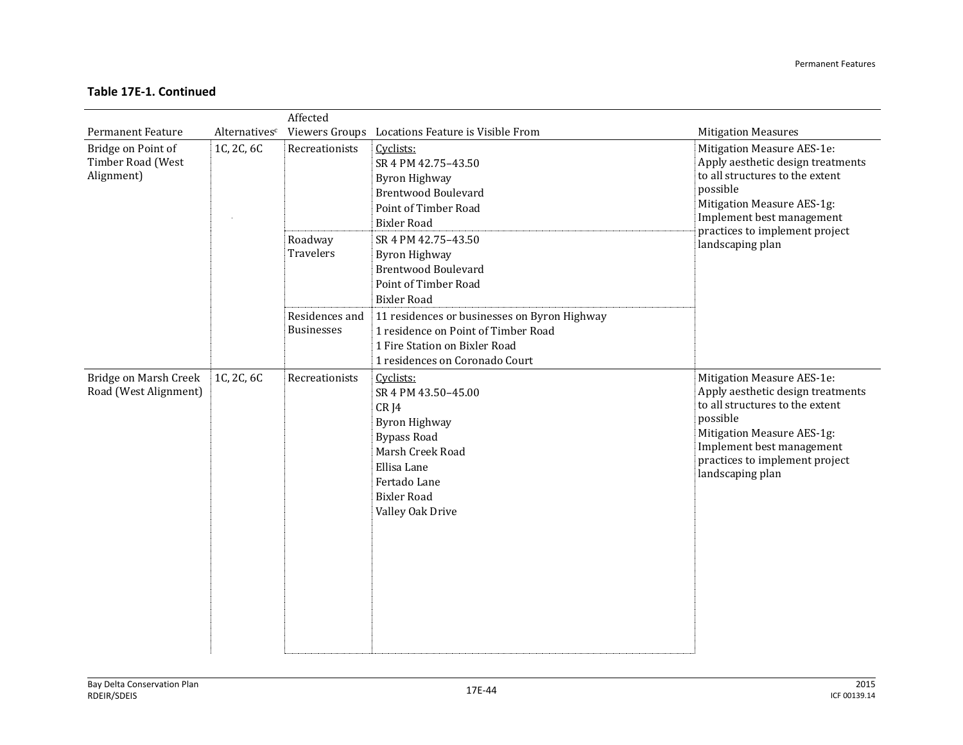|                                                       |               | Affected                               |                                                                                                                                                                                                                                           |                                                                                                                                                                                                                                 |
|-------------------------------------------------------|---------------|----------------------------------------|-------------------------------------------------------------------------------------------------------------------------------------------------------------------------------------------------------------------------------------------|---------------------------------------------------------------------------------------------------------------------------------------------------------------------------------------------------------------------------------|
| <b>Permanent Feature</b>                              | Alternativesc |                                        | Viewers Groups Locations Feature is Visible From                                                                                                                                                                                          | <b>Mitigation Measures</b>                                                                                                                                                                                                      |
| Bridge on Point of<br>Timber Road (West<br>Alignment) | 1C, 2C, 6C    | Recreationists<br>Roadway<br>Travelers | Cyclists:<br>SR 4 PM 42.75-43.50<br><b>Byron Highway</b><br><b>Brentwood Boulevard</b><br>Point of Timber Road<br><b>Bixler Road</b><br>SR 4 PM 42.75-43.50<br><b>Byron Highway</b><br><b>Brentwood Boulevard</b><br>Point of Timber Road | Mitigation Measure AES-1e:<br>Apply aesthetic design treatments<br>to all structures to the extent<br>possible<br>Mitigation Measure AES-1g:<br>Implement best management<br>practices to implement project<br>landscaping plan |
|                                                       |               | Residences and<br><b>Businesses</b>    | <b>Bixler Road</b><br>11 residences or businesses on Byron Highway<br>1 residence on Point of Timber Road<br>1 Fire Station on Bixler Road<br>1 residences on Coronado Court                                                              |                                                                                                                                                                                                                                 |
| Bridge on Marsh Creek<br>Road (West Alignment)        | 1C, 2C, 6C    | Recreationists                         | Cyclists:<br>SR 4 PM 43.50-45.00<br>CRJ4<br>Byron Highway<br><b>Bypass Road</b><br>Marsh Creek Road<br>Ellisa Lane<br>Fertado Lane<br><b>Bixler Road</b><br>Valley Oak Drive                                                              | Mitigation Measure AES-1e:<br>Apply aesthetic design treatments<br>to all structures to the extent<br>possible<br>Mitigation Measure AES-1g:<br>Implement best management<br>practices to implement project<br>landscaping plan |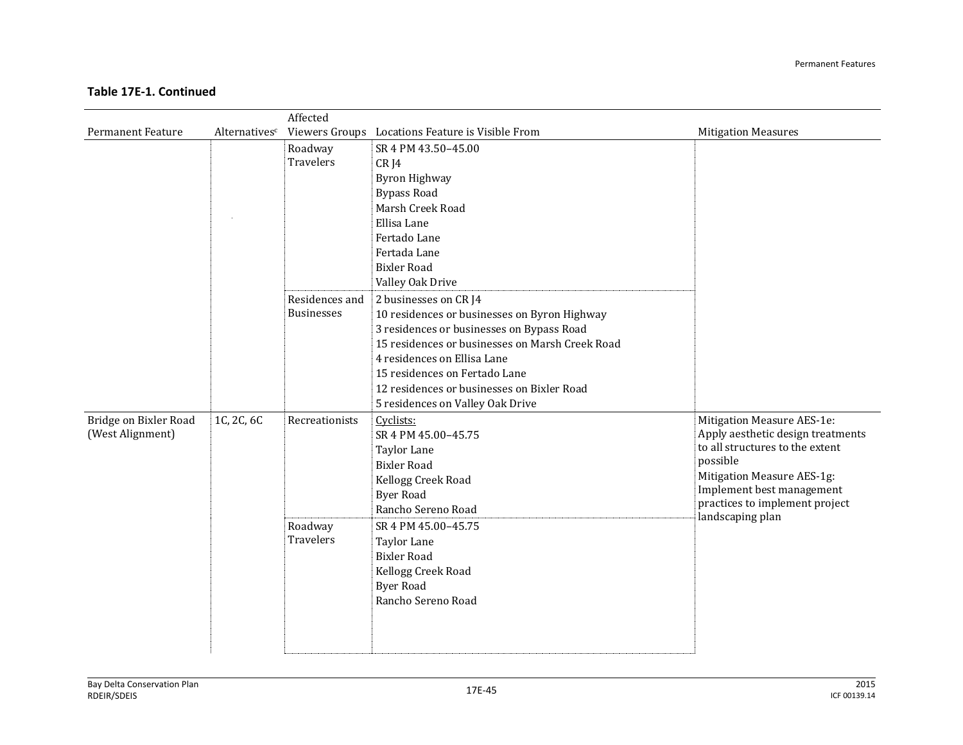|                          |               | Affected          |                                                  |                                                             |
|--------------------------|---------------|-------------------|--------------------------------------------------|-------------------------------------------------------------|
| <b>Permanent Feature</b> | Alternativesc |                   | Viewers Groups Locations Feature is Visible From | <b>Mitigation Measures</b>                                  |
|                          |               | Roadway           | SR 4 PM 43.50-45.00                              |                                                             |
|                          |               | Travelers         | CRJ4                                             |                                                             |
|                          |               |                   | <b>Byron Highway</b>                             |                                                             |
|                          |               |                   | <b>Bypass Road</b>                               |                                                             |
|                          |               |                   | Marsh Creek Road                                 |                                                             |
|                          |               |                   | Ellisa Lane                                      |                                                             |
|                          |               |                   | Fertado Lane                                     |                                                             |
|                          |               |                   | Fertada Lane                                     |                                                             |
|                          |               |                   | <b>Bixler Road</b>                               |                                                             |
|                          |               |                   | Valley Oak Drive                                 |                                                             |
|                          |               | Residences and    | 2 businesses on CR J4                            |                                                             |
|                          |               | <b>Businesses</b> | 10 residences or businesses on Byron Highway     |                                                             |
|                          |               |                   | 3 residences or businesses on Bypass Road        |                                                             |
|                          |               |                   | 15 residences or businesses on Marsh Creek Road  |                                                             |
|                          |               |                   | 4 residences on Ellisa Lane                      |                                                             |
|                          |               |                   | 15 residences on Fertado Lane                    |                                                             |
|                          |               |                   | 12 residences or businesses on Bixler Road       |                                                             |
|                          |               |                   | 5 residences on Valley Oak Drive                 |                                                             |
| Bridge on Bixler Road    | 1C, 2C, 6C    | Recreationists    | Cyclists:                                        | Mitigation Measure AES-1e:                                  |
| (West Alignment)         |               |                   | SR 4 PM 45.00-45.75                              | Apply aesthetic design treatments                           |
|                          |               |                   | <b>Taylor Lane</b>                               | to all structures to the extent                             |
|                          |               |                   | <b>Bixler Road</b>                               | possible                                                    |
|                          |               |                   | Kellogg Creek Road                               | Mitigation Measure AES-1g:                                  |
|                          |               |                   | <b>Byer Road</b>                                 | Implement best management<br>practices to implement project |
|                          |               |                   | Rancho Sereno Road                               | landscaping plan                                            |
|                          |               | Roadway           | SR 4 PM 45.00-45.75                              |                                                             |
|                          |               | Travelers         | Taylor Lane                                      |                                                             |
|                          |               |                   | <b>Bixler Road</b>                               |                                                             |
|                          |               |                   | Kellogg Creek Road                               |                                                             |
|                          |               |                   | <b>Byer Road</b>                                 |                                                             |
|                          |               |                   | Rancho Sereno Road                               |                                                             |
|                          |               |                   |                                                  |                                                             |
|                          |               |                   |                                                  |                                                             |
|                          |               |                   |                                                  |                                                             |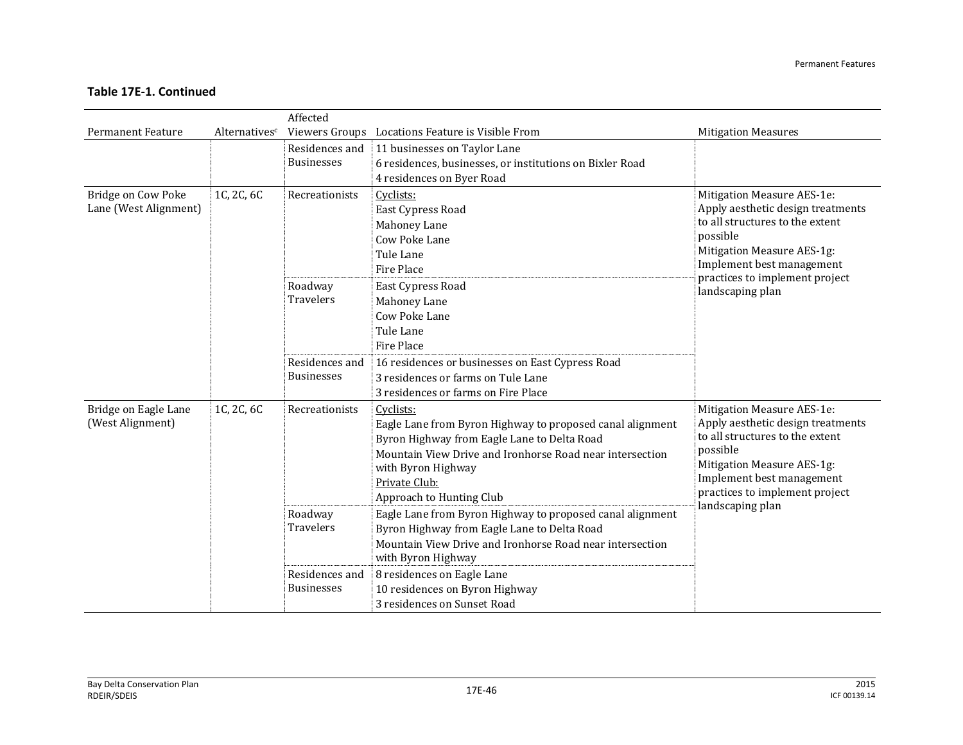|                                             |                           | Affected                            |                                                                                                                                                                                                                                                      |                                                                                                                                                                                                             |
|---------------------------------------------|---------------------------|-------------------------------------|------------------------------------------------------------------------------------------------------------------------------------------------------------------------------------------------------------------------------------------------------|-------------------------------------------------------------------------------------------------------------------------------------------------------------------------------------------------------------|
| <b>Permanent Feature</b>                    | Alternatives <sup>c</sup> |                                     | Viewers Groups Locations Feature is Visible From                                                                                                                                                                                                     | <b>Mitigation Measures</b>                                                                                                                                                                                  |
|                                             |                           | Residences and<br><b>Businesses</b> | 11 businesses on Taylor Lane<br>6 residences, businesses, or institutions on Bixler Road<br>4 residences on Byer Road                                                                                                                                |                                                                                                                                                                                                             |
| Bridge on Cow Poke<br>Lane (West Alignment) | 1C, 2C, 6C                | Recreationists                      | Cyclists:<br>East Cypress Road<br>Mahoney Lane<br>Cow Poke Lane<br>Tule Lane<br>Fire Place                                                                                                                                                           | Mitigation Measure AES-1e:<br>Apply aesthetic design treatments<br>to all structures to the extent<br>possible<br>Mitigation Measure AES-1g:<br>Implement best management<br>practices to implement project |
|                                             |                           | Roadway<br><b>Travelers</b>         | East Cypress Road<br>Mahoney Lane<br>Cow Poke Lane<br>Tule Lane<br>Fire Place                                                                                                                                                                        | landscaping plan                                                                                                                                                                                            |
|                                             |                           | Residences and<br><b>Businesses</b> | 16 residences or businesses on East Cypress Road<br>3 residences or farms on Tule Lane<br>3 residences or farms on Fire Place                                                                                                                        |                                                                                                                                                                                                             |
| Bridge on Eagle Lane<br>(West Alignment)    | 1C, 2C, 6C                | Recreationists                      | Cyclists:<br>Eagle Lane from Byron Highway to proposed canal alignment<br>Byron Highway from Eagle Lane to Delta Road<br>Mountain View Drive and Ironhorse Road near intersection<br>with Byron Highway<br>Private Club:<br>Approach to Hunting Club | Mitigation Measure AES-1e:<br>Apply aesthetic design treatments<br>to all structures to the extent<br>possible<br>Mitigation Measure AES-1g:<br>Implement best management<br>practices to implement project |
|                                             |                           | Roadway<br><b>Travelers</b>         | Eagle Lane from Byron Highway to proposed canal alignment<br>Byron Highway from Eagle Lane to Delta Road<br>Mountain View Drive and Ironhorse Road near intersection<br>with Byron Highway                                                           | landscaping plan                                                                                                                                                                                            |
|                                             |                           | Residences and<br><b>Businesses</b> | 8 residences on Eagle Lane<br>10 residences on Byron Highway<br>3 residences on Sunset Road                                                                                                                                                          |                                                                                                                                                                                                             |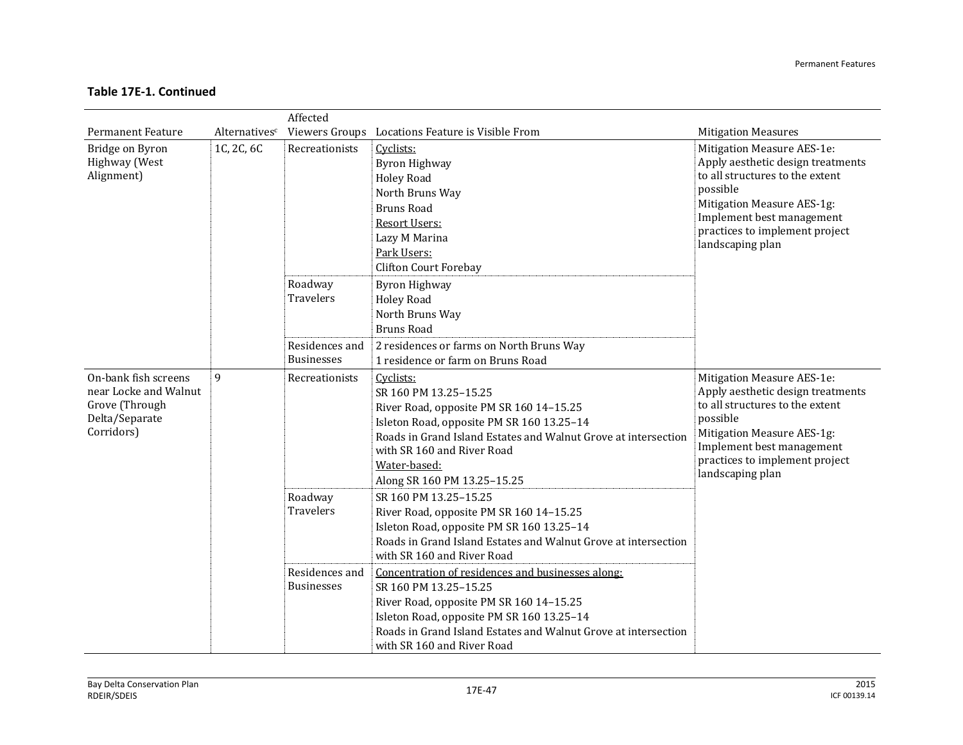|                                                                                                 |                           | Affected                                                           |                                                                                                                                                                                                                                                                                                                                                                                                                                                                                     |                                                                                                                                                                                                                                 |
|-------------------------------------------------------------------------------------------------|---------------------------|--------------------------------------------------------------------|-------------------------------------------------------------------------------------------------------------------------------------------------------------------------------------------------------------------------------------------------------------------------------------------------------------------------------------------------------------------------------------------------------------------------------------------------------------------------------------|---------------------------------------------------------------------------------------------------------------------------------------------------------------------------------------------------------------------------------|
| <b>Permanent Feature</b>                                                                        | Alternatives <sup>c</sup> |                                                                    | Viewers Groups Locations Feature is Visible From                                                                                                                                                                                                                                                                                                                                                                                                                                    | <b>Mitigation Measures</b>                                                                                                                                                                                                      |
| Bridge on Byron<br>Highway (West<br>Alignment)                                                  | 1C, 2C, 6C                | Recreationists                                                     | Cyclists:<br><b>Byron Highway</b><br><b>Holey Road</b><br>North Bruns Way<br><b>Bruns Road</b><br><b>Resort Users:</b><br>Lazy M Marina<br>Park Users:<br><b>Clifton Court Forebay</b>                                                                                                                                                                                                                                                                                              | Mitigation Measure AES-1e:<br>Apply aesthetic design treatments<br>to all structures to the extent<br>possible<br>Mitigation Measure AES-1g:<br>Implement best management<br>practices to implement project<br>landscaping plan |
|                                                                                                 |                           | Roadway<br><b>Travelers</b><br>Residences and<br><b>Businesses</b> | <b>Byron Highway</b><br><b>Holey Road</b><br>North Bruns Way<br><b>Bruns Road</b><br>2 residences or farms on North Bruns Way<br>1 residence or farm on Bruns Road                                                                                                                                                                                                                                                                                                                  |                                                                                                                                                                                                                                 |
| On-bank fish screens<br>near Locke and Walnut<br>Grove (Through<br>Delta/Separate<br>Corridors) | $\mathbf{q}$              | Recreationists                                                     | Cyclists:<br>SR 160 PM 13.25-15.25<br>River Road, opposite PM SR 160 14-15.25<br>Isleton Road, opposite PM SR 160 13.25-14<br>Roads in Grand Island Estates and Walnut Grove at intersection<br>with SR 160 and River Road<br>Water-based:<br>Along SR 160 PM 13.25-15.25                                                                                                                                                                                                           | Mitigation Measure AES-1e:<br>Apply aesthetic design treatments<br>to all structures to the extent<br>possible<br>Mitigation Measure AES-1g:<br>Implement best management<br>practices to implement project<br>landscaping plan |
|                                                                                                 |                           | Roadway<br><b>Travelers</b><br>Residences and<br><b>Businesses</b> | SR 160 PM 13.25-15.25<br>River Road, opposite PM SR 160 14-15.25<br>Isleton Road, opposite PM SR 160 13.25-14<br>Roads in Grand Island Estates and Walnut Grove at intersection<br>with SR 160 and River Road<br>Concentration of residences and businesses along:<br>SR 160 PM 13.25-15.25<br>River Road, opposite PM SR 160 14-15.25<br>Isleton Road, opposite PM SR 160 13.25-14<br>Roads in Grand Island Estates and Walnut Grove at intersection<br>with SR 160 and River Road |                                                                                                                                                                                                                                 |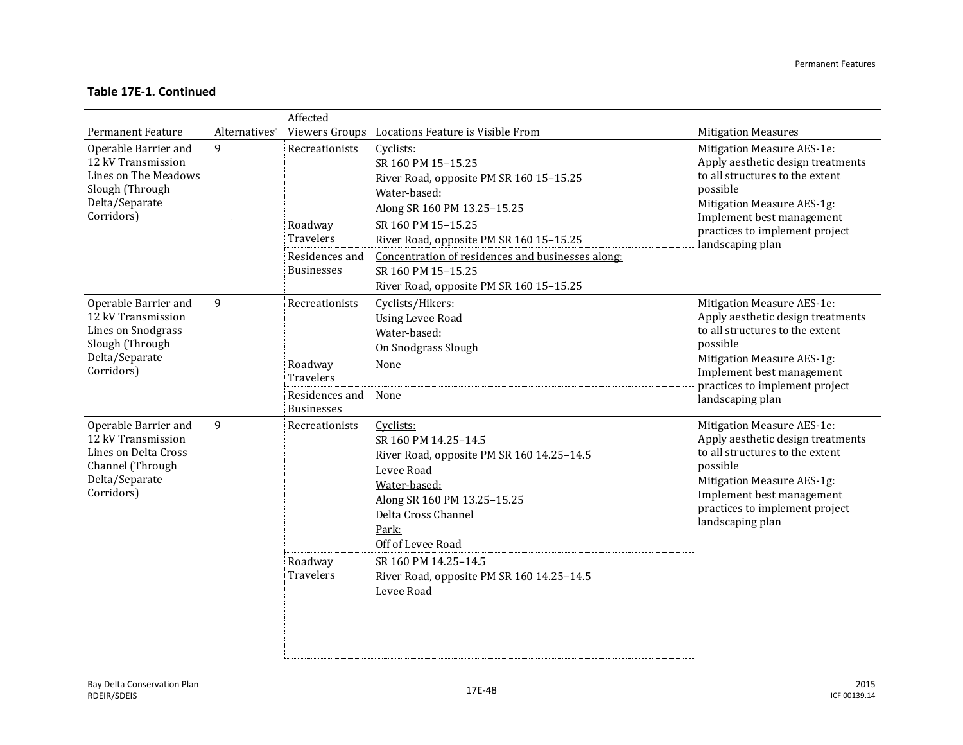|                                                                                                                                                   |                    | Affected                                                                             |                                                                                                                                                                                                                                                                                                                           |                                                                                                                                                                                                                                                               |
|---------------------------------------------------------------------------------------------------------------------------------------------------|--------------------|--------------------------------------------------------------------------------------|---------------------------------------------------------------------------------------------------------------------------------------------------------------------------------------------------------------------------------------------------------------------------------------------------------------------------|---------------------------------------------------------------------------------------------------------------------------------------------------------------------------------------------------------------------------------------------------------------|
| <b>Permanent Feature</b><br>Operable Barrier and<br>12 kV Transmission<br>Lines on The Meadows<br>Slough (Through<br>Delta/Separate<br>Corridors) | Alternativesc<br>9 | Recreationists<br>Roadway<br>Travelers<br>Residences and<br><b>Businesses</b>        | Viewers Groups Locations Feature is Visible From<br>Cyclists:<br>SR 160 PM 15-15.25<br>River Road, opposite PM SR 160 15-15.25<br>Water-based:<br>Along SR 160 PM 13.25-15.25<br>SR 160 PM 15-15.25<br>River Road, opposite PM SR 160 15-15.25<br>Concentration of residences and businesses along:<br>SR 160 PM 15-15.25 | <b>Mitigation Measures</b><br>Mitigation Measure AES-1e:<br>Apply aesthetic design treatments<br>to all structures to the extent<br>possible<br>Mitigation Measure AES-1g:<br>Implement best management<br>practices to implement project<br>landscaping plan |
| Operable Barrier and<br>12 kV Transmission<br><b>Lines on Snodgrass</b><br>Slough (Through<br>Delta/Separate<br>Corridors)                        | 9                  | Recreationists<br>Roadway<br><b>Travelers</b><br>Residences and<br><b>Businesses</b> | River Road, opposite PM SR 160 15-15.25<br>Cyclists/Hikers:<br><b>Using Levee Road</b><br>Water-based:<br>On Snodgrass Slough<br>None<br>None                                                                                                                                                                             | Mitigation Measure AES-1e:<br>Apply aesthetic design treatments<br>to all structures to the extent<br>possible<br>Mitigation Measure AES-1g:<br>Implement best management<br>practices to implement project<br>landscaping plan                               |
| Operable Barrier and<br>12 kV Transmission<br>Lines on Delta Cross<br>Channel (Through<br>Delta/Separate<br>Corridors)                            | $\mathbf{q}$       | Recreationists<br>Roadway<br><b>Travelers</b>                                        | Cyclists:<br>SR 160 PM 14.25-14.5<br>River Road, opposite PM SR 160 14.25-14.5<br>Levee Road<br>Water-based:<br>Along SR 160 PM 13.25-15.25<br>Delta Cross Channel<br>Park:<br>Off of Levee Road<br>SR 160 PM 14.25-14.5<br>River Road, opposite PM SR 160 14.25-14.5<br>Levee Road                                       | Mitigation Measure AES-1e:<br>Apply aesthetic design treatments<br>to all structures to the extent<br>possible<br>Mitigation Measure AES-1g:<br>Implement best management<br>practices to implement project<br>landscaping plan                               |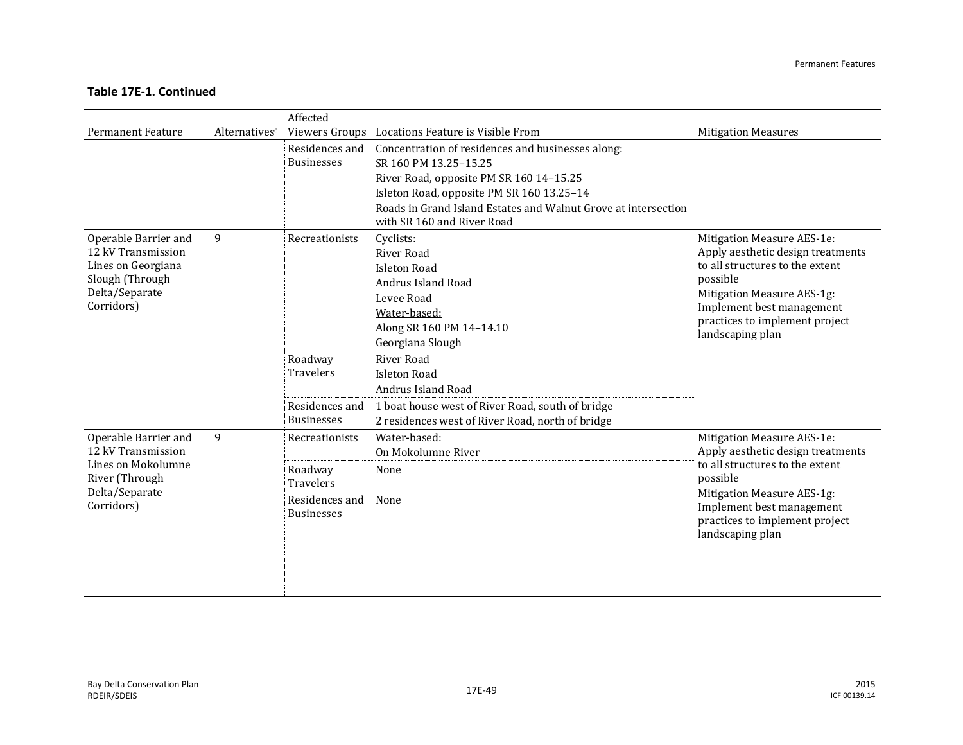|                              |               | Affected          |                                                                |                                                             |
|------------------------------|---------------|-------------------|----------------------------------------------------------------|-------------------------------------------------------------|
| <b>Permanent Feature</b>     | Alternativesc |                   | Viewers Groups Locations Feature is Visible From               | <b>Mitigation Measures</b>                                  |
|                              |               | Residences and    | Concentration of residences and businesses along:              |                                                             |
|                              |               | <b>Businesses</b> | SR 160 PM 13.25-15.25                                          |                                                             |
|                              |               |                   | River Road, opposite PM SR 160 14-15.25                        |                                                             |
|                              |               |                   | Isleton Road, opposite PM SR 160 13.25-14                      |                                                             |
|                              |               |                   | Roads in Grand Island Estates and Walnut Grove at intersection |                                                             |
|                              |               |                   | with SR 160 and River Road                                     |                                                             |
| Operable Barrier and         | 9             | Recreationists    | Cyclists:                                                      | Mitigation Measure AES-1e:                                  |
| 12 kV Transmission           |               |                   | River Road                                                     | Apply aesthetic design treatments                           |
| Lines on Georgiana           |               |                   | <b>Isleton Road</b>                                            | to all structures to the extent                             |
| Slough (Through              |               |                   | Andrus Island Road                                             | possible                                                    |
| Delta/Separate<br>Corridors) |               |                   | Levee Road                                                     | Mitigation Measure AES-1g:<br>Implement best management     |
|                              |               |                   | Water-based:                                                   | practices to implement project                              |
|                              |               |                   | Along SR 160 PM 14-14.10                                       | landscaping plan                                            |
|                              |               |                   | Georgiana Slough                                               |                                                             |
|                              |               | Roadway           | <b>River Road</b>                                              |                                                             |
|                              |               | <b>Travelers</b>  | <b>Isleton Road</b>                                            |                                                             |
|                              |               |                   | Andrus Island Road                                             |                                                             |
|                              |               | Residences and    | 1 boat house west of River Road, south of bridge               |                                                             |
|                              |               | <b>Businesses</b> | 2 residences west of River Road, north of bridge               |                                                             |
| Operable Barrier and         | 9             | Recreationists    | Water-based:                                                   | Mitigation Measure AES-1e:                                  |
| 12 kV Transmission           |               |                   | On Mokolumne River                                             | Apply aesthetic design treatments                           |
| Lines on Mokolumne           |               | Roadway           | None                                                           | to all structures to the extent                             |
| River (Through               |               | <b>Travelers</b>  |                                                                | possible                                                    |
| Delta/Separate<br>Corridors) |               | Residences and    | None                                                           | Mitigation Measure AES-1g:                                  |
|                              |               | <b>Businesses</b> |                                                                | Implement best management<br>practices to implement project |
|                              |               |                   |                                                                | landscaping plan                                            |
|                              |               |                   |                                                                |                                                             |
|                              |               |                   |                                                                |                                                             |
|                              |               |                   |                                                                |                                                             |
|                              |               |                   |                                                                |                                                             |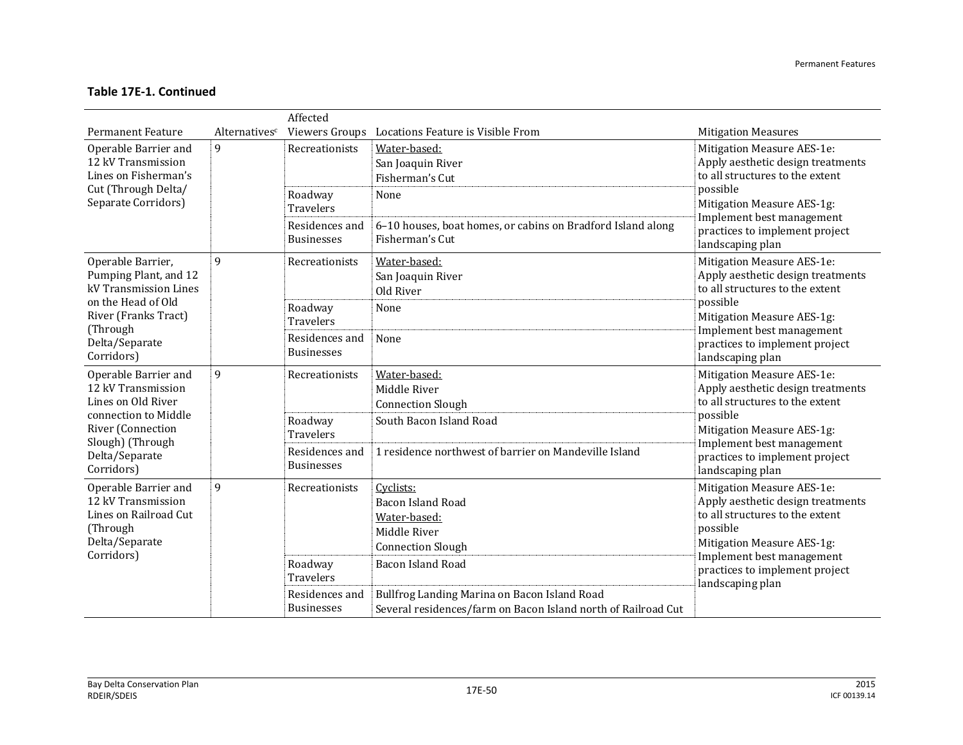|                                                                                                    |               | Affected                               |                                                                                                               |                                                                                                                                                                                                                                                                                                                                                                                 |
|----------------------------------------------------------------------------------------------------|---------------|----------------------------------------|---------------------------------------------------------------------------------------------------------------|---------------------------------------------------------------------------------------------------------------------------------------------------------------------------------------------------------------------------------------------------------------------------------------------------------------------------------------------------------------------------------|
| <b>Permanent Feature</b>                                                                           | Alternativesc |                                        | Viewers Groups Locations Feature is Visible From                                                              | <b>Mitigation Measures</b>                                                                                                                                                                                                                                                                                                                                                      |
| $\mathbf{q}$<br>Operable Barrier and<br>12 kV Transmission<br>Lines on Fisherman's                 |               | Recreationists                         | Water-based:<br>San Joaquin River<br>Fisherman's Cut                                                          | Mitigation Measure AES-1e:<br>Apply aesthetic design treatments<br>to all structures to the extent                                                                                                                                                                                                                                                                              |
| Cut (Through Delta/<br>Separate Corridors)                                                         |               | Roadway<br><b>Travelers</b>            | None                                                                                                          | possible<br>Mitigation Measure AES-1g:<br>Implement best management                                                                                                                                                                                                                                                                                                             |
|                                                                                                    |               | Residences and<br><b>Businesses</b>    | 6-10 houses, boat homes, or cabins on Bradford Island along<br>Fisherman's Cut                                | practices to implement project<br>landscaping plan                                                                                                                                                                                                                                                                                                                              |
| Operable Barrier,<br>Pumping Plant, and 12<br>kV Transmission Lines                                | $\mathbf{q}$  | Recreationists                         | Water-based:<br>San Joaquin River<br>Old River                                                                | Mitigation Measure AES-1e:<br>Apply aesthetic design treatments<br>to all structures to the extent                                                                                                                                                                                                                                                                              |
| on the Head of Old<br>River (Franks Tract)<br>(Through                                             |               | Roadway<br>Travelers<br>Residences and | None<br>None                                                                                                  | possible<br>Mitigation Measure AES-1g:<br>Implement best management                                                                                                                                                                                                                                                                                                             |
| Delta/Separate<br>Corridors)                                                                       |               | <b>Businesses</b>                      |                                                                                                               | practices to implement project<br>landscaping plan                                                                                                                                                                                                                                                                                                                              |
| Operable Barrier and<br>12 kV Transmission<br>Lines on Old River                                   | 9             | Recreationists                         | Water-based:<br>Middle River<br><b>Connection Slough</b>                                                      | Mitigation Measure AES-1e:<br>Apply aesthetic design treatments<br>to all structures to the extent<br>possible<br>Mitigation Measure AES-1g:<br>Implement best management<br>practices to implement project<br>landscaping plan<br>Mitigation Measure AES-1e:<br>Apply aesthetic design treatments<br>to all structures to the extent<br>possible<br>Mitigation Measure AES-1g: |
| connection to Middle<br>River (Connection                                                          |               | Roadway<br><b>Travelers</b>            | South Bacon Island Road                                                                                       |                                                                                                                                                                                                                                                                                                                                                                                 |
| Slough) (Through<br>Delta/Separate<br>Corridors)                                                   |               | Residences and<br><b>Businesses</b>    | 1 residence northwest of barrier on Mandeville Island                                                         |                                                                                                                                                                                                                                                                                                                                                                                 |
| Operable Barrier and<br>12 kV Transmission<br>Lines on Railroad Cut<br>(Through)<br>Delta/Separate | $\mathbf{q}$  | Recreationists                         | Cyclists:<br><b>Bacon Island Road</b><br>Water-based:<br>Middle River<br><b>Connection Slough</b>             |                                                                                                                                                                                                                                                                                                                                                                                 |
| Corridors)                                                                                         |               | Roadway<br>Travelers                   | <b>Bacon Island Road</b>                                                                                      | Implement best management<br>practices to implement project<br>landscaping plan                                                                                                                                                                                                                                                                                                 |
|                                                                                                    |               | Residences and<br><b>Businesses</b>    | Bullfrog Landing Marina on Bacon Island Road<br>Several residences/farm on Bacon Island north of Railroad Cut |                                                                                                                                                                                                                                                                                                                                                                                 |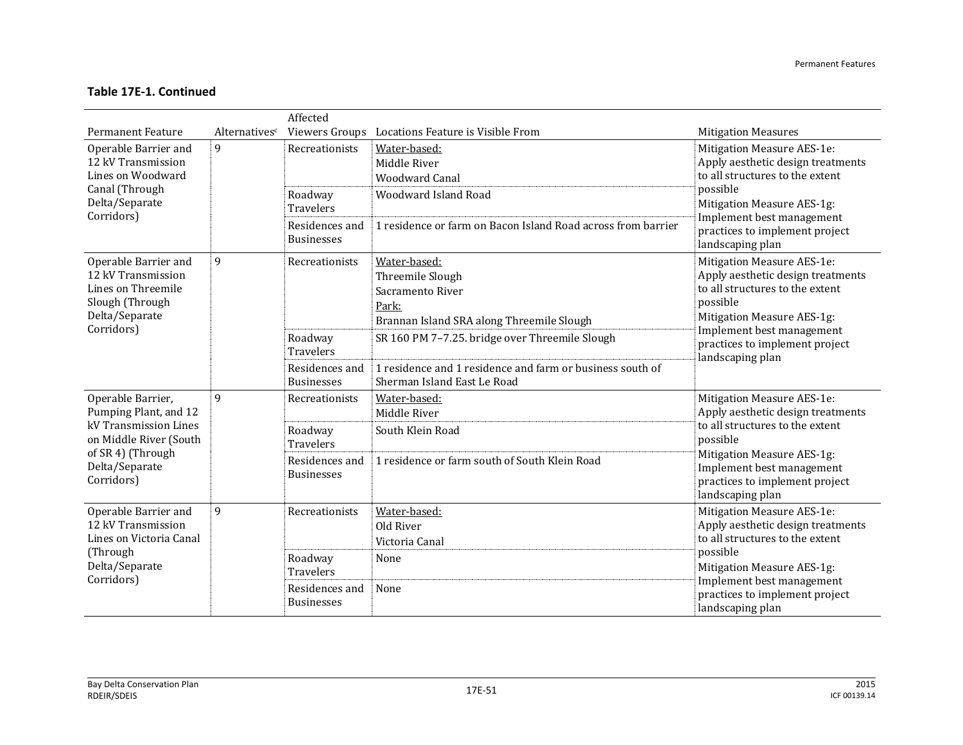|                                                                                                                          | Affected                  |                                                                    |                                                                                                                                            |                                                                                                                                                                                                                                 |  |  |
|--------------------------------------------------------------------------------------------------------------------------|---------------------------|--------------------------------------------------------------------|--------------------------------------------------------------------------------------------------------------------------------------------|---------------------------------------------------------------------------------------------------------------------------------------------------------------------------------------------------------------------------------|--|--|
| <b>Permanent Feature</b>                                                                                                 | Alternatives <sup>c</sup> |                                                                    | Viewers Groups Locations Feature is Visible From                                                                                           | <b>Mitigation Measures</b>                                                                                                                                                                                                      |  |  |
| Operable Barrier and<br>12 kV Transmission<br>Lines on Woodward<br>Canal (Through<br>Delta/Separate                      | $\mathbf{q}$              | Recreationists<br>Roadway<br><b>Travelers</b>                      | Water-based:<br>Middle River<br><b>Woodward Canal</b><br>Woodward Island Road                                                              | Mitigation Measure AES-1e:<br>Apply aesthetic design treatments<br>to all structures to the extent<br>possible<br>Mitigation Measure AES-1g:                                                                                    |  |  |
| Corridors)                                                                                                               |                           | Residences and<br><b>Businesses</b>                                | 1 residence or farm on Bacon Island Road across from barrier                                                                               | Implement best management<br>practices to implement project<br>landscaping plan                                                                                                                                                 |  |  |
| 9<br>Operable Barrier and<br>12 kV Transmission<br>Lines on Threemile<br>Slough (Through<br>Delta/Separate<br>Corridors) |                           | Recreationists                                                     | Water-based:<br>Threemile Slough<br>Sacramento River<br>Park:<br>Brannan Island SRA along Threemile Slough                                 | Mitigation Measure AES-1e:<br>Apply aesthetic design treatments<br>to all structures to the extent<br>possible<br>Mitigation Measure AES-1g:<br>Implement best management<br>practices to implement project<br>landscaping plan |  |  |
|                                                                                                                          |                           | Roadway<br><b>Travelers</b><br>Residences and<br><b>Businesses</b> | SR 160 PM 7-7.25. bridge over Threemile Slough<br>1 residence and 1 residence and farm or business south of<br>Sherman Island East Le Road |                                                                                                                                                                                                                                 |  |  |
| Operable Barrier,<br>Pumping Plant, and 12                                                                               | $\mathbf{q}$              | Recreationists                                                     | Water-based:<br>Middle River                                                                                                               | Mitigation Measure AES-1e:<br>Apply aesthetic design treatments                                                                                                                                                                 |  |  |
| kV Transmission Lines<br>on Middle River (South<br>of SR 4) (Through                                                     |                           | Roadway<br><b>Travelers</b>                                        | South Klein Road                                                                                                                           | to all structures to the extent<br>possible                                                                                                                                                                                     |  |  |
| Delta/Separate<br>Corridors)                                                                                             |                           | Residences and<br><b>Businesses</b>                                | 1 residence or farm south of South Klein Road                                                                                              | Mitigation Measure AES-1g:<br>Implement best management<br>practices to implement project<br>landscaping plan                                                                                                                   |  |  |
| Operable Barrier and<br>12 kV Transmission<br>Lines on Victoria Canal<br>(Through<br>Delta/Separate<br>Corridors)        | $\mathbf{q}$              | Recreationists                                                     | Water-based:<br>Old River<br>Victoria Canal                                                                                                | Mitigation Measure AES-1e:<br>Apply aesthetic design treatments<br>to all structures to the extent                                                                                                                              |  |  |
|                                                                                                                          |                           | Roadway<br><b>Travelers</b>                                        | None                                                                                                                                       | possible<br>Mitigation Measure AES-1g:<br>Implement best management                                                                                                                                                             |  |  |
|                                                                                                                          |                           | Residences and<br><b>Businesses</b>                                | None                                                                                                                                       | practices to implement project<br>landscaping plan                                                                                                                                                                              |  |  |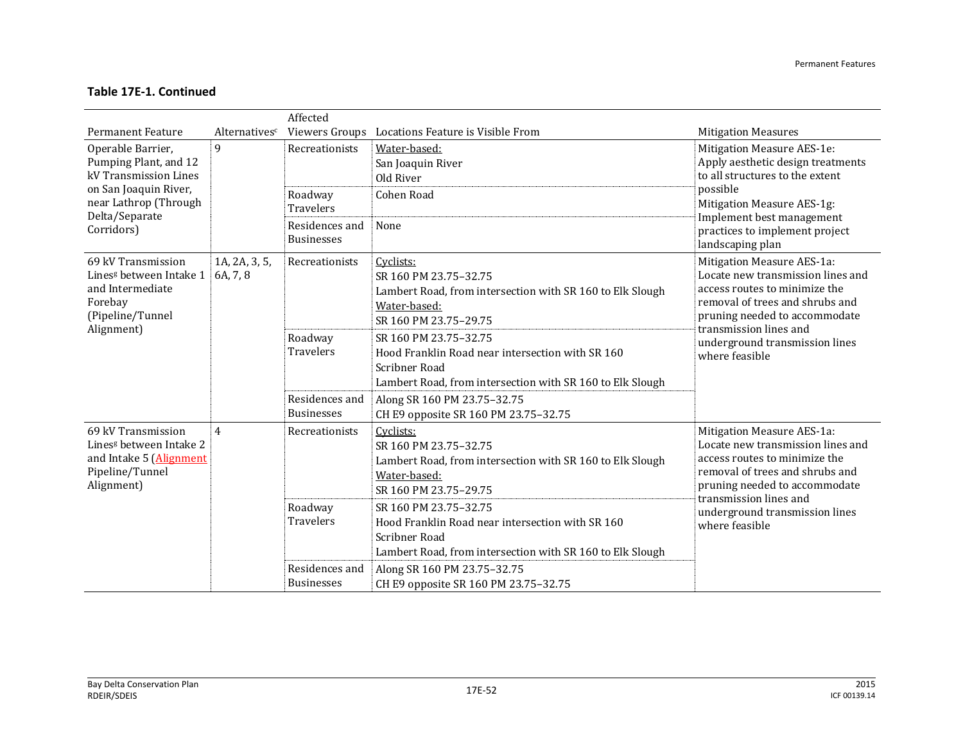|                                                                                                                                                       |                           | Affected                                                                             |                                                                                                                                                                                                                                                                                                     |                                                                                                                                                                                                                                                    |
|-------------------------------------------------------------------------------------------------------------------------------------------------------|---------------------------|--------------------------------------------------------------------------------------|-----------------------------------------------------------------------------------------------------------------------------------------------------------------------------------------------------------------------------------------------------------------------------------------------------|----------------------------------------------------------------------------------------------------------------------------------------------------------------------------------------------------------------------------------------------------|
| <b>Permanent Feature</b>                                                                                                                              | Alternativesc             | Viewers Groups                                                                       | Locations Feature is Visible From                                                                                                                                                                                                                                                                   | <b>Mitigation Measures</b>                                                                                                                                                                                                                         |
| Operable Barrier,<br>Pumping Plant, and 12<br>kV Transmission Lines<br>on San Joaquin River,<br>near Lathrop (Through<br>Delta/Separate<br>Corridors) | 9                         | Recreationists<br>Roadway<br><b>Travelers</b><br>Residences and<br><b>Businesses</b> | Water-based:<br>San Joaquin River<br>Old River<br>Cohen Road<br>None                                                                                                                                                                                                                                | Mitigation Measure AES-1e:<br>Apply aesthetic design treatments<br>to all structures to the extent<br>possible<br>Mitigation Measure AES-1g:<br>Implement best management<br>practices to implement project<br>landscaping plan                    |
| 69 kV Transmission<br>Lines <sup>g</sup> between Intake 1<br>and Intermediate<br>Forebay<br>(Pipeline/Tunnel<br>Alignment)                            | 1A, 2A, 3, 5,<br>6A, 7, 8 | Recreationists<br>Roadway<br>Travelers                                               | Cyclists:<br>SR 160 PM 23.75-32.75<br>Lambert Road, from intersection with SR 160 to Elk Slough<br>Water-based:<br>SR 160 PM 23.75-29.75<br>SR 160 PM 23.75-32.75<br>Hood Franklin Road near intersection with SR 160<br>Scribner Road<br>Lambert Road, from intersection with SR 160 to Elk Slough | Mitigation Measure AES-1a:<br>Locate new transmission lines and<br>access routes to minimize the<br>removal of trees and shrubs and<br>pruning needed to accommodate<br>transmission lines and<br>underground transmission lines<br>where feasible |
|                                                                                                                                                       |                           | Residences and<br><b>Businesses</b>                                                  | Along SR 160 PM 23.75-32.75<br>CH E9 opposite SR 160 PM 23.75-32.75                                                                                                                                                                                                                                 |                                                                                                                                                                                                                                                    |
| 69 kV Transmission<br>Liness between Intake 2<br>and Intake 5 (Alignment<br>Pipeline/Tunnel<br>Alignment)                                             | $\overline{4}$            | Recreationists                                                                       | Cyclists:<br>SR 160 PM 23.75-32.75<br>Lambert Road, from intersection with SR 160 to Elk Slough<br>Water-based:<br>SR 160 PM 23.75-29.75                                                                                                                                                            | Mitigation Measure AES-1a:<br>Locate new transmission lines and<br>access routes to minimize the<br>removal of trees and shrubs and<br>pruning needed to accommodate<br>transmission lines and                                                     |
|                                                                                                                                                       |                           | Roadway<br><b>Travelers</b><br>Residences and<br><b>Businesses</b>                   | SR 160 PM 23.75-32.75<br>Hood Franklin Road near intersection with SR 160<br>Scribner Road<br>Lambert Road, from intersection with SR 160 to Elk Slough<br>Along SR 160 PM 23.75-32.75<br>CH E9 opposite SR 160 PM 23.75-32.75                                                                      | underground transmission lines<br>where feasible                                                                                                                                                                                                   |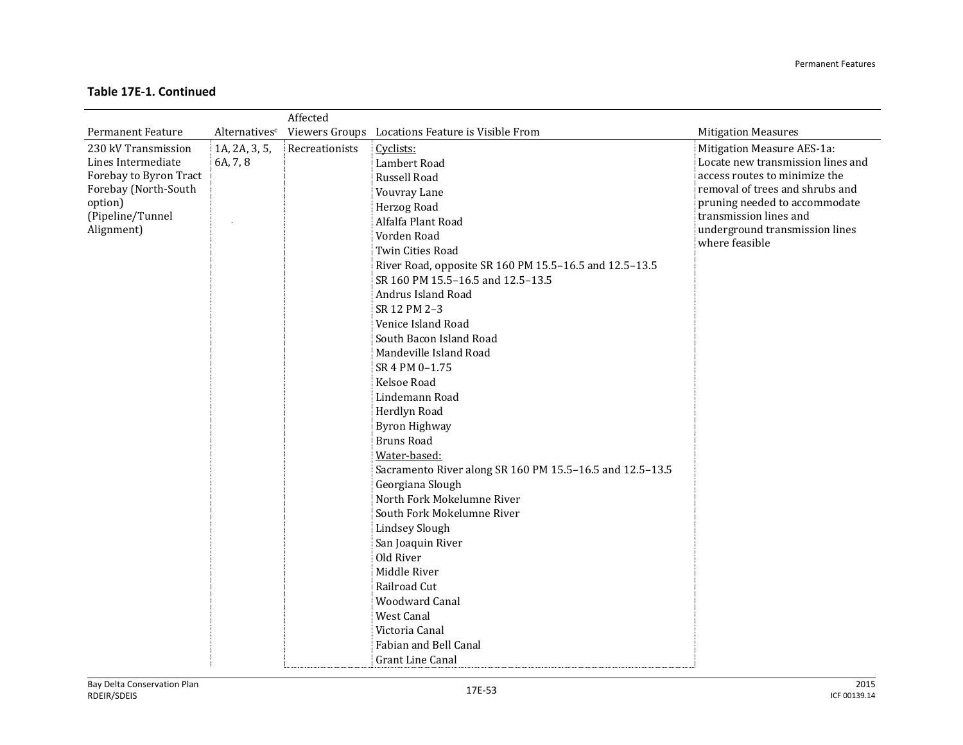#### Permanent Features

|                          |               | Affected       |                                                          |                                   |
|--------------------------|---------------|----------------|----------------------------------------------------------|-----------------------------------|
| <b>Permanent Feature</b> | Alternativesc |                | Viewers Groups Locations Feature is Visible From         | <b>Mitigation Measures</b>        |
| 230 kV Transmission      | 1A, 2A, 3, 5, | Recreationists | Cyclists:                                                | Mitigation Measure AES-1a:        |
| Lines Intermediate       | 6A, 7, 8      |                | Lambert Road                                             | Locate new transmission lines and |
| Forebay to Byron Tract   |               |                | Russell Road                                             | access routes to minimize the     |
| Forebay (North-South     |               |                | Vouvray Lane                                             | removal of trees and shrubs and   |
| option)                  |               |                | Herzog Road                                              | pruning needed to accommodate     |
| (Pipeline/Tunnel         |               |                | Alfalfa Plant Road                                       | transmission lines and            |
| Alignment)               |               |                | Vorden Road                                              | underground transmission lines    |
|                          |               |                | Twin Cities Road                                         | where feasible                    |
|                          |               |                | River Road, opposite SR 160 PM 15.5-16.5 and 12.5-13.5   |                                   |
|                          |               |                | SR 160 PM 15.5-16.5 and 12.5-13.5                        |                                   |
|                          |               |                | Andrus Island Road                                       |                                   |
|                          |               |                | SR 12 PM 2-3                                             |                                   |
|                          |               |                | Venice Island Road                                       |                                   |
|                          |               |                | South Bacon Island Road                                  |                                   |
|                          |               |                | Mandeville Island Road                                   |                                   |
|                          |               |                | SR 4 PM 0-1.75                                           |                                   |
|                          |               |                | Kelsoe Road                                              |                                   |
|                          |               |                | Lindemann Road                                           |                                   |
|                          |               |                | Herdlyn Road                                             |                                   |
|                          |               |                | <b>Byron Highway</b>                                     |                                   |
|                          |               |                | <b>Bruns Road</b>                                        |                                   |
|                          |               |                | Water-based:                                             |                                   |
|                          |               |                | Sacramento River along SR 160 PM 15.5-16.5 and 12.5-13.5 |                                   |
|                          |               |                | Georgiana Slough                                         |                                   |
|                          |               |                | North Fork Mokelumne River                               |                                   |
|                          |               |                | South Fork Mokelumne River                               |                                   |
|                          |               |                | <b>Lindsey Slough</b>                                    |                                   |
|                          |               |                | San Joaquin River                                        |                                   |
|                          |               |                | Old River                                                |                                   |
|                          |               |                | Middle River                                             |                                   |
|                          |               |                | Railroad Cut                                             |                                   |
|                          |               |                | <b>Woodward Canal</b>                                    |                                   |
|                          |               |                | <b>West Canal</b>                                        |                                   |
|                          |               |                | Victoria Canal                                           |                                   |
|                          |               |                | Fabian and Bell Canal                                    |                                   |
|                          |               |                | <b>Grant Line Canal</b>                                  |                                   |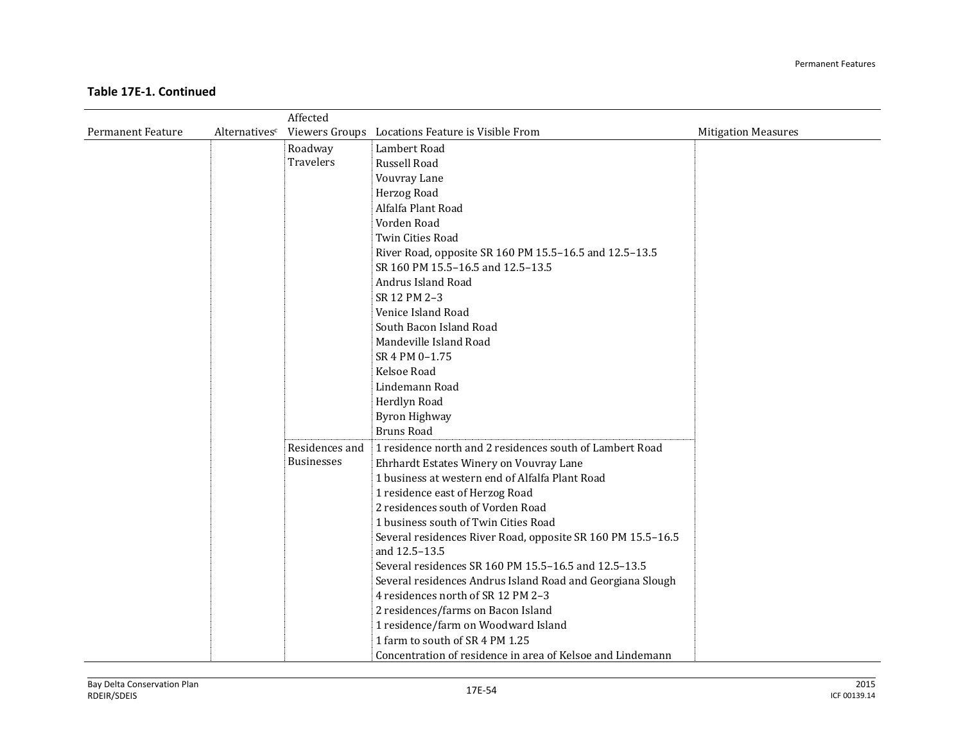|                          |               | Affected          |                                                             |                            |
|--------------------------|---------------|-------------------|-------------------------------------------------------------|----------------------------|
| <b>Permanent Feature</b> | Alternativesc |                   | Viewers Groups Locations Feature is Visible From            | <b>Mitigation Measures</b> |
|                          |               | Roadway           | Lambert Road                                                |                            |
|                          |               | <b>Travelers</b>  | Russell Road                                                |                            |
|                          |               |                   | Vouvray Lane                                                |                            |
|                          |               |                   | Herzog Road                                                 |                            |
|                          |               |                   | Alfalfa Plant Road                                          |                            |
|                          |               |                   | Vorden Road                                                 |                            |
|                          |               |                   | Twin Cities Road                                            |                            |
|                          |               |                   | River Road, opposite SR 160 PM 15.5-16.5 and 12.5-13.5      |                            |
|                          |               |                   | SR 160 PM 15.5-16.5 and 12.5-13.5                           |                            |
|                          |               |                   | Andrus Island Road                                          |                            |
|                          |               |                   | SR 12 PM 2-3                                                |                            |
|                          |               |                   | Venice Island Road                                          |                            |
|                          |               |                   | South Bacon Island Road                                     |                            |
|                          |               |                   | Mandeville Island Road                                      |                            |
|                          |               |                   | SR 4 PM 0-1.75                                              |                            |
|                          |               |                   | Kelsoe Road                                                 |                            |
|                          |               |                   | Lindemann Road                                              |                            |
|                          |               |                   | Herdlyn Road                                                |                            |
|                          |               |                   | <b>Byron Highway</b>                                        |                            |
|                          |               |                   | <b>Bruns Road</b>                                           |                            |
|                          |               | Residences and    | 1 residence north and 2 residences south of Lambert Road    |                            |
|                          |               | <b>Businesses</b> | Ehrhardt Estates Winery on Vouvray Lane                     |                            |
|                          |               |                   | 1 business at western end of Alfalfa Plant Road             |                            |
|                          |               |                   | 1 residence east of Herzog Road                             |                            |
|                          |               |                   | 2 residences south of Vorden Road                           |                            |
|                          |               |                   | 1 business south of Twin Cities Road                        |                            |
|                          |               |                   | Several residences River Road, opposite SR 160 PM 15.5-16.5 |                            |
|                          |               |                   | and 12.5-13.5                                               |                            |
|                          |               |                   | Several residences SR 160 PM 15.5-16.5 and 12.5-13.5        |                            |
|                          |               |                   | Several residences Andrus Island Road and Georgiana Slough  |                            |
|                          |               |                   | 4 residences north of SR 12 PM 2-3                          |                            |
|                          |               |                   | 2 residences/farms on Bacon Island                          |                            |
|                          |               |                   | 1 residence/farm on Woodward Island                         |                            |
|                          |               |                   | 1 farm to south of SR 4 PM 1.25                             |                            |
|                          |               |                   | Concentration of residence in area of Kelsoe and Lindemann  |                            |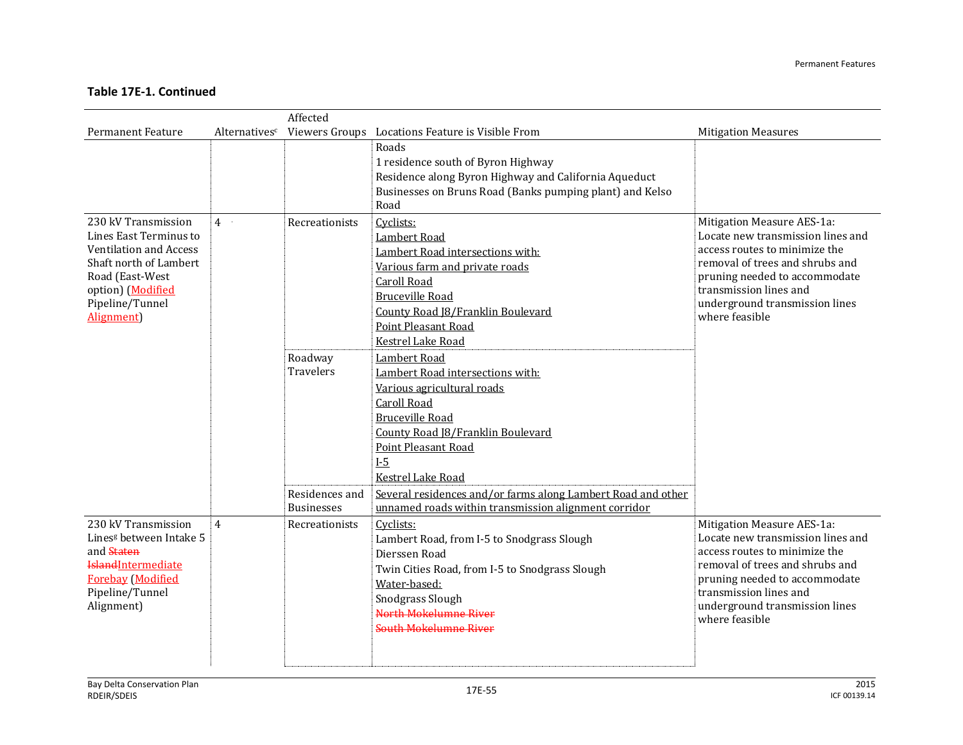|                                                                                                                                                                            |                | Affected                                                    |                                                                                                                                                                                                                                                                                                                                                         |                                                                                                                                                                                                                                                    |
|----------------------------------------------------------------------------------------------------------------------------------------------------------------------------|----------------|-------------------------------------------------------------|---------------------------------------------------------------------------------------------------------------------------------------------------------------------------------------------------------------------------------------------------------------------------------------------------------------------------------------------------------|----------------------------------------------------------------------------------------------------------------------------------------------------------------------------------------------------------------------------------------------------|
| <b>Permanent Feature</b>                                                                                                                                                   | Alternativesc  |                                                             | Viewers Groups Locations Feature is Visible From                                                                                                                                                                                                                                                                                                        | <b>Mitigation Measures</b>                                                                                                                                                                                                                         |
|                                                                                                                                                                            |                |                                                             | Roads<br>1 residence south of Byron Highway<br>Residence along Byron Highway and California Aqueduct<br>Businesses on Bruns Road (Banks pumping plant) and Kelso<br>Road                                                                                                                                                                                |                                                                                                                                                                                                                                                    |
| 230 kV Transmission<br>Lines East Terminus to<br>Ventilation and Access<br>Shaft north of Lambert<br>Road (East-West<br>option) (Modified<br>Pipeline/Tunnel<br>Alignment) | 4              | Recreationists                                              | Cyclists:<br>Lambert Road<br>Lambert Road intersections with:<br>Various farm and private roads<br><b>Caroll Road</b><br><b>Bruceville Road</b><br>County Road J8/Franklin Boulevard<br>Point Pleasant Road<br><b>Kestrel Lake Road</b>                                                                                                                 | Mitigation Measure AES-1a:<br>Locate new transmission lines and<br>access routes to minimize the<br>removal of trees and shrubs and<br>pruning needed to accommodate<br>transmission lines and<br>underground transmission lines<br>where feasible |
|                                                                                                                                                                            |                | Roadway<br>Travelers<br>Residences and<br><b>Businesses</b> | Lambert Road<br>Lambert Road intersections with:<br>Various agricultural roads<br><b>Caroll Road</b><br><b>Bruceville Road</b><br>County Road [8/Franklin Boulevard<br><b>Point Pleasant Road</b><br>$I-5$<br>Kestrel Lake Road<br>Several residences and/or farms along Lambert Road and other<br>unnamed roads within transmission alignment corridor |                                                                                                                                                                                                                                                    |
| 230 kV Transmission<br>Lines <sup>g</sup> between Intake 5<br>and Staten<br><b>Island</b> Intermediate<br><b>Forebay</b> (Modified<br>Pipeline/Tunnel<br>Alignment)        | $\overline{4}$ | Recreationists                                              | Cyclists:<br>Lambert Road, from I-5 to Snodgrass Slough<br>Dierssen Road<br>Twin Cities Road, from I-5 to Snodgrass Slough<br>Water-based:<br>Snodgrass Slough<br>North Mokelumne River<br><b>South Mokelumne River</b>                                                                                                                                 | Mitigation Measure AES-1a:<br>Locate new transmission lines and<br>access routes to minimize the<br>removal of trees and shrubs and<br>pruning needed to accommodate<br>transmission lines and<br>underground transmission lines<br>where feasible |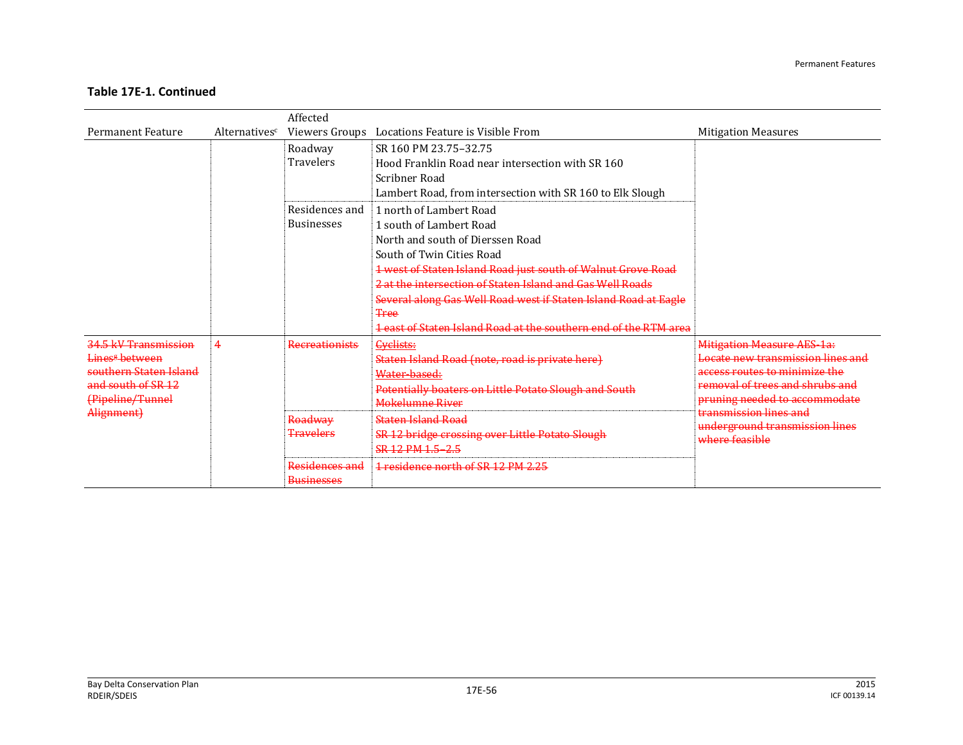|                                                                                                                                      |               | Affected                                                                                                   |                                                                                                                                                                                                                                                                                                                                                                                                        |                                                                                                                                                                                                                                                           |
|--------------------------------------------------------------------------------------------------------------------------------------|---------------|------------------------------------------------------------------------------------------------------------|--------------------------------------------------------------------------------------------------------------------------------------------------------------------------------------------------------------------------------------------------------------------------------------------------------------------------------------------------------------------------------------------------------|-----------------------------------------------------------------------------------------------------------------------------------------------------------------------------------------------------------------------------------------------------------|
| Permanent Feature                                                                                                                    | Alternativesc | Viewers Groups                                                                                             | Locations Feature is Visible From                                                                                                                                                                                                                                                                                                                                                                      | <b>Mitigation Measures</b>                                                                                                                                                                                                                                |
|                                                                                                                                      |               | Roadway<br><b>Travelers</b>                                                                                | SR 160 PM 23.75-32.75<br>Hood Franklin Road near intersection with SR 160<br>Scribner Road<br>Lambert Road, from intersection with SR 160 to Elk Slough                                                                                                                                                                                                                                                |                                                                                                                                                                                                                                                           |
|                                                                                                                                      |               | Residences and<br><b>Businesses</b>                                                                        | 1 north of Lambert Road<br>1 south of Lambert Road<br>North and south of Dierssen Road<br>South of Twin Cities Road<br>1 west of Staten Island Road just south of Walnut Grove Road<br>2 at the intersection of Staten Island and Gas Well Roads<br>Several along Gas Well Road west if Staten Island Road at Eagle<br><b>Tree</b><br>1 east of Staten Island Road at the southern end of the RTM area |                                                                                                                                                                                                                                                           |
| 34.5 kV Transmission<br>Lines <sup>#</sup> between<br>southern Staten Island<br>and south of SR 12<br>(Pipeline/Tunnel<br>Alignment) | 4             | <b>Recreationists</b><br>Roadway<br><del>Travelers</del><br><del>Residences and</del><br><u>Rueinaeeae</u> | <b>Cyclists:</b><br>Staten Island Road (note, road is private here)<br>Water-based:<br>Potentially boaters on Little Potato Slough and South<br><b>Mokelumne River</b><br><b>Staten Island Road</b><br>SR 12 bridge crossing over Little Potato Slough<br>SR 12 PM 1.5 - 2.5<br>1 residence north of SR 12 PM 2.25                                                                                     | <b>Mitigation Measure AES-1a:</b><br>Locate new transmission lines and<br>access routes to minimize the<br>removal of trees and shrubs and<br>pruning needed to accommodate<br>transmission lines and<br>underground transmission lines<br>where feasible |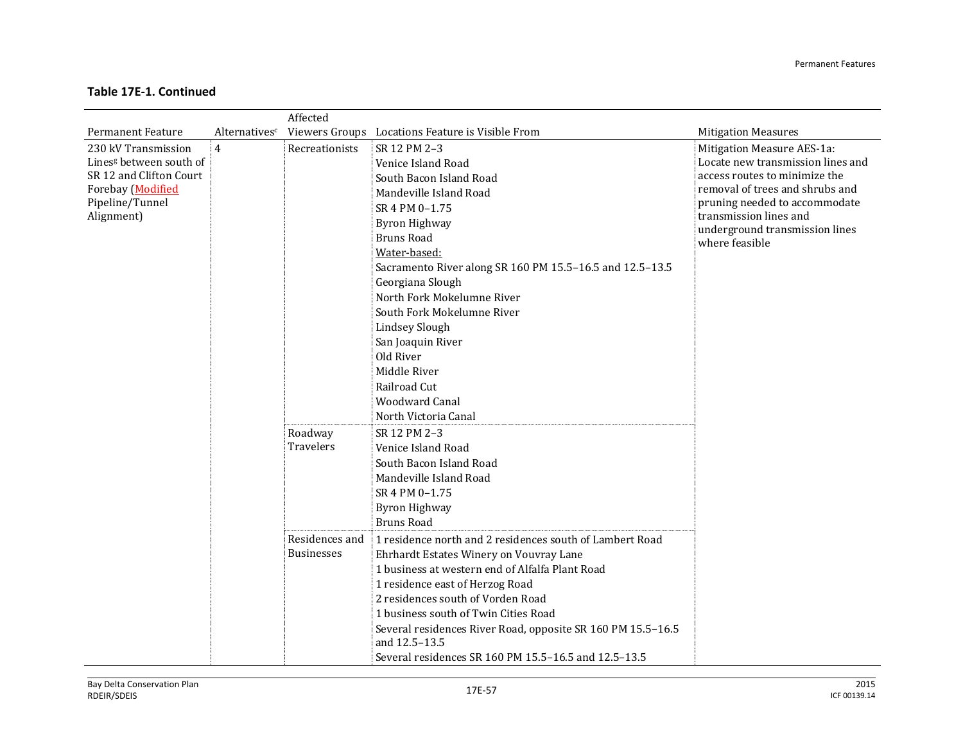|                                     |                | Affected          |                                                                              |                                                          |
|-------------------------------------|----------------|-------------------|------------------------------------------------------------------------------|----------------------------------------------------------|
| <b>Permanent Feature</b>            | Alternativesc  |                   | Viewers Groups Locations Feature is Visible From                             | <b>Mitigation Measures</b>                               |
| 230 kV Transmission                 | $\overline{4}$ | Recreationists    | SR 12 PM 2-3                                                                 | Mitigation Measure AES-1a:                               |
| Lines <sup>g</sup> between south of |                |                   | Venice Island Road                                                           | Locate new transmission lines and                        |
| SR 12 and Clifton Court             |                |                   | South Bacon Island Road                                                      | access routes to minimize the                            |
| Forebay (Modified                   |                |                   | Mandeville Island Road                                                       | removal of trees and shrubs and                          |
| Pipeline/Tunnel                     |                |                   | SR 4 PM 0-1.75                                                               | pruning needed to accommodate                            |
| Alignment)                          |                |                   | <b>Byron Highway</b>                                                         | transmission lines and<br>underground transmission lines |
|                                     |                |                   | <b>Bruns Road</b>                                                            | where feasible                                           |
|                                     |                |                   | Water-based:                                                                 |                                                          |
|                                     |                |                   | Sacramento River along SR 160 PM 15.5-16.5 and 12.5-13.5                     |                                                          |
|                                     |                |                   | Georgiana Slough                                                             |                                                          |
|                                     |                |                   | North Fork Mokelumne River                                                   |                                                          |
|                                     |                |                   | South Fork Mokelumne River                                                   |                                                          |
|                                     |                |                   | <b>Lindsey Slough</b>                                                        |                                                          |
|                                     |                |                   | San Joaquin River                                                            |                                                          |
|                                     |                |                   | Old River                                                                    |                                                          |
|                                     |                |                   | Middle River                                                                 |                                                          |
|                                     |                |                   | Railroad Cut                                                                 |                                                          |
|                                     |                |                   | <b>Woodward Canal</b>                                                        |                                                          |
|                                     |                |                   | North Victoria Canal                                                         |                                                          |
|                                     |                | Roadway           | SR 12 PM 2-3                                                                 |                                                          |
|                                     |                | <b>Travelers</b>  | Venice Island Road                                                           |                                                          |
|                                     |                |                   | South Bacon Island Road                                                      |                                                          |
|                                     |                |                   | Mandeville Island Road                                                       |                                                          |
|                                     |                |                   | SR 4 PM 0-1.75                                                               |                                                          |
|                                     |                |                   | <b>Byron Highway</b>                                                         |                                                          |
|                                     |                |                   | <b>Bruns Road</b>                                                            |                                                          |
|                                     |                | Residences and    | 1 residence north and 2 residences south of Lambert Road                     |                                                          |
|                                     |                | <b>Businesses</b> | Ehrhardt Estates Winery on Vouvray Lane                                      |                                                          |
|                                     |                |                   | 1 business at western end of Alfalfa Plant Road                              |                                                          |
|                                     |                |                   | 1 residence east of Herzog Road                                              |                                                          |
|                                     |                |                   | 2 residences south of Vorden Road                                            |                                                          |
|                                     |                |                   | 1 business south of Twin Cities Road                                         |                                                          |
|                                     |                |                   | Several residences River Road, opposite SR 160 PM 15.5-16.5<br>and 12.5-13.5 |                                                          |
|                                     |                |                   | Several residences SR 160 PM 15.5-16.5 and 12.5-13.5                         |                                                          |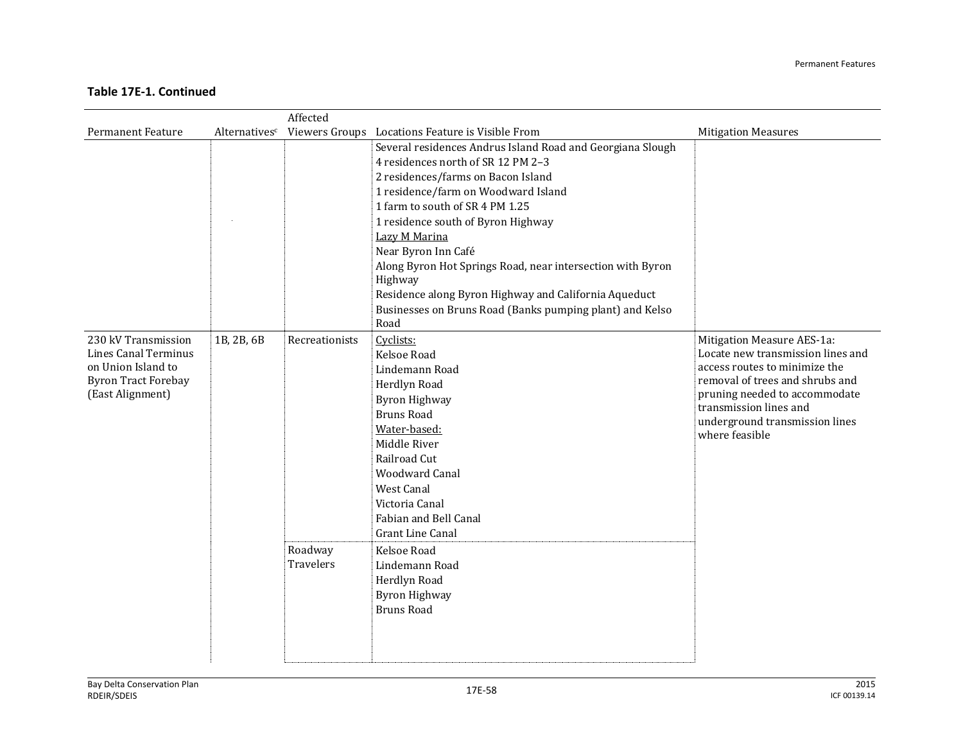|                                                                                                                     |               | Affected                               |                                                                                                                                                                                                                                                                                                                                                                                                                                                                                                      |                                                                                                                                                                                                                                                    |
|---------------------------------------------------------------------------------------------------------------------|---------------|----------------------------------------|------------------------------------------------------------------------------------------------------------------------------------------------------------------------------------------------------------------------------------------------------------------------------------------------------------------------------------------------------------------------------------------------------------------------------------------------------------------------------------------------------|----------------------------------------------------------------------------------------------------------------------------------------------------------------------------------------------------------------------------------------------------|
| <b>Permanent Feature</b>                                                                                            | Alternativesc |                                        | Viewers Groups Locations Feature is Visible From                                                                                                                                                                                                                                                                                                                                                                                                                                                     | <b>Mitigation Measures</b>                                                                                                                                                                                                                         |
|                                                                                                                     |               |                                        | Several residences Andrus Island Road and Georgiana Slough<br>4 residences north of SR 12 PM 2-3<br>2 residences/farms on Bacon Island<br>1 residence/farm on Woodward Island<br>1 farm to south of SR 4 PM 1.25<br>1 residence south of Byron Highway<br>Lazy M Marina<br>Near Byron Inn Café<br>Along Byron Hot Springs Road, near intersection with Byron<br>Highway<br>Residence along Byron Highway and California Aqueduct<br>Businesses on Bruns Road (Banks pumping plant) and Kelso<br>Road |                                                                                                                                                                                                                                                    |
| 230 kV Transmission<br>Lines Canal Terminus<br>on Union Island to<br><b>Byron Tract Forebay</b><br>(East Alignment) | 1B, 2B, 6B    | Recreationists<br>Roadway<br>Travelers | Cyclists:<br>Kelsoe Road<br>Lindemann Road<br>Herdlyn Road<br><b>Byron Highway</b><br><b>Bruns Road</b><br>Water-based:<br>Middle River<br>Railroad Cut<br><b>Woodward Canal</b><br>West Canal<br>Victoria Canal<br>Fabian and Bell Canal<br><b>Grant Line Canal</b><br>Kelsoe Road<br>Lindemann Road<br>Herdlyn Road<br><b>Byron Highway</b><br><b>Bruns Road</b>                                                                                                                                   | Mitigation Measure AES-1a:<br>Locate new transmission lines and<br>access routes to minimize the<br>removal of trees and shrubs and<br>pruning needed to accommodate<br>transmission lines and<br>underground transmission lines<br>where feasible |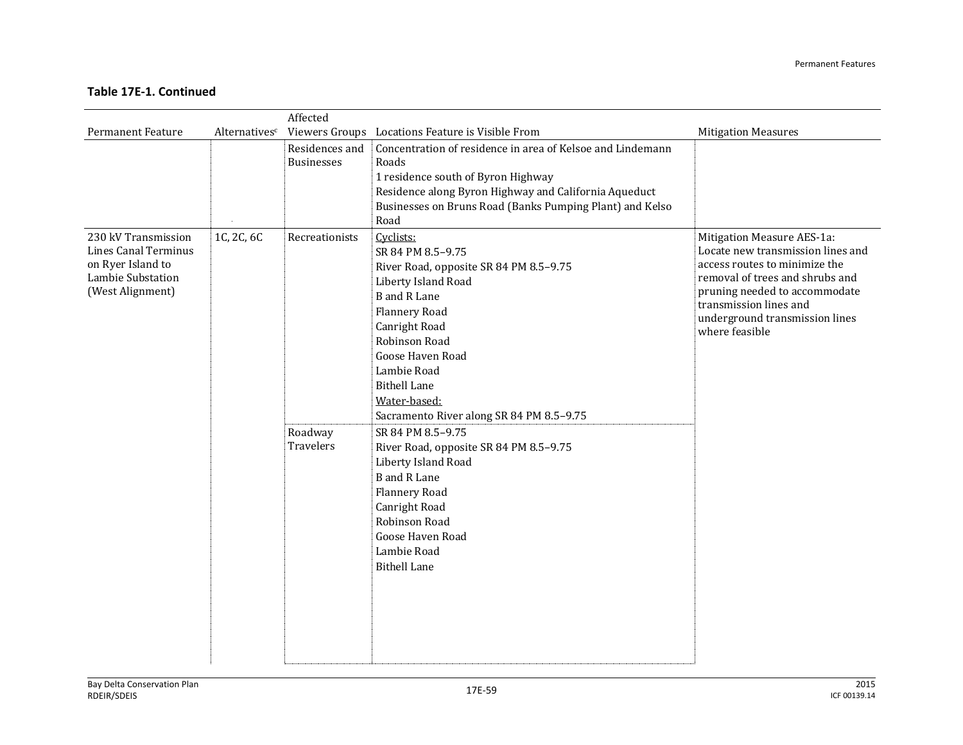|                                                                                                           |               | Affected                               |                                                                                                                                                                                                                                                                                                                                                                                                                                                                                                                           |                                                                                                                                                                                                                                                    |
|-----------------------------------------------------------------------------------------------------------|---------------|----------------------------------------|---------------------------------------------------------------------------------------------------------------------------------------------------------------------------------------------------------------------------------------------------------------------------------------------------------------------------------------------------------------------------------------------------------------------------------------------------------------------------------------------------------------------------|----------------------------------------------------------------------------------------------------------------------------------------------------------------------------------------------------------------------------------------------------|
| <b>Permanent Feature</b>                                                                                  | Alternativesc |                                        | Viewers Groups Locations Feature is Visible From                                                                                                                                                                                                                                                                                                                                                                                                                                                                          | <b>Mitigation Measures</b>                                                                                                                                                                                                                         |
|                                                                                                           |               | Residences and<br><b>Businesses</b>    | Concentration of residence in area of Kelsoe and Lindemann<br>Roads<br>1 residence south of Byron Highway<br>Residence along Byron Highway and California Aqueduct<br>Businesses on Bruns Road (Banks Pumping Plant) and Kelso<br>Road                                                                                                                                                                                                                                                                                    |                                                                                                                                                                                                                                                    |
| 230 kV Transmission<br>Lines Canal Terminus<br>on Ryer Island to<br>Lambie Substation<br>(West Alignment) | 1C, 2C, 6C    | Recreationists<br>Roadway<br>Travelers | Cyclists:<br>SR 84 PM 8.5-9.75<br>River Road, opposite SR 84 PM 8.5-9.75<br>Liberty Island Road<br><b>B</b> and R Lane<br>Flannery Road<br>Canright Road<br>Robinson Road<br>Goose Haven Road<br>Lambie Road<br><b>Bithell Lane</b><br>Water-based:<br>Sacramento River along SR 84 PM 8.5-9.75<br>SR 84 PM 8.5-9.75<br>River Road, opposite SR 84 PM 8.5-9.75<br>Liberty Island Road<br><b>B</b> and R Lane<br>Flannery Road<br>Canright Road<br>Robinson Road<br>Goose Haven Road<br>Lambie Road<br><b>Bithell Lane</b> | Mitigation Measure AES-1a:<br>Locate new transmission lines and<br>access routes to minimize the<br>removal of trees and shrubs and<br>pruning needed to accommodate<br>transmission lines and<br>underground transmission lines<br>where feasible |